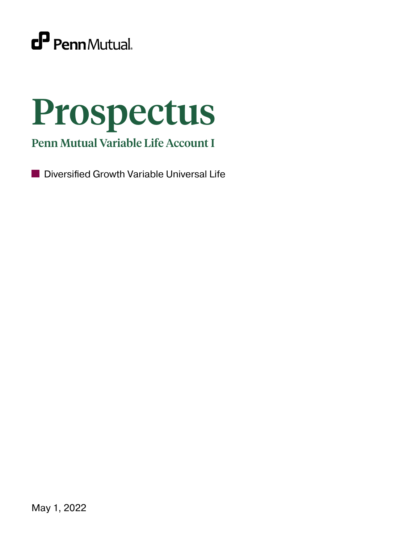

# Prospectus

Penn Mutual Variable Life Account I

Diversified Growth Variable Universal Life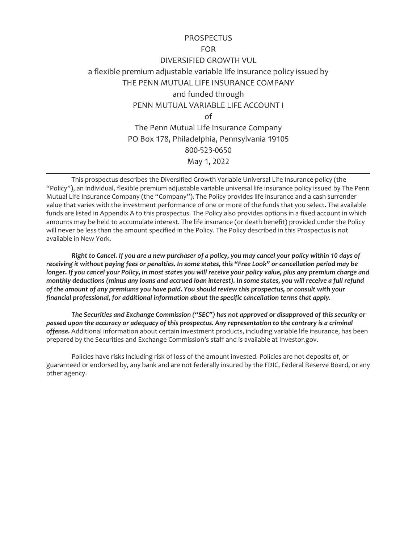# **PROSPECTUS**

# FOR DIVERSIFIED GROWTH VUL

a flexible premium adjustable variable life insurance policy issued by THE PENN MUTUAL LIFE INSURANCE COMPANY and funded through PENN MUTUAL VARIABLE LIFE ACCOUNT I of The Penn Mutual Life Insurance Company PO Box 178, Philadelphia, Pennsylvania 19105 800-523-0650 May 1, 2022

This prospectus describes the Diversified Growth Variable Universal Life Insurance policy (the "Policy"), an individual, flexible premium adjustable variable universal life insurance policy issued by The Penn Mutual Life Insurance Company (the "Company"). The Policy provides life insurance and a cash surrender value that varies with the investment performance of one or more of the funds that you select. The available funds are listed in Appendix A to this prospectus. The Policy also provides options in a fixed account in which amounts may be held to accumulate interest. The life insurance (or death benefit) provided under the Policy will never be less than the amount specified in the Policy. The Policy described in this Prospectus is not available in New York.

*Right to Cancel. If you are a new purchaser of a policy, you may cancel your policy within 10 days of receiving it without paying fees or penalties. In some states, this "Free Look" or cancellation period may be longer. If you cancel your Policy, in most states you will receive your policy value, plus any premium charge and monthly deductions (minus any loans and accrued loan interest). In some states, you will receive a full refund of the amount of any premiums you have paid. You should review this prospectus, or consult with your financial professional, for additional information about the specific cancellation terms that apply.*

*The Securities and Exchange Commission ("SEC") has not approved or disapproved of this security or passed upon the accuracy or adequacy of this prospectus. Any representation to the contrary is a criminal offense.* Additional information about certain investment products, including variable life insurance, has been prepared by the Securities and Exchange Commission's staff and is available at Investor.gov.

Policies have risks including risk of loss of the amount invested. Policies are not deposits of, or guaranteed or endorsed by, any bank and are not federally insured by the FDIC, Federal Reserve Board, or any other agency.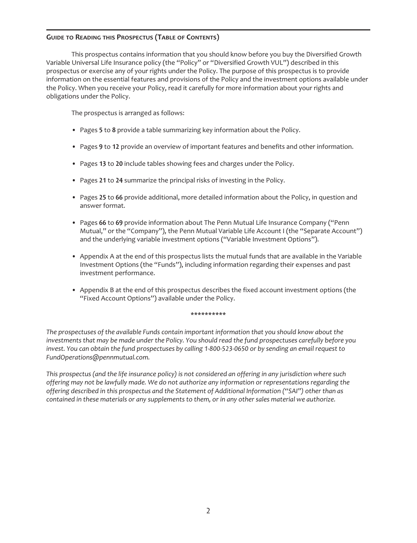# **GUIDE TO READING THIS PROSPECTUS (TABLE OF CONTENTS)**

This prospectus contains information that you should know before you buy the Diversified Growth Variable Universal Life Insurance policy (the "Policy" or "Diversified Growth VUL") described in this prospectus or exercise any of your rights under the Policy. The purpose of this prospectus is to provide information on the essential features and provisions of the Policy and the investment options available under the Policy. When you receive your Policy, read it carefully for more information about your rights and obligations under the Policy.

The prospectus is arranged as follows:

- Pages **5** to **8** provide a table summarizing key information about the Policy.
- Pages **9** to **12** provide an overview of important features and benefits and other information.
- Pages **13** to **20** include tables showing fees and charges under the Policy.
- Pages **21** to **24** summarize the principal risks of investing in the Policy.
- Pages **25** to **66** provide additional, more detailed information about the Policy, in question and answer format.
- Pages **66** to **69** provide information about The Penn Mutual Life Insurance Company ("Penn Mutual," or the "Company"), the Penn Mutual Variable Life Account I (the "Separate Account") and the underlying variable investment options ("Variable Investment Options").
- Appendix A at the end of this prospectus lists the mutual funds that are available in the Variable Investment Options (the "Funds"), including information regarding their expenses and past investment performance.
- Appendix B at the end of this prospectus describes the fixed account investment options (the "Fixed Account Options") available under the Policy.

#### **\*\*\*\*\*\*\*\*\*\***

*The prospectuses of the available Funds contain important information that you should know about the investments that may be made under the Policy. You should read the fund prospectuses carefully before you invest. You can obtain the fund prospectuses by calling 1-800-523-0650 or by sending an email request to FundOperations@pennmutual.com.*

*This prospectus (and the life insurance policy) is not considered an offering in any jurisdiction where such offering may not be lawfully made. We do not authorize any information or representations regarding the offering described in this prospectus and the Statement of Additional Information ("SAI") other than as contained in these materials or any supplements to them, or in any other sales material we authorize.*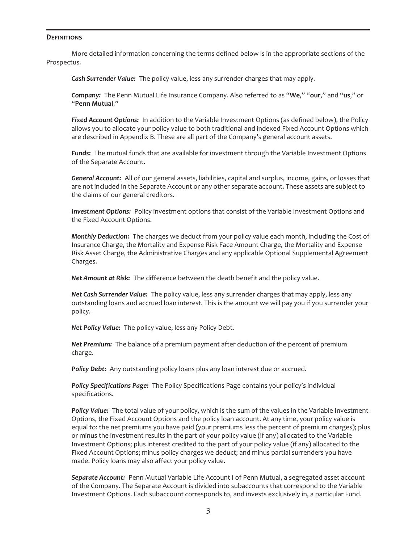#### **DEFINITIONS**

More detailed information concerning the terms defined below is in the appropriate sections of the Prospectus.

*Cash Surrender Value:* The policy value, less any surrender charges that may apply.

*Company:* The Penn Mutual Life Insurance Company. Also referred to as "**We**," "**our**," and "**us**," or "**Penn Mutual**."

*Fixed Account Options:* In addition to the Variable Investment Options (as defined below), the Policy allows you to allocate your policy value to both traditional and indexed Fixed Account Options which are described in Appendix B. These are all part of the Company's general account assets.

*Funds:* The mutual funds that are available for investment through the Variable Investment Options of the Separate Account.

*General Account:* All of our general assets, liabilities, capital and surplus, income, gains, or losses that are not included in the Separate Account or any other separate account. These assets are subject to the claims of our general creditors.

*Investment Options:* Policy investment options that consist of the Variable Investment Options and the Fixed Account Options.

*Monthly Deduction:* The charges we deduct from your policy value each month, including the Cost of Insurance Charge, the Mortality and Expense Risk Face Amount Charge, the Mortality and Expense Risk Asset Charge, the Administrative Charges and any applicable Optional Supplemental Agreement Charges.

*Net Amount at Risk:* The difference between the death benefit and the policy value.

*Net Cash Surrender Value:* The policy value, less any surrender charges that may apply, less any outstanding loans and accrued loan interest. This is the amount we will pay you if you surrender your policy.

*Net Policy Value:* The policy value, less any Policy Debt.

*Net Premium:* The balance of a premium payment after deduction of the percent of premium charge.

**Policy Debt:** Any outstanding policy loans plus any loan interest due or accrued.

*Policy Specifications Page:* The Policy Specifications Page contains your policy's individual specifications.

*Policy Value:* The total value of your policy, which is the sum of the values in the Variable Investment Options, the Fixed Account Options and the policy loan account. At any time, your policy value is equal to: the net premiums you have paid (your premiums less the percent of premium charges); plus or minus the investment results in the part of your policy value (if any) allocated to the Variable Investment Options; plus interest credited to the part of your policy value (if any) allocated to the Fixed Account Options; minus policy charges we deduct; and minus partial surrenders you have made. Policy loans may also affect your policy value.

*Separate Account:* Penn Mutual Variable Life Account I of Penn Mutual, a segregated asset account of the Company. The Separate Account is divided into subaccounts that correspond to the Variable Investment Options. Each subaccount corresponds to, and invests exclusively in, a particular Fund.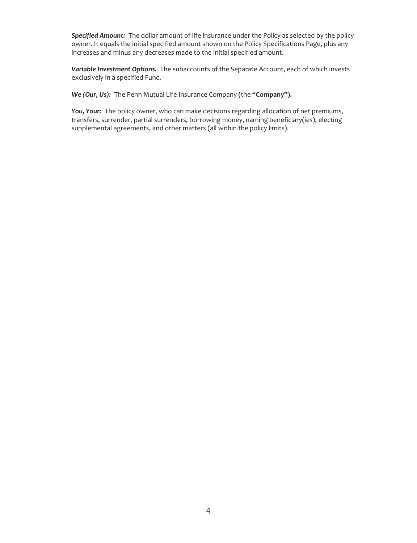*Specified Amount:* The dollar amount of life insurance under the Policy as selected by the policy owner. It equals the initial specified amount shown on the Policy Specifications Page, plus any increases and minus any decreases made to the initial specified amount.

*Variable Investment Options.* The subaccounts of the Separate Account, each of which invests exclusively in a specified Fund.

*We (Our, Us):* The Penn Mutual Life Insurance Company **(**the **"Company").**

*You, Your:* The policy owner, who can make decisions regarding allocation of net premiums, transfers, surrender, partial surrenders, borrowing money, naming beneficiary(ies), electing supplemental agreements, and other matters (all within the policy limits).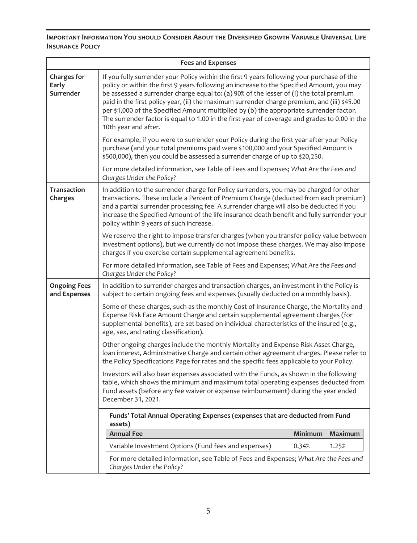**IMPORTANT INFORMATION YOU SHOULD CONSIDER ABOUT THE DIVERSIFIED GROWTH VARIABLE UNIVERSAL LIFE INSURANCE POLICY**

| <b>Fees and Expenses</b>                 |                                                                                                                                                                                                                                                                                                                                                                                                                                                                                                                                                                                                       |                                                                                                                                                                                                                                                                 |         |  |  |
|------------------------------------------|-------------------------------------------------------------------------------------------------------------------------------------------------------------------------------------------------------------------------------------------------------------------------------------------------------------------------------------------------------------------------------------------------------------------------------------------------------------------------------------------------------------------------------------------------------------------------------------------------------|-----------------------------------------------------------------------------------------------------------------------------------------------------------------------------------------------------------------------------------------------------------------|---------|--|--|
| <b>Charges for</b><br>Early<br>Surrender | If you fully surrender your Policy within the first 9 years following your purchase of the<br>policy or within the first 9 years following an increase to the Specified Amount, you may<br>be assessed a surrender charge equal to: (a) 90% of the lesser of (i) the total premium<br>paid in the first policy year, (ii) the maximum surrender charge premium, and (iii) \$45.00<br>per \$1,000 of the Specified Amount multiplied by (b) the appropriate surrender factor.<br>The surrender factor is equal to 1.00 in the first year of coverage and grades to 0.00 in the<br>10th year and after. |                                                                                                                                                                                                                                                                 |         |  |  |
|                                          |                                                                                                                                                                                                                                                                                                                                                                                                                                                                                                                                                                                                       | For example, if you were to surrender your Policy during the first year after your Policy<br>purchase (and your total premiums paid were \$100,000 and your Specified Amount is<br>\$500,000), then you could be assessed a surrender charge of up to \$20,250. |         |  |  |
|                                          | For more detailed information, see Table of Fees and Expenses; What Are the Fees and<br>Charges Under the Policy?                                                                                                                                                                                                                                                                                                                                                                                                                                                                                     |                                                                                                                                                                                                                                                                 |         |  |  |
| <b>Transaction</b><br>Charges            | In addition to the surrender charge for Policy surrenders, you may be charged for other<br>transactions. These include a Percent of Premium Charge (deducted from each premium)<br>and a partial surrender processing fee. A surrender charge will also be deducted if you<br>increase the Specified Amount of the life insurance death benefit and fully surrender your<br>policy within 9 years of such increase.                                                                                                                                                                                   |                                                                                                                                                                                                                                                                 |         |  |  |
|                                          | We reserve the right to impose transfer charges (when you transfer policy value between<br>investment options), but we currently do not impose these charges. We may also impose<br>charges if you exercise certain supplemental agreement benefits.                                                                                                                                                                                                                                                                                                                                                  |                                                                                                                                                                                                                                                                 |         |  |  |
|                                          | For more detailed information, see Table of Fees and Expenses; What Are the Fees and<br>Charges Under the Policy?                                                                                                                                                                                                                                                                                                                                                                                                                                                                                     |                                                                                                                                                                                                                                                                 |         |  |  |
| <b>Ongoing Fees</b><br>and Expenses      | In addition to surrender charges and transaction charges, an investment in the Policy is<br>subject to certain ongoing fees and expenses (usually deducted on a monthly basis).                                                                                                                                                                                                                                                                                                                                                                                                                       |                                                                                                                                                                                                                                                                 |         |  |  |
|                                          | Some of these charges, such as the monthly Cost of Insurance Charge, the Mortality and<br>Expense Risk Face Amount Charge and certain supplemental agreement charges (for<br>supplemental benefits), are set based on individual characteristics of the insured (e.g.,<br>age, sex, and rating classification).                                                                                                                                                                                                                                                                                       |                                                                                                                                                                                                                                                                 |         |  |  |
|                                          | Other ongoing charges include the monthly Mortality and Expense Risk Asset Charge,<br>loan interest, Administrative Charge and certain other agreement charges. Please refer to<br>the Policy Specifications Page for rates and the specific fees applicable to your Policy.                                                                                                                                                                                                                                                                                                                          |                                                                                                                                                                                                                                                                 |         |  |  |
|                                          | Investors will also bear expenses associated with the Funds, as shown in the following<br>table, which shows the minimum and maximum total operating expenses deducted from<br>Fund assets (before any fee waiver or expense reimbursement) during the year ended<br>December 31, 2021.                                                                                                                                                                                                                                                                                                               |                                                                                                                                                                                                                                                                 |         |  |  |
|                                          | Funds' Total Annual Operating Expenses (expenses that are deducted from Fund<br>assets)                                                                                                                                                                                                                                                                                                                                                                                                                                                                                                               |                                                                                                                                                                                                                                                                 |         |  |  |
|                                          | <b>Annual Fee</b>                                                                                                                                                                                                                                                                                                                                                                                                                                                                                                                                                                                     | Minimum                                                                                                                                                                                                                                                         | Maximum |  |  |
|                                          | Variable Investment Options (Fund fees and expenses)                                                                                                                                                                                                                                                                                                                                                                                                                                                                                                                                                  | 0.34%                                                                                                                                                                                                                                                           | 1.25%   |  |  |
|                                          | For more detailed information, see Table of Fees and Expenses; What Are the Fees and<br>Charges Under the Policy?                                                                                                                                                                                                                                                                                                                                                                                                                                                                                     |                                                                                                                                                                                                                                                                 |         |  |  |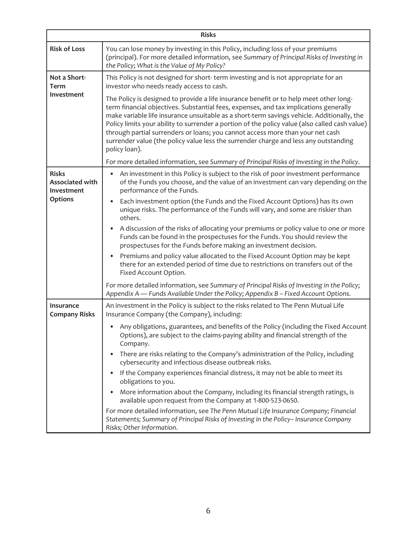| <b>Risks</b>                                         |                                                                                                                                                                                                                                                                                                                                                                                                                                                                                                                                                                            |  |  |  |
|------------------------------------------------------|----------------------------------------------------------------------------------------------------------------------------------------------------------------------------------------------------------------------------------------------------------------------------------------------------------------------------------------------------------------------------------------------------------------------------------------------------------------------------------------------------------------------------------------------------------------------------|--|--|--|
| <b>Risk of Loss</b>                                  | You can lose money by investing in this Policy, including loss of your premiums<br>(principal). For more detailed information, see Summary of Principal Risks of Investing in<br>the Policy; What is the Value of My Policy?                                                                                                                                                                                                                                                                                                                                               |  |  |  |
| Not a Short-<br>Term                                 | This Policy is not designed for short-term investing and is not appropriate for an<br>investor who needs ready access to cash.                                                                                                                                                                                                                                                                                                                                                                                                                                             |  |  |  |
| Investment                                           | The Policy is designed to provide a life insurance benefit or to help meet other long-<br>term financial objectives. Substantial fees, expenses, and tax implications generally<br>make variable life insurance unsuitable as a short-term savings vehicle. Additionally, the<br>Policy limits your ability to surrender a portion of the policy value (also called cash value)<br>through partial surrenders or loans; you cannot access more than your net cash<br>surrender value (the policy value less the surrender charge and less any outstanding<br>policy loan). |  |  |  |
|                                                      | For more detailed information, see Summary of Principal Risks of Investing in the Policy.                                                                                                                                                                                                                                                                                                                                                                                                                                                                                  |  |  |  |
| <b>Risks</b><br><b>Associated with</b><br>Investment | An investment in this Policy is subject to the risk of poor investment performance<br>$\bullet$<br>of the Funds you choose, and the value of an investment can vary depending on the<br>performance of the Funds.                                                                                                                                                                                                                                                                                                                                                          |  |  |  |
| <b>Options</b>                                       | Each investment option (the Funds and the Fixed Account Options) has its own<br>unique risks. The performance of the Funds will vary, and some are riskier than<br>others.                                                                                                                                                                                                                                                                                                                                                                                                 |  |  |  |
|                                                      | A discussion of the risks of allocating your premiums or policy value to one or more<br>Funds can be found in the prospectuses for the Funds. You should review the<br>prospectuses for the Funds before making an investment decision.                                                                                                                                                                                                                                                                                                                                    |  |  |  |
|                                                      | Premiums and policy value allocated to the Fixed Account Option may be kept<br>$\bullet$<br>there for an extended period of time due to restrictions on transfers out of the<br>Fixed Account Option.                                                                                                                                                                                                                                                                                                                                                                      |  |  |  |
|                                                      | For more detailed information, see Summary of Principal Risks of Investing in the Policy;<br>Appendix A — Funds Available Under the Policy; Appendix B - Fixed Account Options.                                                                                                                                                                                                                                                                                                                                                                                            |  |  |  |
| Insurance<br><b>Company Risks</b>                    | An investment in the Policy is subject to the risks related to The Penn Mutual Life<br>Insurance Company (the Company), including:                                                                                                                                                                                                                                                                                                                                                                                                                                         |  |  |  |
|                                                      | Any obligations, guarantees, and benefits of the Policy (including the Fixed Account<br>Options), are subject to the claims-paying ability and financial strength of the<br>Company.                                                                                                                                                                                                                                                                                                                                                                                       |  |  |  |
|                                                      | There are risks relating to the Company's administration of the Policy, including<br>cybersecurity and infectious disease outbreak risks.                                                                                                                                                                                                                                                                                                                                                                                                                                  |  |  |  |
|                                                      | If the Company experiences financial distress, it may not be able to meet its<br>obligations to you.                                                                                                                                                                                                                                                                                                                                                                                                                                                                       |  |  |  |
|                                                      | More information about the Company, including its financial strength ratings, is<br>available upon request from the Company at 1-800-523-0650.                                                                                                                                                                                                                                                                                                                                                                                                                             |  |  |  |
|                                                      | For more detailed information, see The Penn Mutual Life Insurance Company; Financial<br>Statements; Summary of Principal Risks of Investing in the Policy- Insurance Company<br>Risks; Other Information.                                                                                                                                                                                                                                                                                                                                                                  |  |  |  |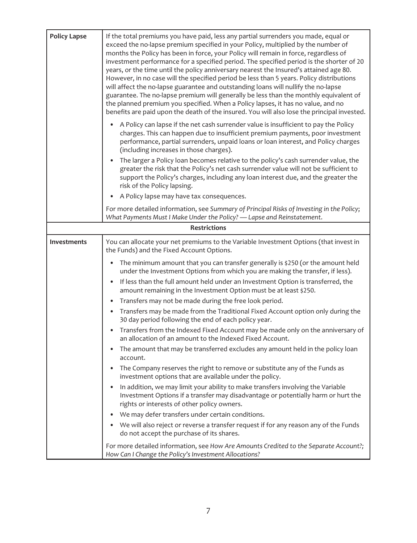| <b>Policy Lapse</b> | If the total premiums you have paid, less any partial surrenders you made, equal or<br>exceed the no-lapse premium specified in your Policy, multiplied by the number of<br>months the Policy has been in force, your Policy will remain in force, regardless of<br>investment performance for a specified period. The specified period is the shorter of 20<br>years, or the time until the policy anniversary nearest the Insured's attained age 80.<br>However, in no case will the specified period be less than 5 years. Policy distributions<br>will affect the no-lapse guarantee and outstanding loans will nullify the no-lapse<br>guarantee. The no-lapse premium will generally be less than the monthly equivalent of<br>the planned premium you specified. When a Policy lapses, it has no value, and no<br>benefits are paid upon the death of the insured. You will also lose the principal invested.<br>A Policy can lapse if the net cash surrender value is insufficient to pay the Policy |  |  |  |
|---------------------|--------------------------------------------------------------------------------------------------------------------------------------------------------------------------------------------------------------------------------------------------------------------------------------------------------------------------------------------------------------------------------------------------------------------------------------------------------------------------------------------------------------------------------------------------------------------------------------------------------------------------------------------------------------------------------------------------------------------------------------------------------------------------------------------------------------------------------------------------------------------------------------------------------------------------------------------------------------------------------------------------------------|--|--|--|
|                     | charges. This can happen due to insufficient premium payments, poor investment<br>performance, partial surrenders, unpaid loans or loan interest, and Policy charges<br>(including increases in those charges).                                                                                                                                                                                                                                                                                                                                                                                                                                                                                                                                                                                                                                                                                                                                                                                              |  |  |  |
|                     | The larger a Policy loan becomes relative to the policy's cash surrender value, the<br>greater the risk that the Policy's net cash surrender value will not be sufficient to<br>support the Policy's charges, including any loan interest due, and the greater the<br>risk of the Policy lapsing.                                                                                                                                                                                                                                                                                                                                                                                                                                                                                                                                                                                                                                                                                                            |  |  |  |
|                     | A Policy lapse may have tax consequences.<br>$\bullet$                                                                                                                                                                                                                                                                                                                                                                                                                                                                                                                                                                                                                                                                                                                                                                                                                                                                                                                                                       |  |  |  |
|                     | For more detailed information, see Summary of Principal Risks of Investing in the Policy;<br>What Payments Must I Make Under the Policy? - Lapse and Reinstatement.                                                                                                                                                                                                                                                                                                                                                                                                                                                                                                                                                                                                                                                                                                                                                                                                                                          |  |  |  |
| <b>Restrictions</b> |                                                                                                                                                                                                                                                                                                                                                                                                                                                                                                                                                                                                                                                                                                                                                                                                                                                                                                                                                                                                              |  |  |  |
| <b>Investments</b>  | You can allocate your net premiums to the Variable Investment Options (that invest in<br>the Funds) and the Fixed Account Options.                                                                                                                                                                                                                                                                                                                                                                                                                                                                                                                                                                                                                                                                                                                                                                                                                                                                           |  |  |  |
|                     | The minimum amount that you can transfer generally is \$250 (or the amount held<br>$\bullet$<br>under the Investment Options from which you are making the transfer, if less).                                                                                                                                                                                                                                                                                                                                                                                                                                                                                                                                                                                                                                                                                                                                                                                                                               |  |  |  |
|                     | If less than the full amount held under an Investment Option is transferred, the<br>amount remaining in the Investment Option must be at least \$250.                                                                                                                                                                                                                                                                                                                                                                                                                                                                                                                                                                                                                                                                                                                                                                                                                                                        |  |  |  |
|                     | Transfers may not be made during the free look period.<br>$\bullet$                                                                                                                                                                                                                                                                                                                                                                                                                                                                                                                                                                                                                                                                                                                                                                                                                                                                                                                                          |  |  |  |
|                     | Transfers may be made from the Traditional Fixed Account option only during the<br>30 day period following the end of each policy year.                                                                                                                                                                                                                                                                                                                                                                                                                                                                                                                                                                                                                                                                                                                                                                                                                                                                      |  |  |  |
|                     | Transfers from the Indexed Fixed Account may be made only on the anniversary of<br>$\bullet$<br>an allocation of an amount to the Indexed Fixed Account.                                                                                                                                                                                                                                                                                                                                                                                                                                                                                                                                                                                                                                                                                                                                                                                                                                                     |  |  |  |
|                     | The amount that may be transferred excludes any amount held in the policy loan<br>account.                                                                                                                                                                                                                                                                                                                                                                                                                                                                                                                                                                                                                                                                                                                                                                                                                                                                                                                   |  |  |  |
|                     | The Company reserves the right to remove or substitute any of the Funds as<br>investment options that are available under the policy.                                                                                                                                                                                                                                                                                                                                                                                                                                                                                                                                                                                                                                                                                                                                                                                                                                                                        |  |  |  |
|                     | In addition, we may limit your ability to make transfers involving the Variable<br>Investment Options if a transfer may disadvantage or potentially harm or hurt the<br>rights or interests of other policy owners.                                                                                                                                                                                                                                                                                                                                                                                                                                                                                                                                                                                                                                                                                                                                                                                          |  |  |  |
|                     | We may defer transfers under certain conditions.                                                                                                                                                                                                                                                                                                                                                                                                                                                                                                                                                                                                                                                                                                                                                                                                                                                                                                                                                             |  |  |  |
|                     | We will also reject or reverse a transfer request if for any reason any of the Funds<br>do not accept the purchase of its shares.                                                                                                                                                                                                                                                                                                                                                                                                                                                                                                                                                                                                                                                                                                                                                                                                                                                                            |  |  |  |
|                     | For more detailed information, see How Are Amounts Credited to the Separate Account?;<br>How Can I Change the Policy's Investment Allocations?                                                                                                                                                                                                                                                                                                                                                                                                                                                                                                                                                                                                                                                                                                                                                                                                                                                               |  |  |  |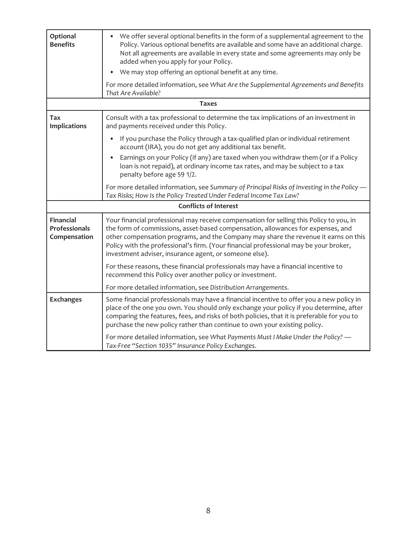| Optional<br><b>Benefits</b>                              | We offer several optional benefits in the form of a supplemental agreement to the<br>$\bullet$<br>Policy. Various optional benefits are available and some have an additional charge.<br>Not all agreements are available in every state and some agreements may only be<br>added when you apply for your Policy.<br>We may stop offering an optional benefit at any time.                                           |  |  |
|----------------------------------------------------------|----------------------------------------------------------------------------------------------------------------------------------------------------------------------------------------------------------------------------------------------------------------------------------------------------------------------------------------------------------------------------------------------------------------------|--|--|
|                                                          | For more detailed information, see What Are the Supplemental Agreements and Benefits<br>That Are Available?                                                                                                                                                                                                                                                                                                          |  |  |
|                                                          | <b>Taxes</b>                                                                                                                                                                                                                                                                                                                                                                                                         |  |  |
| Tax<br><b>Implications</b>                               | Consult with a tax professional to determine the tax implications of an investment in<br>and payments received under this Policy.                                                                                                                                                                                                                                                                                    |  |  |
|                                                          | If you purchase the Policy through a tax-qualified plan or individual retirement<br>$\bullet$<br>account (IRA), you do not get any additional tax benefit.                                                                                                                                                                                                                                                           |  |  |
|                                                          | Earnings on your Policy (if any) are taxed when you withdraw them (or if a Policy<br>loan is not repaid), at ordinary income tax rates, and may be subject to a tax<br>penalty before age 59 1/2.                                                                                                                                                                                                                    |  |  |
|                                                          | For more detailed information, see Summary of Principal Risks of Investing in the Policy -<br>Tax Risks; How Is the Policy Treated Under Federal Income Tax Law?                                                                                                                                                                                                                                                     |  |  |
| <b>Conflicts of Interest</b>                             |                                                                                                                                                                                                                                                                                                                                                                                                                      |  |  |
| <b>Financial</b><br><b>Professionals</b><br>Compensation | Your financial professional may receive compensation for selling this Policy to you, in<br>the form of commissions, asset-based compensation, allowances for expenses, and<br>other compensation programs, and the Company may share the revenue it earns on this<br>Policy with the professional's firm. (Your financial professional may be your broker,<br>investment adviser, insurance agent, or someone else). |  |  |
|                                                          | For these reasons, these financial professionals may have a financial incentive to<br>recommend this Policy over another policy or investment.                                                                                                                                                                                                                                                                       |  |  |
|                                                          | For more detailed information, see Distribution Arrangements.                                                                                                                                                                                                                                                                                                                                                        |  |  |
| <b>Exchanges</b>                                         | Some financial professionals may have a financial incentive to offer you a new policy in<br>place of the one you own. You should only exchange your policy if you determine, after<br>comparing the features, fees, and risks of both policies, that it is preferable for you to<br>purchase the new policy rather than continue to own your existing policy.                                                        |  |  |
|                                                          | For more detailed information, see What Payments Must I Make Under the Policy? -<br>Tax-Free "Section 1035" Insurance Policy Exchanges.                                                                                                                                                                                                                                                                              |  |  |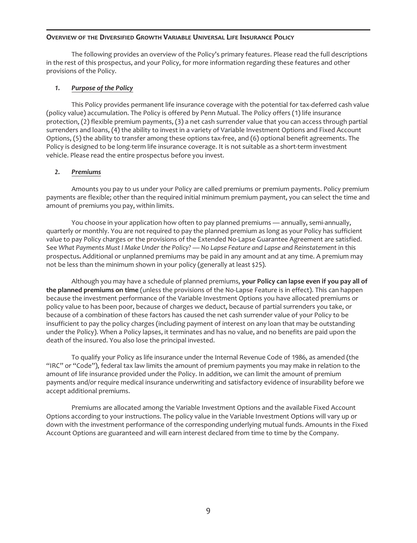#### **OVERVIEW OF THE DIVERSIFIED GROWTH VARIABLE UNIVERSAL LIFE INSURANCE POLICY**

The following provides an overview of the Policy's primary features. Please read the full descriptions in the rest of this prospectus, and your Policy, for more information regarding these features and other provisions of the Policy.

# *1. Purpose of the Policy*

This Policy provides permanent life insurance coverage with the potential for tax-deferred cash value (policy value) accumulation. The Policy is offered by Penn Mutual. The Policy offers (1) life insurance protection, (2) flexible premium payments, (3) a net cash surrender value that you can access through partial surrenders and loans, (4) the ability to invest in a variety of Variable Investment Options and Fixed Account Options, (5) the ability to transfer among these options tax-free, and (6) optional benefit agreements. The Policy is designed to be long-term life insurance coverage. It is not suitable as a short-term investment vehicle. Please read the entire prospectus before you invest.

# *2. Premiums*

Amounts you pay to us under your Policy are called premiums or premium payments. Policy premium payments are flexible; other than the required initial minimum premium payment, you can select the time and amount of premiums you pay, within limits.

You choose in your application how often to pay planned premiums — annually, semi-annually, quarterly or monthly. You are not required to pay the planned premium as long as your Policy has sufficient value to pay Policy charges or the provisions of the Extended No-Lapse Guarantee Agreement are satisfied. See *What Payments Must I Make Under the Policy? — No Lapse Feature and Lapse and Reinstatement* in this prospectus*.* Additional or unplanned premiums may be paid in any amount and at any time. A premium may not be less than the minimum shown in your policy (generally at least \$25).

Although you may have a schedule of planned premiums, **your Policy can lapse even if you pay all of the planned premiums on time** (unless the provisions of the No-Lapse Feature is in effect). This can happen because the investment performance of the Variable Investment Options you have allocated premiums or policy value to has been poor, because of charges we deduct, because of partial surrenders you take, or because of a combination of these factors has caused the net cash surrender value of your Policy to be insufficient to pay the policy charges (including payment of interest on any loan that may be outstanding under the Policy). When a Policy lapses, it terminates and has no value, and no benefits are paid upon the death of the insured. You also lose the principal invested.

To qualify your Policy as life insurance under the Internal Revenue Code of 1986, as amended (the "IRC" or "Code"), federal tax law limits the amount of premium payments you may make in relation to the amount of life insurance provided under the Policy. In addition, we can limit the amount of premium payments and/or require medical insurance underwriting and satisfactory evidence of insurability before we accept additional premiums.

Premiums are allocated among the Variable Investment Options and the available Fixed Account Options according to your instructions. The policy value in the Variable Investment Options will vary up or down with the investment performance of the corresponding underlying mutual funds. Amounts in the Fixed Account Options are guaranteed and will earn interest declared from time to time by the Company.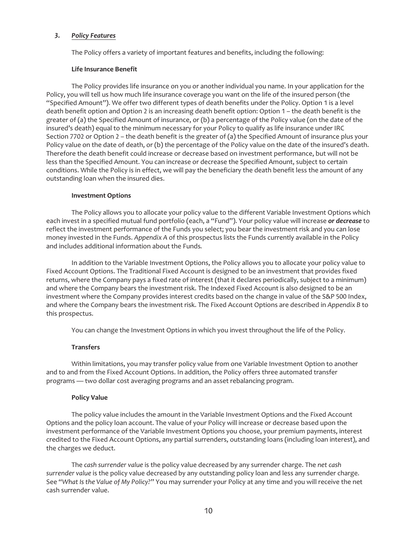# *3. Policy Features*

The Policy offers a variety of important features and benefits, including the following:

#### **Life Insurance Benefit**

The Policy provides life insurance on you or another individual you name. In your application for the Policy, you will tell us how much life insurance coverage you want on the life of the insured person (the "Specified Amount"). We offer two different types of death benefits under the Policy. Option 1 is a level death benefit option and Option 2 is an increasing death benefit option: Option 1 – the death benefit is the greater of (a) the Specified Amount of insurance, or (b) a percentage of the Policy value (on the date of the insured's death) equal to the minimum necessary for your Policy to qualify as life insurance under IRC Section 7702 or Option 2 – the death benefit is the greater of (a) the Specified Amount of insurance plus your Policy value on the date of death, or (b) the percentage of the Policy value on the date of the insured's death. Therefore the death benefit could increase or decrease based on investment performance, but will not be less than the Specified Amount. You can increase or decrease the Specified Amount, subject to certain conditions. While the Policy is in effect, we will pay the beneficiary the death benefit less the amount of any outstanding loan when the insured dies.

#### **Investment Options**

The Policy allows you to allocate your policy value to the different Variable Investment Options which each invest in a specified mutual fund portfolio (each, a "Fund"). Your policy value will increase *or decrease* to reflect the investment performance of the Funds you select; you bear the investment risk and you can lose money invested in the Funds. *Appendix A* of this prospectus lists the Funds currently available in the Policy and includes additional information about the Funds*.*

In addition to the Variable Investment Options, the Policy allows you to allocate your policy value to Fixed Account Options. The Traditional Fixed Account is designed to be an investment that provides fixed returns, where the Company pays a fixed rate of interest (that it declares periodically, subject to a minimum) and where the Company bears the investment risk. The Indexed Fixed Account is also designed to be an investment where the Company provides interest credits based on the change in value of the S&P 500 Index, and where the Company bears the investment risk. The Fixed Account Options are described in *Appendix B* to this prospectus.

You can change the Investment Options in which you invest throughout the life of the Policy.

# **Transfers**

Within limitations, you may transfer policy value from one Variable Investment Option to another and to and from the Fixed Account Options. In addition, the Policy offers three automated transfer programs — two dollar cost averaging programs and an asset rebalancing program.

# **Policy Value**

The policy value includes the amount in the Variable Investment Options and the Fixed Account Options and the policy loan account. The value of your Policy will increase or decrease based upon the investment performance of the Variable Investment Options you choose, your premium payments, interest credited to the Fixed Account Options, any partial surrenders, outstanding loans (including loan interest), and the charges we deduct.

The *cash surrender value* is the policy value decreased by any surrender charge. The *net cash surrender value* is the policy value decreased by any outstanding policy loan and less any surrender charge. See "*What Is the Value of My Policy?*" You may surrender your Policy at any time and you will receive the net cash surrender value.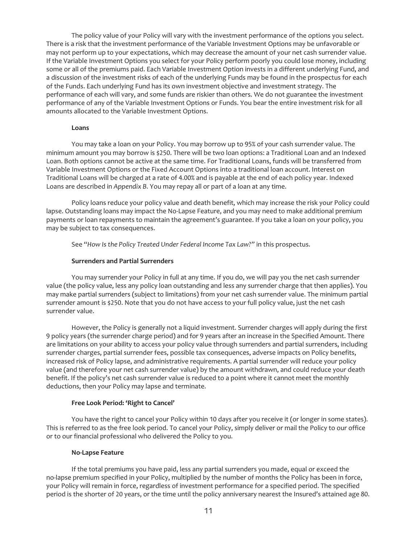The policy value of your Policy will vary with the investment performance of the options you select. There is a risk that the investment performance of the Variable Investment Options may be unfavorable or may not perform up to your expectations, which may decrease the amount of your net cash surrender value. If the Variable Investment Options you select for your Policy perform poorly you could lose money, including some or all of the premiums paid. Each Variable Investment Option invests in a different underlying Fund, and a discussion of the investment risks of each of the underlying Funds may be found in the prospectus for each of the Funds. Each underlying Fund has its own investment objective and investment strategy. The performance of each will vary, and some funds are riskier than others. We do not guarantee the investment performance of any of the Variable Investment Options or Funds. You bear the entire investment risk for all amounts allocated to the Variable Investment Options.

#### **Loans**

You may take a loan on your Policy. You may borrow up to 95% of your cash surrender value. The minimum amount you may borrow is \$250. There will be two loan options: a Traditional Loan and an Indexed Loan. Both options cannot be active at the same time. For Traditional Loans, funds will be transferred from Variable Investment Options or the Fixed Account Options into a traditional loan account. Interest on Traditional Loans will be charged at a rate of 4.00% and is payable at the end of each policy year. Indexed Loans are described in *Appendix B*. You may repay all or part of a loan at any time.

Policy loans reduce your policy value and death benefit, which may increase the risk your Policy could lapse. Outstanding loans may impact the No-Lapse Feature, and you may need to make additional premium payments or loan repayments to maintain the agreement's guarantee. If you take a loan on your policy, you may be subject to tax consequences.

See "*How Is the Policy Treated Under Federal Income Tax Law?"* in this prospectus.

#### **Surrenders and Partial Surrenders**

You may surrender your Policy in full at any time. If you do, we will pay you the net cash surrender value (the policy value, less any policy loan outstanding and less any surrender charge that then applies). You may make partial surrenders (subject to limitations) from your net cash surrender value. The minimum partial surrender amount is \$250. Note that you do not have access to your full policy value, just the net cash surrender value.

However, the Policy is generally not a liquid investment. Surrender charges will apply during the first 9 policy years (the surrender charge period) and for 9 years after an increase in the Specified Amount. There are limitations on your ability to access your policy value through surrenders and partial surrenders, including surrender charges, partial surrender fees, possible tax consequences, adverse impacts on Policy benefits, increased risk of Policy lapse, and administrative requirements. A partial surrender will reduce your policy value (and therefore your net cash surrender value) by the amount withdrawn, and could reduce your death benefit. If the policy's net cash surrender value is reduced to a point where it cannot meet the monthly deductions, then your Policy may lapse and terminate.

#### **Free Look Period: 'Right to Cancel'**

You have the right to cancel your Policy within 10 days after you receive it (or longer in some states). This is referred to as the free look period. To cancel your Policy, simply deliver or mail the Policy to our office or to our financial professional who delivered the Policy to you.

#### **No-Lapse Feature**

If the total premiums you have paid, less any partial surrenders you made, equal or exceed the no-lapse premium specified in your Policy, multiplied by the number of months the Policy has been in force, your Policy will remain in force, regardless of investment performance for a specified period. The specified period is the shorter of 20 years, or the time until the policy anniversary nearest the Insured's attained age 80.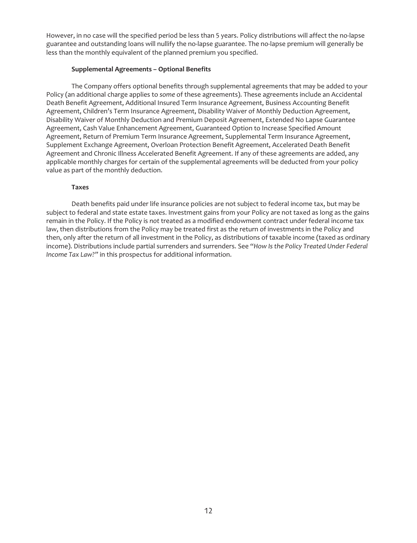However, in no case will the specified period be less than 5 years. Policy distributions will affect the no-lapse guarantee and outstanding loans will nullify the no-lapse guarantee. The no-lapse premium will generally be less than the monthly equivalent of the planned premium you specified.

# **Supplemental Agreements – Optional Benefits**

The Company offers optional benefits through supplemental agreements that may be added to your Policy (an additional charge applies to *some* of these agreements). These agreements include an Accidental Death Benefit Agreement, Additional Insured Term Insurance Agreement, Business Accounting Benefit Agreement, Children's Term Insurance Agreement, Disability Waiver of Monthly Deduction Agreement, Disability Waiver of Monthly Deduction and Premium Deposit Agreement, Extended No Lapse Guarantee Agreement, Cash Value Enhancement Agreement, Guaranteed Option to Increase Specified Amount Agreement, Return of Premium Term Insurance Agreement, Supplemental Term Insurance Agreement, Supplement Exchange Agreement, Overloan Protection Benefit Agreement, Accelerated Death Benefit Agreement and Chronic Illness Accelerated Benefit Agreement. If any of these agreements are added, any applicable monthly charges for certain of the supplemental agreements will be deducted from your policy value as part of the monthly deduction.

# **Taxes**

Death benefits paid under life insurance policies are not subject to federal income tax, but may be subject to federal and state estate taxes. Investment gains from your Policy are not taxed as long as the gains remain in the Policy. If the Policy is *not* treated as a modified endowment contract under federal income tax law, then distributions from the Policy may be treated first as the return of investments in the Policy and then, only after the return of all investment in the Policy, as distributions of taxable income (taxed as ordinary income). Distributions include partial surrenders and surrenders. See "*How Is the Policy Treated Under Federal Income Tax Law?"* in this prospectus for additional information.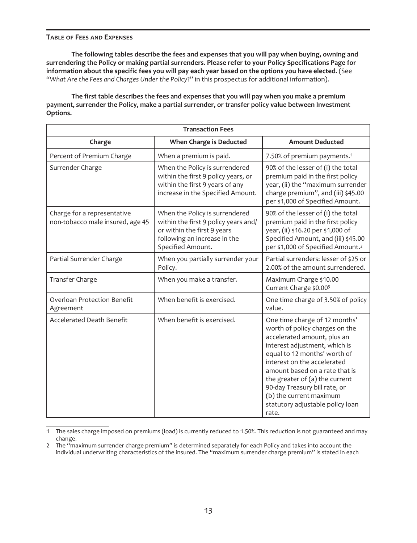#### **TABLE OF FEES AND EXPENSES**

**The following tables describe the fees and expenses that you will pay when buying, owning and surrendering the Policy or making partial surrenders. Please refer to your Policy Specifications Page for information about the specific fees you will pay each year based on the options you have elected.** (See "*What Are the Fees and Charges Under the Policy*?" in this prospectus for additional information).

**The first table describes the fees and expenses that you will pay when you make a premium payment, surrender the Policy, make a partial surrender, or transfer policy value between Investment Options.**

| <b>Transaction Fees</b>                                         |                                                                                                                                                            |                                                                                                                                                                                                                                                                                                                                                                             |  |
|-----------------------------------------------------------------|------------------------------------------------------------------------------------------------------------------------------------------------------------|-----------------------------------------------------------------------------------------------------------------------------------------------------------------------------------------------------------------------------------------------------------------------------------------------------------------------------------------------------------------------------|--|
| Charge                                                          | <b>When Charge is Deducted</b>                                                                                                                             | <b>Amount Deducted</b>                                                                                                                                                                                                                                                                                                                                                      |  |
| Percent of Premium Charge                                       | When a premium is paid.                                                                                                                                    | 7.50% of premium payments. <sup>1</sup>                                                                                                                                                                                                                                                                                                                                     |  |
| Surrender Charge                                                | When the Policy is surrendered<br>within the first 9 policy years, or<br>within the first 9 years of any<br>increase in the Specified Amount.              | 90% of the lesser of (i) the total<br>premium paid in the first policy<br>year, (ii) the "maximum surrender<br>charge premium", and (iii) \$45.00<br>per \$1,000 of Specified Amount.                                                                                                                                                                                       |  |
| Charge for a representative<br>non-tobacco male insured, age 45 | When the Policy is surrendered<br>within the first 9 policy years and/<br>or within the first 9 years<br>following an increase in the<br>Specified Amount. | 90% of the lesser of (i) the total<br>premium paid in the first policy<br>year, (ii) \$16.20 per \$1,000 of<br>Specified Amount, and (iii) \$45.00<br>per \$1,000 of Specified Amount. <sup>2</sup>                                                                                                                                                                         |  |
| Partial Surrender Charge                                        | When you partially surrender your<br>Policy.                                                                                                               | Partial surrenders: lesser of \$25 or<br>2.00% of the amount surrendered.                                                                                                                                                                                                                                                                                                   |  |
| Transfer Charge                                                 | When you make a transfer.                                                                                                                                  | Maximum Charge \$10.00<br>Current Charge \$0.003                                                                                                                                                                                                                                                                                                                            |  |
| <b>Overloan Protection Benefit</b><br>Agreement                 | When benefit is exercised.                                                                                                                                 | One time charge of 3.50% of policy<br>value.                                                                                                                                                                                                                                                                                                                                |  |
| <b>Accelerated Death Benefit</b>                                | When benefit is exercised.                                                                                                                                 | One time charge of 12 months'<br>worth of policy charges on the<br>accelerated amount, plus an<br>interest adjustment, which is<br>equal to 12 months' worth of<br>interest on the accelerated<br>amount based on a rate that is<br>the greater of (a) the current<br>90-day Treasury bill rate, or<br>(b) the current maximum<br>statutory adjustable policy loan<br>rate. |  |

<sup>1</sup> The sales charge imposed on premiums (load) is currently reduced to 1.50%. This reduction is not guaranteed and may change.

<sup>2</sup> The "maximum surrender charge premium" is determined separately for each Policy and takes into account the individual underwriting characteristics of the insured. The "maximum surrender charge premium" is stated in each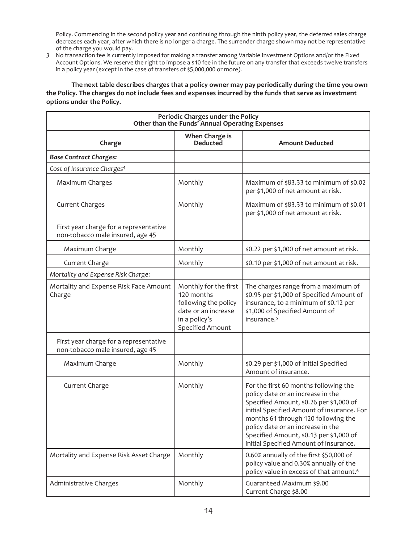Policy. Commencing in the second policy year and continuing through the ninth policy year, the deferred sales charge decreases each year, after which there is no longer a charge. The surrender charge shown may not be representative of the charge you would pay.

3 No transaction fee is currently imposed for making a transfer among Variable Investment Options and/or the Fixed Account Options. We reserve the right to impose a \$10 fee in the future on any transfer that exceeds twelve transfers in a policy year (except in the case of transfers of \$5,000,000 or more).

**The next table describes charges that a policy owner may pay periodically during the time you own the Policy. The charges do not include fees and expenses incurred by the funds that serve as investment options under the Policy.**

| Periodic Charges under the Policy<br>Other than the Funds' Annual Operating Expenses |                                                                                                                         |                                                                                                                                                                                                                                                                                                                                      |  |
|--------------------------------------------------------------------------------------|-------------------------------------------------------------------------------------------------------------------------|--------------------------------------------------------------------------------------------------------------------------------------------------------------------------------------------------------------------------------------------------------------------------------------------------------------------------------------|--|
| Charge                                                                               | <b>When Charge is</b><br>Deducted                                                                                       | <b>Amount Deducted</b>                                                                                                                                                                                                                                                                                                               |  |
| <b>Base Contract Charges:</b>                                                        |                                                                                                                         |                                                                                                                                                                                                                                                                                                                                      |  |
| Cost of Insurance Charges <sup>4</sup>                                               |                                                                                                                         |                                                                                                                                                                                                                                                                                                                                      |  |
| Maximum Charges                                                                      | Monthly                                                                                                                 | Maximum of \$83.33 to minimum of \$0.02<br>per \$1,000 of net amount at risk.                                                                                                                                                                                                                                                        |  |
| <b>Current Charges</b>                                                               | Monthly                                                                                                                 | Maximum of \$83.33 to minimum of \$0.01<br>per \$1,000 of net amount at risk.                                                                                                                                                                                                                                                        |  |
| First year charge for a representative<br>non-tobacco male insured, age 45           |                                                                                                                         |                                                                                                                                                                                                                                                                                                                                      |  |
| Maximum Charge                                                                       | Monthly                                                                                                                 | \$0.22 per \$1,000 of net amount at risk.                                                                                                                                                                                                                                                                                            |  |
| Current Charge                                                                       | Monthly                                                                                                                 | \$0.10 per \$1,000 of net amount at risk.                                                                                                                                                                                                                                                                                            |  |
| Mortality and Expense Risk Charge:                                                   |                                                                                                                         |                                                                                                                                                                                                                                                                                                                                      |  |
| Mortality and Expense Risk Face Amount<br>Charge                                     | Monthly for the first<br>120 months<br>following the policy<br>date or an increase<br>in a policy's<br>Specified Amount | The charges range from a maximum of<br>\$0.95 per \$1,000 of Specified Amount of<br>insurance, to a minimum of \$0.12 per<br>\$1,000 of Specified Amount of<br>insurance. <sup>5</sup>                                                                                                                                               |  |
| First year charge for a representative<br>non-tobacco male insured, age 45           |                                                                                                                         |                                                                                                                                                                                                                                                                                                                                      |  |
| Maximum Charge                                                                       | Monthly                                                                                                                 | \$0.29 per \$1,000 of initial Specified<br>Amount of insurance.                                                                                                                                                                                                                                                                      |  |
| Current Charge                                                                       | Monthly                                                                                                                 | For the first 60 months following the<br>policy date or an increase in the<br>Specified Amount, \$0.26 per \$1,000 of<br>initial Specified Amount of insurance. For<br>months 61 through 120 following the<br>policy date or an increase in the<br>Specified Amount, \$0.13 per \$1,000 of<br>initial Specified Amount of insurance. |  |
| Mortality and Expense Risk Asset Charge                                              | Monthly                                                                                                                 | 0.60% annually of the first \$50,000 of<br>policy value and 0.30% annually of the<br>policy value in excess of that amount. <sup>6</sup>                                                                                                                                                                                             |  |
| Administrative Charges                                                               | Monthly                                                                                                                 | Guaranteed Maximum \$9.00<br>Current Charge \$8.00                                                                                                                                                                                                                                                                                   |  |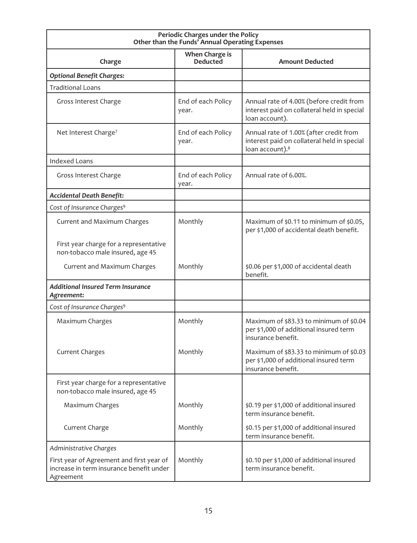| Periodic Charges under the Policy<br>Other than the Funds' Annual Operating Expenses               |                             |                                                                                                                       |  |  |
|----------------------------------------------------------------------------------------------------|-----------------------------|-----------------------------------------------------------------------------------------------------------------------|--|--|
| When Charge is<br><b>Deducted</b><br>Charge<br><b>Amount Deducted</b>                              |                             |                                                                                                                       |  |  |
| <b>Optional Benefit Charges:</b>                                                                   |                             |                                                                                                                       |  |  |
| <b>Traditional Loans</b>                                                                           |                             |                                                                                                                       |  |  |
| Gross Interest Charge                                                                              | End of each Policy<br>year. | Annual rate of 4.00% (before credit from<br>interest paid on collateral held in special<br>loan account).             |  |  |
| Net Interest Charge <sup>7</sup>                                                                   | End of each Policy<br>year. | Annual rate of 1.00% (after credit from<br>interest paid on collateral held in special<br>loan account). <sup>8</sup> |  |  |
| <b>Indexed Loans</b>                                                                               |                             |                                                                                                                       |  |  |
| Gross Interest Charge                                                                              | End of each Policy<br>year. | Annual rate of 6.00%.                                                                                                 |  |  |
| <b>Accidental Death Benefit:</b>                                                                   |                             |                                                                                                                       |  |  |
| Cost of Insurance Charges <sup>9</sup>                                                             |                             |                                                                                                                       |  |  |
| Current and Maximum Charges                                                                        | Monthly                     | Maximum of \$0.11 to minimum of \$0.05,<br>per \$1,000 of accidental death benefit.                                   |  |  |
| First year charge for a representative<br>non-tobacco male insured, age 45                         |                             |                                                                                                                       |  |  |
| Current and Maximum Charges                                                                        | Monthly                     | \$0.06 per \$1,000 of accidental death<br>benefit.                                                                    |  |  |
| <b>Additional Insured Term Insurance</b><br>Agreement:                                             |                             |                                                                                                                       |  |  |
| Cost of Insurance Charges <sup>9</sup>                                                             |                             |                                                                                                                       |  |  |
| Maximum Charges                                                                                    | Monthly                     | Maximum of \$83.33 to minimum of \$0.04<br>per \$1,000 of additional insured term<br>insurance benefit.               |  |  |
| <b>Current Charges</b>                                                                             | Monthly                     | Maximum of \$83.33 to minimum of \$0.03<br>per \$1,000 of additional insured term<br>insurance benefit.               |  |  |
| First year charge for a representative<br>non-tobacco male insured, age 45                         |                             |                                                                                                                       |  |  |
| Maximum Charges                                                                                    | Monthly                     | \$0.19 per \$1,000 of additional insured<br>term insurance benefit.                                                   |  |  |
| Current Charge                                                                                     | Monthly                     | \$0.15 per \$1,000 of additional insured<br>term insurance benefit.                                                   |  |  |
| Administrative Charges                                                                             |                             |                                                                                                                       |  |  |
| First year of Agreement and first year of<br>increase in term insurance benefit under<br>Agreement | Monthly                     | \$0.10 per \$1,000 of additional insured<br>term insurance benefit.                                                   |  |  |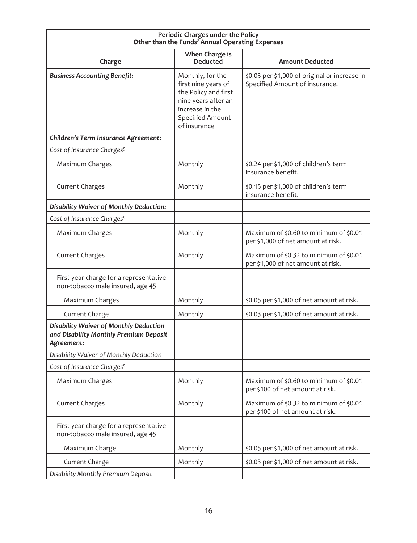| Periodic Charges under the Policy<br>Other than the Funds' Annual Operating Expenses           |                                                                                                                                                      |                                                                                 |  |  |
|------------------------------------------------------------------------------------------------|------------------------------------------------------------------------------------------------------------------------------------------------------|---------------------------------------------------------------------------------|--|--|
| When Charge is<br><b>Deducted</b><br><b>Amount Deducted</b><br>Charge                          |                                                                                                                                                      |                                                                                 |  |  |
| <b>Business Accounting Benefit:</b>                                                            | Monthly, for the<br>first nine years of<br>the Policy and first<br>nine years after an<br>increase in the<br><b>Specified Amount</b><br>of insurance | \$0.03 per \$1,000 of original or increase in<br>Specified Amount of insurance. |  |  |
| Children's Term Insurance Agreement:                                                           |                                                                                                                                                      |                                                                                 |  |  |
| Cost of Insurance Charges <sup>9</sup>                                                         |                                                                                                                                                      |                                                                                 |  |  |
| Maximum Charges                                                                                | Monthly                                                                                                                                              | \$0.24 per \$1,000 of children's term<br>insurance benefit.                     |  |  |
| <b>Current Charges</b>                                                                         | Monthly                                                                                                                                              | \$0.15 per \$1,000 of children's term<br>insurance benefit.                     |  |  |
| Disability Waiver of Monthly Deduction:                                                        |                                                                                                                                                      |                                                                                 |  |  |
| Cost of Insurance Charges <sup>9</sup>                                                         |                                                                                                                                                      |                                                                                 |  |  |
| Maximum Charges                                                                                | Monthly                                                                                                                                              | Maximum of \$0.60 to minimum of \$0.01<br>per \$1,000 of net amount at risk.    |  |  |
| <b>Current Charges</b>                                                                         | Monthly                                                                                                                                              | Maximum of \$0.32 to minimum of \$0.01<br>per \$1,000 of net amount at risk.    |  |  |
| First year charge for a representative<br>non-tobacco male insured, age 45                     |                                                                                                                                                      |                                                                                 |  |  |
| Maximum Charges                                                                                | Monthly                                                                                                                                              | \$0.05 per \$1,000 of net amount at risk.                                       |  |  |
| Current Charge                                                                                 | Monthly                                                                                                                                              | \$0.03 per \$1,000 of net amount at risk.                                       |  |  |
| Disability Waiver of Monthly Deduction<br>and Disability Monthly Premium Deposit<br>Agreement: |                                                                                                                                                      |                                                                                 |  |  |
| Disability Waiver of Monthly Deduction                                                         |                                                                                                                                                      |                                                                                 |  |  |
| Cost of Insurance Charges <sup>9</sup>                                                         |                                                                                                                                                      |                                                                                 |  |  |
| Maximum Charges                                                                                | Monthly                                                                                                                                              | Maximum of \$0.60 to minimum of \$0.01<br>per \$100 of net amount at risk.      |  |  |
| <b>Current Charges</b>                                                                         | Monthly                                                                                                                                              | Maximum of \$0.32 to minimum of \$0.01<br>per \$100 of net amount at risk.      |  |  |
| First year charge for a representative<br>non-tobacco male insured, age 45                     |                                                                                                                                                      |                                                                                 |  |  |
| Maximum Charge                                                                                 | Monthly                                                                                                                                              | \$0.05 per \$1,000 of net amount at risk.                                       |  |  |
| Current Charge                                                                                 | Monthly                                                                                                                                              | \$0.03 per \$1,000 of net amount at risk.                                       |  |  |
| Disability Monthly Premium Deposit                                                             |                                                                                                                                                      |                                                                                 |  |  |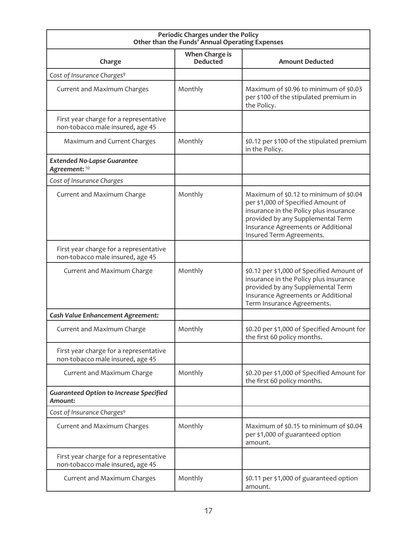| Periodic Charges under the Policy<br>Other than the Funds' Annual Operating Expenses |                                   |                                                                                                                                                                                                                               |  |
|--------------------------------------------------------------------------------------|-----------------------------------|-------------------------------------------------------------------------------------------------------------------------------------------------------------------------------------------------------------------------------|--|
| Charge                                                                               | When Charge is<br><b>Deducted</b> | <b>Amount Deducted</b>                                                                                                                                                                                                        |  |
| Cost of Insurance Charges <sup>9</sup>                                               |                                   |                                                                                                                                                                                                                               |  |
| Current and Maximum Charges                                                          | Monthly                           | Maximum of \$0.96 to minimum of \$0.03<br>per \$100 of the stipulated premium in<br>the Policy.                                                                                                                               |  |
| First year charge for a representative<br>non-tobacco male insured, age 45           |                                   |                                                                                                                                                                                                                               |  |
| Maximum and Current Charges                                                          | Monthly                           | \$0.12 per \$100 of the stipulated premium<br>in the Policy.                                                                                                                                                                  |  |
| <b>Extended No-Lapse Guarantee</b><br>Agreement: 10                                  |                                   |                                                                                                                                                                                                                               |  |
| Cost of Insurance Charges                                                            |                                   |                                                                                                                                                                                                                               |  |
| Current and Maximum Charge                                                           | Monthly                           | Maximum of \$0.12 to minimum of \$0.04<br>per \$1,000 of Specified Amount of<br>insurance in the Policy plus insurance<br>provided by any Supplemental Term<br>Insurance Agreements or Additional<br>Insured Term Agreements. |  |
| First year charge for a representative<br>non-tobacco male insured, age 45           |                                   |                                                                                                                                                                                                                               |  |
| Current and Maximum Charge                                                           | Monthly                           | \$0.12 per \$1,000 of Specified Amount of<br>insurance in the Policy plus insurance<br>provided by any Supplemental Term<br>Insurance Agreements or Additional<br>Term Insurance Agreements.                                  |  |
| <b>Cash Value Enhancement Agreement:</b>                                             |                                   |                                                                                                                                                                                                                               |  |
| Current and Maximum Charge                                                           | Monthly                           | \$0.20 per \$1,000 of Specified Amount for<br>the first 60 policy months.                                                                                                                                                     |  |
| First year charge for a representative<br>non-tobacco male insured, age 45           |                                   |                                                                                                                                                                                                                               |  |
| Current and Maximum Charge                                                           | Monthly                           | \$0.20 per \$1,000 of Specified Amount for<br>the first 60 policy months.                                                                                                                                                     |  |
| <b>Guaranteed Option to Increase Specified</b><br>Amount:                            |                                   |                                                                                                                                                                                                                               |  |
| Cost of Insurance Charges <sup>9</sup>                                               |                                   |                                                                                                                                                                                                                               |  |
| Current and Maximum Charges                                                          | Monthly                           | Maximum of \$0.15 to minimum of \$0.04<br>per \$1,000 of guaranteed option<br>amount.                                                                                                                                         |  |
| First year charge for a representative<br>non-tobacco male insured, age 45           |                                   |                                                                                                                                                                                                                               |  |
| Current and Maximum Charges                                                          | Monthly                           | \$0.11 per \$1,000 of guaranteed option<br>amount.                                                                                                                                                                            |  |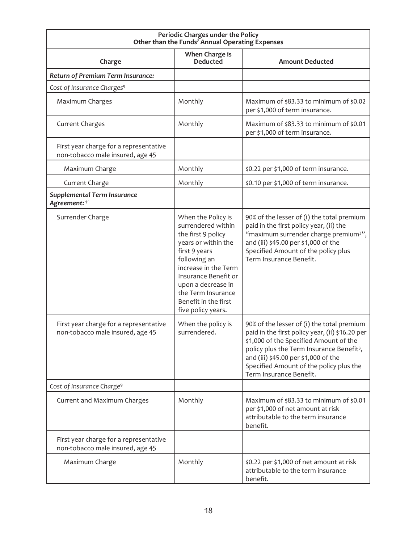| Periodic Charges under the Policy<br>Other than the Funds' Annual Operating Expenses |                                                                                                                                                                                                                                                                  |                                                                                                                                                                                                                                                                                                                |  |
|--------------------------------------------------------------------------------------|------------------------------------------------------------------------------------------------------------------------------------------------------------------------------------------------------------------------------------------------------------------|----------------------------------------------------------------------------------------------------------------------------------------------------------------------------------------------------------------------------------------------------------------------------------------------------------------|--|
| Charge                                                                               | When Charge is<br><b>Deducted</b>                                                                                                                                                                                                                                | <b>Amount Deducted</b>                                                                                                                                                                                                                                                                                         |  |
| Return of Premium Term Insurance:                                                    |                                                                                                                                                                                                                                                                  |                                                                                                                                                                                                                                                                                                                |  |
| Cost of Insurance Charges <sup>9</sup>                                               |                                                                                                                                                                                                                                                                  |                                                                                                                                                                                                                                                                                                                |  |
| Maximum Charges                                                                      | Monthly                                                                                                                                                                                                                                                          | Maximum of \$83.33 to minimum of \$0.02<br>per \$1,000 of term insurance.                                                                                                                                                                                                                                      |  |
| <b>Current Charges</b>                                                               | Monthly                                                                                                                                                                                                                                                          | Maximum of \$83.33 to minimum of \$0.01<br>per \$1,000 of term insurance.                                                                                                                                                                                                                                      |  |
| First year charge for a representative<br>non-tobacco male insured, age 45           |                                                                                                                                                                                                                                                                  |                                                                                                                                                                                                                                                                                                                |  |
| Maximum Charge                                                                       | Monthly                                                                                                                                                                                                                                                          | \$0.22 per \$1,000 of term insurance.                                                                                                                                                                                                                                                                          |  |
| Current Charge                                                                       | Monthly                                                                                                                                                                                                                                                          | \$0.10 per \$1,000 of term insurance.                                                                                                                                                                                                                                                                          |  |
| <b>Supplemental Term Insurance</b><br>Agreement: 11                                  |                                                                                                                                                                                                                                                                  |                                                                                                                                                                                                                                                                                                                |  |
| Surrender Charge                                                                     | When the Policy is<br>surrendered within<br>the first 9 policy<br>years or within the<br>first 9 years<br>following an<br>increase in the Term<br>Insurance Benefit or<br>upon a decrease in<br>the Term Insurance<br>Benefit in the first<br>five policy years. | 90% of the lesser of (i) the total premium<br>paid in the first policy year, (ii) the<br>"maximum surrender charge premium <sup>3"</sup> ,<br>and (iii) \$45.00 per \$1,000 of the<br>Specified Amount of the policy plus<br>Term Insurance Benefit.                                                           |  |
| First year charge for a representative<br>non-tobacco male insured, age 45           | When the policy is<br>surrendered.                                                                                                                                                                                                                               | 90% of the lesser of (i) the total premium<br>paid in the first policy year, (ii) \$16.20 per<br>\$1,000 of the Specified Amount of the<br>policy plus the Term Insurance Benefit <sup>3</sup> ,<br>and (iii) \$45.00 per \$1,000 of the<br>Specified Amount of the policy plus the<br>Term Insurance Benefit. |  |
| Cost of Insurance Charge <sup>9</sup>                                                |                                                                                                                                                                                                                                                                  |                                                                                                                                                                                                                                                                                                                |  |
| Current and Maximum Charges                                                          | Monthly                                                                                                                                                                                                                                                          | Maximum of \$83.33 to minimum of \$0.01<br>per \$1,000 of net amount at risk<br>attributable to the term insurance<br>benefit.                                                                                                                                                                                 |  |
| First year charge for a representative<br>non-tobacco male insured, age 45           |                                                                                                                                                                                                                                                                  |                                                                                                                                                                                                                                                                                                                |  |
| Maximum Charge                                                                       | Monthly                                                                                                                                                                                                                                                          | \$0.22 per \$1,000 of net amount at risk<br>attributable to the term insurance<br>benefit.                                                                                                                                                                                                                     |  |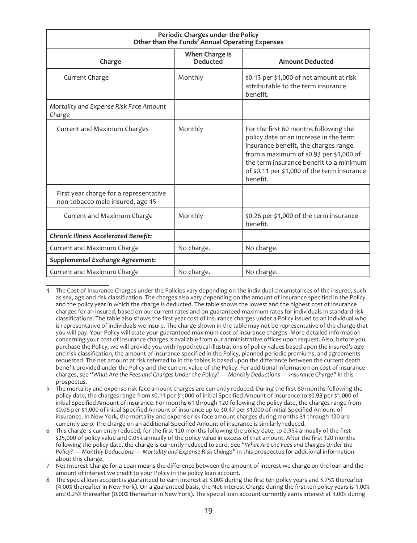| Periodic Charges under the Policy<br>Other than the Funds' Annual Operating Expenses |                                   |                                                                                                                                                                                                                                                                          |  |
|--------------------------------------------------------------------------------------|-----------------------------------|--------------------------------------------------------------------------------------------------------------------------------------------------------------------------------------------------------------------------------------------------------------------------|--|
| Charge                                                                               | When Charge is<br><b>Deducted</b> | <b>Amount Deducted</b>                                                                                                                                                                                                                                                   |  |
| Current Charge                                                                       | Monthly                           | \$0.13 per \$1,000 of net amount at risk<br>attributable to the term insurance<br>benefit.                                                                                                                                                                               |  |
| Mortality and Expense Risk Face Amount<br>Charge                                     |                                   |                                                                                                                                                                                                                                                                          |  |
| Current and Maximum Charges                                                          | Monthly                           | For the first 60 months following the<br>policy date or an increase in the term<br>insurance benefit, the charges range<br>from a maximum of \$0.93 per \$1,000 of<br>the term insurance benefit to a minimum<br>of \$0.11 per \$1,000 of the term insurance<br>benefit. |  |
| First year charge for a representative<br>non-tobacco male insured, age 45           |                                   |                                                                                                                                                                                                                                                                          |  |
| Current and Maximum Charge                                                           | Monthly                           | \$0.26 per \$1,000 of the term insurance<br>henefit.                                                                                                                                                                                                                     |  |
| <b>Chronic Illness Accelerated Benefit:</b>                                          |                                   |                                                                                                                                                                                                                                                                          |  |
| Current and Maximum Charge                                                           | No charge.                        | No charge.                                                                                                                                                                                                                                                               |  |
| Supplemental Exchange Agreement:                                                     |                                   |                                                                                                                                                                                                                                                                          |  |
| Current and Maximum Charge                                                           | No charge.                        | No charge.                                                                                                                                                                                                                                                               |  |

<sup>4</sup> The Cost of Insurance Charges under the Policies vary depending on the individual circumstances of the insured, such as sex, age and risk classification. The charges also vary depending on the amount of insurance specified in the Policy and the policy year in which the charge is deducted. The table shows the lowest and the highest cost of insurance charges for an insured, based on our current rates and on guaranteed maximum rates for individuals in standard risk classifications. The table also shows the first year cost of insurance charges under a Policy issued to an individual who is representative of individuals we insure. The charge shown in the table may not be representative of the charge that you will pay. Your Policy will state your guaranteed maximum cost of insurance charges. More detailed information concerning your cost of insurance charges is available from our administrative offices upon request. Also, before you purchase the Policy, we will provide you with hypothetical illustrations of policy values based upon the insured's age and risk classification, the amount of insurance specified in the Policy, planned periodic premiums, and agreements requested. The net amount at risk referred to in the tables is based upon the difference between the current death benefit provided under the Policy and the current value of the Policy. For additional information on cost of insurance charges, see "*What Are the Fees and Charges Under the Policy? — Monthly Deductions — Insurance Charge"* in this prospectus.

<sup>5</sup> The mortality and expense risk face amount charges are currently reduced. During the first 60 months following the policy date, the charges range from \$0.11 per \$1,000 of initial Specified Amount of insurance to \$0.93 per \$1,000 of initial Specified Amount of insurance. For months 61 through 120 following the policy date, the charges range from \$0.06 per \$1,000 of initial Specified Amount of insurance up to \$0.47 per \$1,000 of initial Specified Amount of insurance. In New York, the mortality and expense risk face amount charges during months 61 through 120 are currently zero. The charge on an additional Specified Amount of insurance is similarly reduced.

<sup>6</sup> This charge is currently reduced, for the first 120 months following the policy date, to 0.35% annually of the first \$25,000 of policy value and 0.05% annually of the policy value in excess of that amount. After the first 120 months following the policy date, the charge is currently reduced to zero. See "*What Are the Fees and Charges Under the Policy? — Monthly Deductions — Mortality and Expense Risk Change"* in this prospectus for additional information about this charge.

<sup>7</sup> Net Interest Charge for a Loan means the difference between the amount of interest we charge on the loan and the amount of interest we credit to your Policy in the policy loan account.

<sup>8</sup> The special loan account is guaranteed to earn interest at 3.00% during the first ten policy years and 3.75% thereafter (4.00% thereafter in New York). On a guaranteed basis, the Net Interest Charge during the first ten policy years is 1.00% and 0.25% thereafter (0.00% thereafter in New York). The special loan account currently earns interest at 3.00% during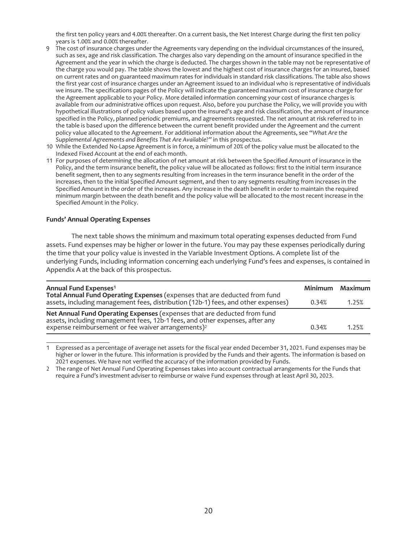the first ten policy years and 4.00% thereafter. On a current basis, the Net Interest Charge during the first ten policy years is 1.00% and 0.00% thereafter.

- 9 The cost of insurance charges under the Agreements vary depending on the individual circumstances of the insured, such as sex, age and risk classification. The charges also vary depending on the amount of insurance specified in the Agreement and the year in which the charge is deducted. The charges shown in the table may not be representative of the charge you would pay. The table shows the lowest and the highest cost of insurance charges for an insured, based on current rates and on guaranteed maximum rates for individuals in standard risk classifications. The table also shows the first year cost of insurance charges under an Agreement issued to an individual who is representative of individuals we insure. The specifications pages of the Policy will indicate the guaranteed maximum cost of insurance charge for the Agreement applicable to your Policy. More detailed information concerning your cost of insurance charges is available from our administrative offices upon request. Also, before you purchase the Policy, we will provide you with hypothetical illustrations of policy values based upon the insured's age and risk classification, the amount of insurance specified in the Policy, planned periodic premiums, and agreements requested. The net amount at risk referred to in the table is based upon the difference between the current benefit provided under the Agreement and the current policy value allocated to the Agreement. For additional information about the Agreements, see "*What Are the Supplemental Agreements and Benefits That Are Available?"* in this prospectus.
- 10 While the Extended No-Lapse Agreement is in force, a minimum of 20% of the policy value must be allocated to the Indexed Fixed Account at the end of each month.
- 11 For purposes of determining the allocation of net amount at risk between the Specified Amount of insurance in the Policy, and the term insurance benefit, the policy value will be allocated as follows: first to the initial term insurance benefit segment, then to any segments resulting from increases in the term insurance benefit in the order of the increases, then to the initial Specified Amount segment, and then to any segments resulting from increases in the Specified Amount in the order of the increases. Any increase in the death benefit in order to maintain the required minimum margin between the death benefit and the policy value will be allocated to the most recent increase in the Specified Amount in the Policy.

#### **Funds' Annual Operating Expenses**

The next table shows the minimum and maximum total operating expenses deducted from Fund assets. Fund expenses may be higher or lower in the future. You may pay these expenses periodically during the time that your policy value is invested in the Variable Investment Options. A complete list of the underlying Funds, including information concerning each underlying Fund's fees and expenses, is contained in Appendix A at the back of this prospectus.

| Annual Fund Expenses <sup>1</sup>                                                                                                                                                                                          |       | Minimum Maximum |
|----------------------------------------------------------------------------------------------------------------------------------------------------------------------------------------------------------------------------|-------|-----------------|
| Total Annual Fund Operating Expenses (expenses that are deducted from fund assets, including management fees, distribution (12b-1) fees, and other expenses)                                                               | 0.34% | 1.25%           |
| Net Annual Fund Operating Expenses (expenses that are deducted from fund<br>assets, including management fees, 12b-1 fees, and other expenses, after any<br>expense reimbursement or fee waiver arrangements) <sup>2</sup> | 0.34% | 1.25%           |

<sup>1</sup> Expressed as a percentage of average net assets for the fiscal year ended December 31, 2021. Fund expenses may be higher or lower in the future. This information is provided by the Funds and their agents. The information is based on 2021 expenses. We have not verified the accuracy of the information provided by Funds.

<sup>2</sup> The range of Net Annual Fund Operating Expenses takes into account contractual arrangements for the Funds that require a Fund's investment adviser to reimburse or waive Fund expenses through at least April 30, 2023.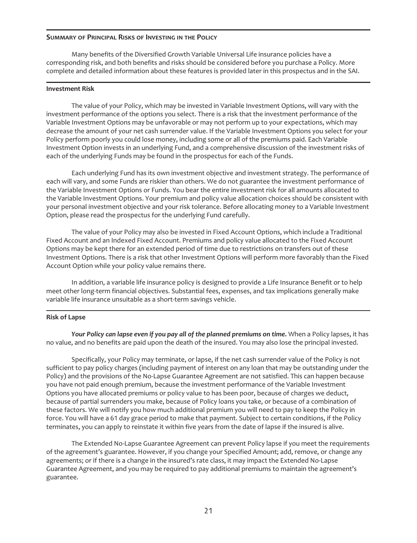#### **SUMMARY OF PRINCIPAL RISKS OF INVESTING IN THE POLICY**

Many benefits of the Diversified Growth Variable Universal Life insurance policies have a corresponding risk, and both benefits and risks should be considered before you purchase a Policy. More complete and detailed information about these features is provided later in this prospectus and in the SAI.

#### **Investment Risk**

The value of your Policy, which may be invested in Variable Investment Options, will vary with the investment performance of the options you select. There is a risk that the investment performance of the Variable Investment Options may be unfavorable or may not perform up to your expectations, which may decrease the amount of your net cash surrender value. If the Variable Investment Options you select for your Policy perform poorly you could lose money, including some or all of the premiums paid. Each Variable Investment Option invests in an underlying Fund, and a comprehensive discussion of the investment risks of each of the underlying Funds may be found in the prospectus for each of the Funds.

Each underlying Fund has its own investment objective and investment strategy. The performance of each will vary, and some Funds are riskier than others. We do not guarantee the investment performance of the Variable Investment Options or Funds. You bear the entire investment risk for all amounts allocated to the Variable Investment Options. Your premium and policy value allocation choices should be consistent with your personal investment objective and your risk tolerance. Before allocating money to a Variable Investment Option, please read the prospectus for the underlying Fund carefully.

The value of your Policy may also be invested in Fixed Account Options, which include a Traditional Fixed Account and an Indexed Fixed Account. Premiums and policy value allocated to the Fixed Account Options may be kept there for an extended period of time due to restrictions on transfers out of these Investment Options. There is a risk that other Investment Options will perform more favorably than the Fixed Account Option while your policy value remains there.

In addition, a variable life insurance policy is designed to provide a Life Insurance Benefit or to help meet other long-term financial objectives. Substantial fees, expenses, and tax implications generally make variable life insurance unsuitable as a short-term savings vehicle.

#### **Risk of Lapse**

*Your Policy can lapse even if you pay all of the planned premiums on time.* When a Policy lapses, it has no value, and no benefits are paid upon the death of the insured. You may also lose the principal invested.

Specifically, your Policy may terminate, or lapse, if the net cash surrender value of the Policy is not sufficient to pay policy charges (including payment of interest on any loan that may be outstanding under the Policy) and the provisions of the No-Lapse Guarantee Agreement are not satisfied. This can happen because you have not paid enough premium, because the investment performance of the Variable Investment Options you have allocated premiums or policy value to has been poor, because of charges we deduct, because of partial surrenders you make, because of Policy loans you take, or because of a combination of these factors. We will notify you how much additional premium you will need to pay to keep the Policy in force. You will have a 61 day grace period to make that payment. Subject to certain conditions, if the Policy terminates, you can apply to reinstate it within five years from the date of lapse if the insured is alive.

The Extended No-Lapse Guarantee Agreement can prevent Policy lapse if you meet the requirements of the agreement's guarantee. However, if you change your Specified Amount; add, remove, or change any agreements; or if there is a change in the insured's rate class, it may impact the Extended No-Lapse Guarantee Agreement, and you may be required to pay additional premiums to maintain the agreement's guarantee.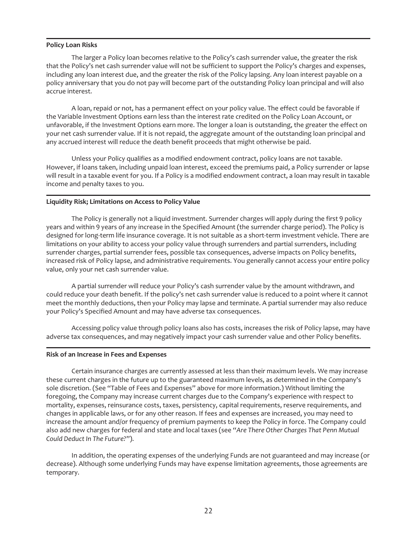#### **Policy Loan Risks**

The larger a Policy loan becomes relative to the Policy's cash surrender value, the greater the risk that the Policy's net cash surrender value will not be sufficient to support the Policy's charges and expenses, including any loan interest due, and the greater the risk of the Policy lapsing. Any loan interest payable on a policy anniversary that you do not pay will become part of the outstanding Policy loan principal and will also accrue interest.

A loan, repaid or not, has a permanent effect on your policy value. The effect could be favorable if the Variable Investment Options earn less than the interest rate credited on the Policy Loan Account, or unfavorable, if the Investment Options earn more. The longer a loan is outstanding, the greater the effect on your net cash surrender value. If it is not repaid, the aggregate amount of the outstanding loan principal and any accrued interest will reduce the death benefit proceeds that might otherwise be paid.

Unless your Policy qualifies as a modified endowment contract, policy loans are not taxable. However, if loans taken, including unpaid loan interest, exceed the premiums paid, a Policy surrender or lapse will result in a taxable event for you. If a Policy is a modified endowment contract, a loan may result in taxable income and penalty taxes to you.

#### **Liquidity Risk; Limitations on Access to Policy Value**

The Policy is generally not a liquid investment. Surrender charges will apply during the first 9 policy years and within 9 years of any increase in the Specified Amount (the surrender charge period). The Policy is designed for long-term life insurance coverage. It is not suitable as a short-term investment vehicle. There are limitations on your ability to access your policy value through surrenders and partial surrenders, including surrender charges, partial surrender fees, possible tax consequences, adverse impacts on Policy benefits, increased risk of Policy lapse, and administrative requirements. You generally cannot access your entire policy value, only your net cash surrender value.

A partial surrender will reduce your Policy's cash surrender value by the amount withdrawn, and could reduce your death benefit. If the policy's net cash surrender value is reduced to a point where it cannot meet the monthly deductions, then your Policy may lapse and terminate. A partial surrender may also reduce your Policy's Specified Amount and may have adverse tax consequences.

Accessing policy value through policy loans also has costs, increases the risk of Policy lapse, may have adverse tax consequences, and may negatively impact your cash surrender value and other Policy benefits.

#### **Risk of an Increase in Fees and Expenses**

Certain insurance charges are currently assessed at less than their maximum levels. We may increase these current charges in the future up to the guaranteed maximum levels, as determined in the Company's sole discretion. (See "Table of Fees and Expenses" above for more information.) Without limiting the foregoing, the Company may increase current charges due to the Company's experience with respect to mortality, expenses, reinsurance costs, taxes, persistency, capital requirements, reserve requirements, and changes in applicable laws, or for any other reason. If fees and expenses are increased, you may need to increase the amount and/or frequency of premium payments to keep the Policy in force. The Company could also add new charges for federal and state and local taxes (see "*Are There Other Charges That Penn Mutual Could Deduct In The Future?*").

In addition, the operating expenses of the underlying Funds are not guaranteed and may increase (or decrease). Although some underlying Funds may have expense limitation agreements, those agreements are temporary.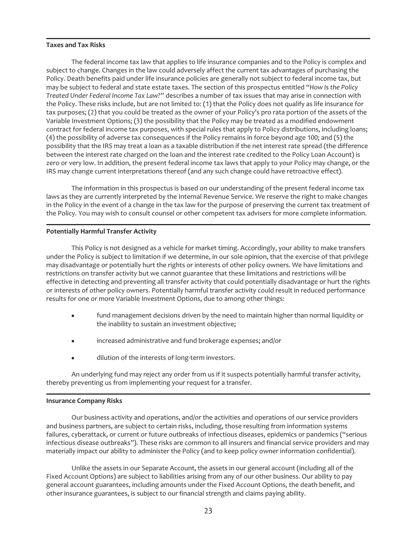# **Taxes and Tax Risks**

The federal income tax law that applies to life insurance companies and to the Policy is complex and subject to change. Changes in the law could adversely affect the current tax advantages of purchasing the Policy. Death benefits paid under life insurance policies are generally not subject to federal income tax, but may be subject to federal and state estate taxes. The section of this prospectus entitled "*How Is the Policy Treated Under Federal Income Tax Law?*" describes a number of tax issues that may arise in connection with the Policy. These risks include, but are not limited to: (1) that the Policy does not qualify as life insurance for tax purposes; (2) that you could be treated as the owner of your Policy's pro rata portion of the assets of the Variable Investment Options; (3) the possibility that the Policy may be treated as a modified endowment contract for federal income tax purposes, with special rules that apply to Policy distributions, including loans; (4) the possibility of adverse tax consequences if the Policy remains in force beyond age 100; and (5) the possibility that the IRS may treat a loan as a taxable distribution if the net interest rate spread (the difference between the interest rate charged on the loan and the interest rate credited to the Policy Loan Account) is zero or very low. In addition, the present federal income tax laws that apply to your Policy may change, or the IRS may change current interpretations thereof (and any such change could have retroactive effect).

The information in this prospectus is based on our understanding of the present federal income tax laws as they are currently interpreted by the Internal Revenue Service. We reserve the right to make changes in the Policy in the event of a change in the tax law for the purpose of preserving the current tax treatment of the Policy. You may wish to consult counsel or other competent tax advisers for more complete information.

#### **Potentially Harmful Transfer Activity**

This Policy is not designed as a vehicle for market timing. Accordingly, your ability to make transfers under the Policy is subject to limitation if we determine, in our sole opinion, that the exercise of that privilege may disadvantage or potentially hurt the rights or interests of other policy owners. We have limitations and restrictions on transfer activity but we cannot guarantee that these limitations and restrictions will be effective in detecting and preventing all transfer activity that could potentially disadvantage or hurt the rights or interests of other policy owners. Potentially harmful transfer activity could result in reduced performance results for one or more Variable Investment Options, due to among other things:

- fund management decisions driven by the need to maintain higher than normal liquidity or the inability to sustain an investment objective;
- $\bullet$  increased administrative and fund brokerage expenses; and/or
- dilution of the interests of long-term investors.

An underlying fund may reject any order from us if it suspects potentially harmful transfer activity, thereby preventing us from implementing your request for a transfer.

#### **Insurance Company Risks**

Our business activity and operations, and/or the activities and operations of our service providers and business partners, are subject to certain risks, including, those resulting from information systems failures, cyberattack, or current or future outbreaks of infectious diseases, epidemics or pandemics ("serious infectious disease outbreaks"). These risks are common to all insurers and financial service providers and may materially impact our ability to administer the Policy (and to keep policy owner information confidential).

Unlike the assets in our Separate Account, the assets in our general account (including all of the Fixed Account Options) are subject to liabilities arising from any of our other business. Our ability to pay general account guarantees, including amounts under the Fixed Account Options, the death benefit, and other insurance guarantees, is subject to our financial strength and claims paying ability.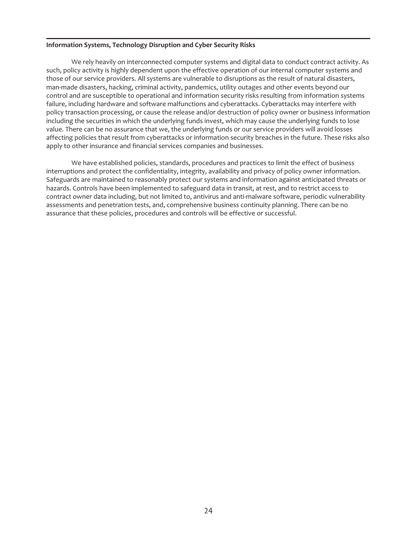# **Information Systems, Technology Disruption and Cyber Security Risks**

We rely heavily on interconnected computer systems and digital data to conduct contract activity. As such, policy activity is highly dependent upon the effective operation of our internal computer systems and those of our service providers. All systems are vulnerable to disruptions as the result of natural disasters, man-made disasters, hacking, criminal activity, pandemics, utility outages and other events beyond our control and are susceptible to operational and information security risks resulting from information systems failure, including hardware and software malfunctions and cyberattacks. Cyberattacks may interfere with policy transaction processing, or cause the release and/or destruction of policy owner or business information including the securities in which the underlying funds invest, which may cause the underlying funds to lose value. There can be no assurance that we, the underlying funds or our service providers will avoid losses affecting policies that result from cyberattacks or information security breaches in the future. These risks also apply to other insurance and financial services companies and businesses.

We have established policies, standards, procedures and practices to limit the effect of business interruptions and protect the confidentiality, integrity, availability and privacy of policy owner information. Safeguards are maintained to reasonably protect our systems and information against anticipated threats or hazards. Controls have been implemented to safeguard data in transit, at rest, and to restrict access to contract owner data including, but not limited to, antivirus and anti-malware software, periodic vulnerability assessments and penetration tests, and, comprehensive business continuity planning. There can be no assurance that these policies, procedures and controls will be effective or successful.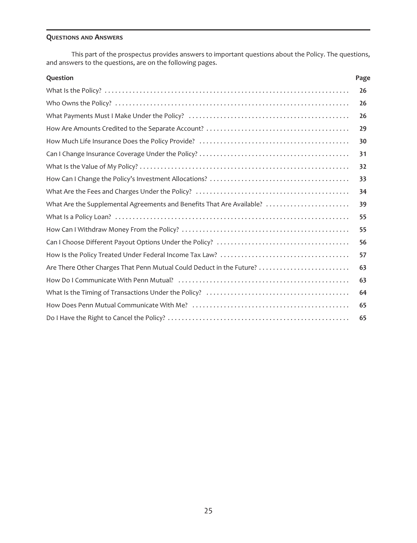# **QUESTIONS AND ANSWERS**

This part of the prospectus provides answers to important questions about the Policy. The questions, and answers to the questions, are on the following pages.

| Question                                                              | Page |
|-----------------------------------------------------------------------|------|
|                                                                       | 26   |
|                                                                       | 26   |
|                                                                       | 26   |
|                                                                       | 29   |
|                                                                       | 30   |
|                                                                       | 31   |
|                                                                       | 32   |
|                                                                       | 33   |
|                                                                       | 34   |
| What Are the Supplemental Agreements and Benefits That Are Available? | 39   |
|                                                                       | 55   |
|                                                                       | 55   |
|                                                                       | 56   |
|                                                                       | 57   |
| Are There Other Charges That Penn Mutual Could Deduct in the Future?  | 63   |
|                                                                       | 63   |
|                                                                       | 64   |
|                                                                       | 65   |
|                                                                       | 65   |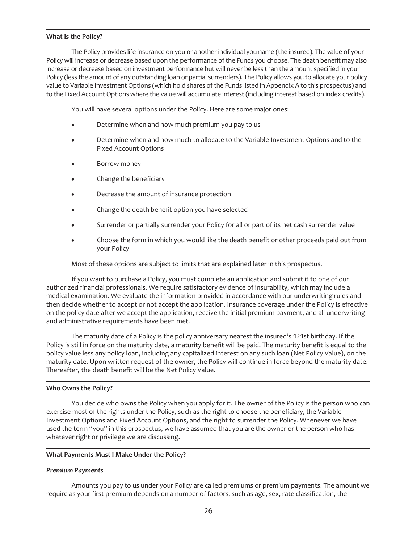#### <span id="page-26-0"></span>**What Is the Policy?**

The Policy provides life insurance on you or another individual you name (the insured). The value of your Policy will increase or decrease based upon the performance of the Funds you choose. The death benefit may also increase or decrease based on investment performance but will never be less than the amount specified in your Policy (less the amount of any outstanding loan or partial surrenders). The Policy allows you to allocate your policy value to Variable Investment Options (which hold shares of the Funds listed in Appendix A to this prospectus) and to the Fixed Account Options where the value will accumulate interest (including interest based on index credits).

You will have several options under the Policy. Here are some major ones:

- Determine when and how much premium you pay to us
- Determine when and how much to allocate to the Variable Investment Options and to the Fixed Account Options
- Borrow money
- Change the beneficiary
- Decrease the amount of insurance protection
- Change the death benefit option you have selected
- Surrender or partially surrender your Policy for all or part of its net cash surrender value
- Choose the form in which you would like the death benefit or other proceeds paid out from your Policy

Most of these options are subject to limits that are explained later in this prospectus.

If you want to purchase a Policy, you must complete an application and submit it to one of our authorized financial professionals. We require satisfactory evidence of insurability, which may include a medical examination. We evaluate the information provided in accordance with our underwriting rules and then decide whether to accept or not accept the application. Insurance coverage under the Policy is effective on the policy date after we accept the application, receive the initial premium payment, and all underwriting and administrative requirements have been met.

The maturity date of a Policy is the policy anniversary nearest the insured's 121st birthday. If the Policy is still in force on the maturity date, a maturity benefit will be paid. The maturity benefit is equal to the policy value less any policy loan, including any capitalized interest on any such loan (Net Policy Value), on the maturity date. Upon written request of the owner, the Policy will continue in force beyond the maturity date. Thereafter, the death benefit will be the Net Policy Value.

#### <span id="page-26-1"></span>**Who Owns the Policy?**

You decide who owns the Policy when you apply for it. The owner of the Policy is the person who can exercise most of the rights under the Policy, such as the right to choose the beneficiary, the Variable Investment Options and Fixed Account Options, and the right to surrender the Policy. Whenever we have used the term "you" in this prospectus, we have assumed that you are the owner or the person who has whatever right or privilege we are discussing.

#### <span id="page-26-2"></span>**What Payments Must I Make Under the Policy?**

#### *Premium Payments*

Amounts you pay to us under your Policy are called premiums or premium payments. The amount we require as your first premium depends on a number of factors, such as age, sex, rate classification, the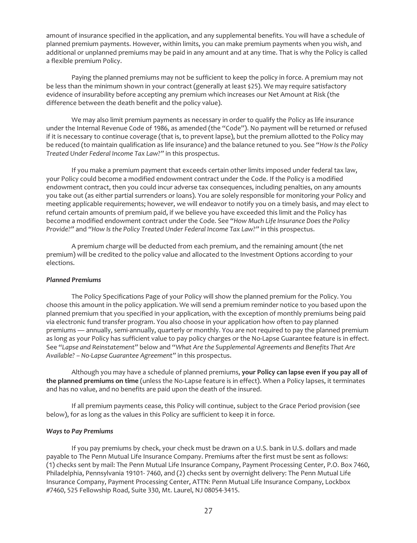amount of insurance specified in the application, and any supplemental benefits. You will have a schedule of planned premium payments. However, within limits, you can make premium payments when you wish, and additional or unplanned premiums may be paid in any amount and at any time. That is why the Policy is called a flexible premium Policy.

Paying the planned premiums may not be sufficient to keep the policy in force. A premium may not be less than the minimum shown in your contract (generally at least \$25). We may require satisfactory evidence of insurability before accepting any premium which increases our Net Amount at Risk (the difference between the death benefit and the policy value).

We may also limit premium payments as necessary in order to qualify the Policy as life insurance under the Internal Revenue Code of 1986, as amended (the "Code"). No payment will be returned or refused if it is necessary to continue coverage (that is, to prevent lapse), but the premium allotted to the Policy may be reduced (to maintain qualification as life insurance) and the balance retuned to you. See "*How Is the Policy Treated Under Federal Income Tax Law?"* in this prospectus.

If you make a premium payment that exceeds certain other limits imposed under federal tax law, your Policy could become a modified endowment contract under the Code. If the Policy is a modified endowment contract, then you could incur adverse tax consequences, including penalties, on any amounts you take out (as either partial surrenders or loans). You are solely responsible for monitoring your Policy and meeting applicable requirements; however, we will endeavor to notify you on a timely basis, and may elect to refund certain amounts of premium paid, if we believe you have exceeded this limit and the Policy has become a modified endowment contract under the Code. See "*How Much Life Insurance Does the Policy Provide?"* and *"How Is the Policy Treated Under Federal Income Tax Law?"* in this prospectus.

A premium charge will be deducted from each premium, and the remaining amount (the net premium) will be credited to the policy value and allocated to the Investment Options according to your elections.

#### *Planned Premiums*

The Policy Specifications Page of your Policy will show the planned premium for the Policy. You choose this amount in the policy application. We will send a premium reminder notice to you based upon the planned premium that you specified in your application, with the exception of monthly premiums being paid via electronic fund transfer program. You also choose in your application how often to pay planned premiums — annually, semi-annually, quarterly or monthly. You are not required to pay the planned premium as long as your Policy has sufficient value to pay policy charges or the No-Lapse Guarantee feature is in effect. See "*Lapse and Reinstatement"* below and "*What Are the Supplemental Agreements and Benefits That Are Available? – No-Lapse Guarantee Agreement"* in this prospectus.

Although you may have a schedule of planned premiums, **your Policy can lapse even if you pay all of the planned premiums on time** (unless the No-Lapse feature is in effect). When a Policy lapses, it terminates and has no value, and no benefits are paid upon the death of the insured.

If all premium payments cease, this Policy will continue, subject to the Grace Period provision (see below), for as long as the values in this Policy are sufficient to keep it in force.

#### *Ways to Pay Premiums*

If you pay premiums by check, your check must be drawn on a U.S. bank in U.S. dollars and made payable to The Penn Mutual Life Insurance Company. Premiums after the first must be sent as follows: (1) checks sent by mail: The Penn Mutual Life Insurance Company, Payment Processing Center, P.O. Box 7460, Philadelphia, Pennsylvania 19101- 7460, and (2) checks sent by overnight delivery: The Penn Mutual Life Insurance Company, Payment Processing Center, ATTN: Penn Mutual Life Insurance Company, Lockbox #7460, 525 Fellowship Road, Suite 330, Mt. Laurel, NJ 08054-3415.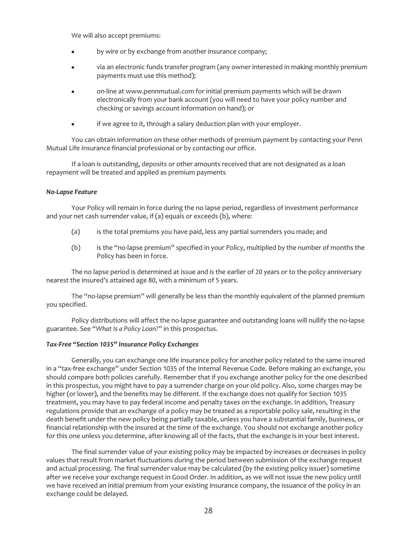We will also accept premiums:

- by wire or by exchange from another insurance company;
- via an electronic funds transfer program (any owner interested in making monthly premium payments must use this method);
- on-line at www.pennmutual.com for initial premium payments which will be drawn electronically from your bank account (you will need to have your policy number and checking or savings account information on hand); or
- if we agree to it, through a salary deduction plan with your employer.

You can obtain information on these other methods of premium payment by contacting your Penn Mutual Life Insurance financial professional or by contacting our office.

If a loan is outstanding, deposits or other amounts received that are not designated as a loan repayment will be treated and applied as premium payments

#### *No-Lapse Feature*

Your Policy will remain in force during the no lapse period, regardless of investment performance and your net cash surrender value, if (a) equals or exceeds (b), where:

- (a) is the total premiums you have paid, less any partial surrenders you made; and
- (b) is the "no-lapse premium" specified in your Policy, multiplied by the number of months the Policy has been in force.

The no lapse period is determined at issue and is the earlier of 20 years or to the policy anniversary nearest the insured's attained age 80, with a minimum of 5 years.

The "no-lapse premium" will generally be less than the monthly equivalent of the planned premium you specified.

Policy distributions will affect the no-lapse guarantee and outstanding loans will nullify the no-lapse guarantee. See "*What Is a Policy Loan?"* in this prospectus.

#### *Tax-Free "Section 1035" Insurance Policy Exchanges*

Generally, you can exchange one life insurance policy for another policy related to the same insured in a "tax-free exchange" under Section 1035 of the Internal Revenue Code. Before making an exchange, you should compare both policies carefully. Remember that if you exchange another policy for the one described in this prospectus, you might have to pay a surrender charge on your old policy. Also, some charges may be higher (or lower), and the benefits may be different. If the exchange does not qualify for Section 1035 treatment, you may have to pay federal income and penalty taxes on the exchange. In addition, Treasury regulations provide that an exchange of a policy may be treated as a reportable policy sale, resulting in the death benefit under the new policy being partially taxable, unless you have a substantial family, business, or financial relationship with the insured at the time of the exchange. You should not exchange another policy for this one unless you determine, after knowing all of the facts, that the exchange is in your best interest.

The final surrender value of your existing policy may be impacted by increases or decreases in policy values that result from market fluctuations during the period between submission of the exchange request and actual processing. The final surrender value may be calculated (by the existing policy issuer) sometime after we receive your exchange request in Good Order. In addition, as we will not issue the new policy until we have received an initial premium from your existing insurance company, the issuance of the policy in an exchange could be delayed.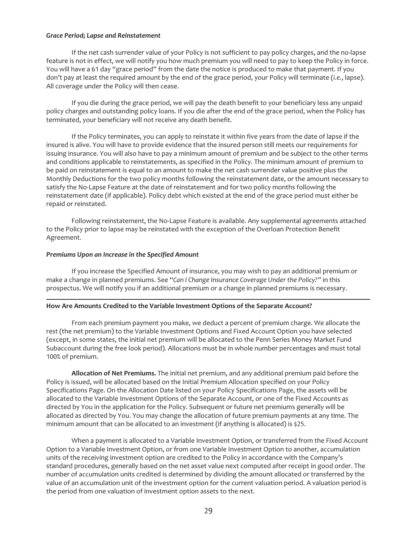#### *Grace Period; Lapse and Reinstatement*

If the net cash surrender value of your Policy is not sufficient to pay policy charges, and the no-lapse feature is not in effect, we will notify you how much premium you will need to pay to keep the Policy in force. You will have a 61 day "grace period" from the date the notice is produced to make that payment. If you don't pay at least the required amount by the end of the grace period, your Policy will terminate (*i.e.*, lapse). All coverage under the Policy will then cease.

If you die during the grace period, we will pay the death benefit to your beneficiary less any unpaid policy charges and outstanding policy loans. If you die after the end of the grace period, when the Policy has terminated, your beneficiary will not receive any death benefit.

If the Policy terminates, you can apply to reinstate it within five years from the date of lapse if the insured is alive. You will have to provide evidence that the insured person still meets our requirements for issuing insurance. You will also have to pay a minimum amount of premium and be subject to the other terms and conditions applicable to reinstatements, as specified in the Policy. The minimum amount of premium to be paid on reinstatement is equal to an amount to make the net cash surrender value positive plus the Monthly Deductions for the two policy months following the reinstatement date, or the amount necessary to satisfy the No-Lapse Feature at the date of reinstatement and for two policy months following the reinstatement date (if applicable). Policy debt which existed at the end of the grace period must either be repaid or reinstated.

Following reinstatement, the No-Lapse Feature is available. Any supplemental agreements attached to the Policy prior to lapse may be reinstated with the exception of the Overloan Protection Benefit Agreement.

#### *Premiums Upon an Increase in the Specified Amount*

If you increase the Specified Amount of insurance, you may wish to pay an additional premium or make a change in planned premiums. See "*Can I Change Insurance Coverage Under the Policy?"* in this prospectus. We will notify you if an additional premium or a change in planned premiums is necessary.

#### <span id="page-29-0"></span>**How Are Amounts Credited to the Variable Investment Options of the Separate Account?**

From each premium payment you make, we deduct a percent of premium charge. We allocate the rest (the net premium) to the Variable Investment Options and Fixed Account Option you have selected (except, in some states, the initial net premium will be allocated to the Penn Series Money Market Fund Subaccount during the free look period). Allocations must be in whole number percentages and must total 100% of premium.

**Allocation of Net Premiums.** The initial net premium, and any additional premium paid before the Policy is issued, will be allocated based on the Initial Premium Allocation specified on your Policy Specifications Page. On the Allocation Date listed on your Policy Specifications Page, the assets will be allocated to the Variable Investment Options of the Separate Account, or one of the Fixed Accounts as directed by You in the application for the Policy. Subsequent or future net premiums generally will be allocated as directed by You. You may change the allocation of future premium payments at any time. The minimum amount that can be allocated to an investment (if anything is allocated) is \$25.

When a payment is allocated to a Variable Investment Option, or transferred from the Fixed Account Option to a Variable Investment Option, or from one Variable Investment Option to another, accumulation units of the receiving investment option are credited to the Policy in accordance with the Company's standard procedures, generally based on the net asset value next computed after receipt in good order. The number of accumulation units credited is determined by dividing the amount allocated or transferred by the value of an accumulation unit of the investment option for the current valuation period. A valuation period is the period from one valuation of investment option assets to the next.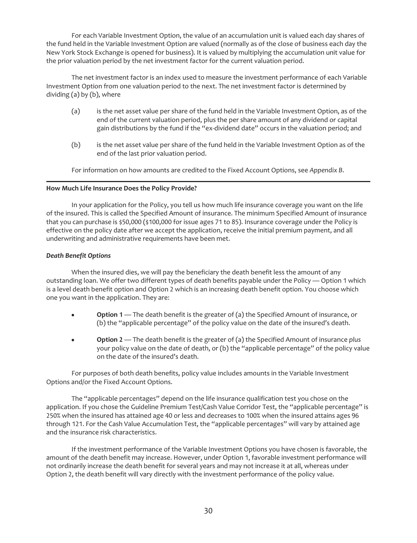For each Variable Investment Option, the value of an accumulation unit is valued each day shares of the fund held in the Variable Investment Option are valued (normally as of the close of business each day the New York Stock Exchange is opened for business). It is valued by multiplying the accumulation unit value for the prior valuation period by the net investment factor for the current valuation period.

The net investment factor is an index used to measure the investment performance of each Variable Investment Option from one valuation period to the next. The net investment factor is determined by dividing (a) by (b), where

- (a) is the net asset value per share of the fund held in the Variable Investment Option, as of the end of the current valuation period, plus the per share amount of any dividend or capital gain distributions by the fund if the "ex-dividend date" occurs in the valuation period; and
- (b) is the net asset value per share of the fund held in the Variable Investment Option as of the end of the last prior valuation period.

For information on how amounts are credited to the Fixed Account Options, see *Appendix B*.

#### <span id="page-30-0"></span>**How Much Life Insurance Does the Policy Provide?**

In your application for the Policy, you tell us how much life insurance coverage you want on the life of the insured. This is called the Specified Amount of insurance. The minimum Specified Amount of insurance that you can purchase is \$50,000 (\$100,000 for issue ages 71 to 85). Insurance coverage under the Policy is effective on the policy date after we accept the application, receive the initial premium payment, and all underwriting and administrative requirements have been met.

#### *Death Benefit Options*

When the insured dies, we will pay the beneficiary the death benefit less the amount of any outstanding loan. We offer two different types of death benefits payable under the Policy — Option 1 which is a level death benefit option and Option 2 which is an increasing death benefit option. You choose which one you want in the application. They are:

- **Option 1** The death benefit is the greater of (a) the Specified Amount of insurance, or (b) the "applicable percentage" of the policy value on the date of the insured's death.
- **Option 2** The death benefit is the greater of (a) the Specified Amount of insurance plus your policy value on the date of death, or (b) the "applicable percentage" of the policy value on the date of the insured's death.

For purposes of both death benefits, policy value includes amounts in the Variable Investment Options and/or the Fixed Account Options.

The "applicable percentages" depend on the life insurance qualification test you chose on the application. If you chose the Guideline Premium Test/Cash Value Corridor Test, the "applicable percentage" is 250% when the insured has attained age 40 or less and decreases to 100% when the insured attains ages 96 through 121. For the Cash Value Accumulation Test, the "applicable percentages" will vary by attained age and the insurance risk characteristics.

If the investment performance of the Variable Investment Options you have chosen is favorable, the amount of the death benefit may increase. However, under Option 1, favorable investment performance will not ordinarily increase the death benefit for several years and may not increase it at all, whereas under Option 2, the death benefit will vary directly with the investment performance of the policy value.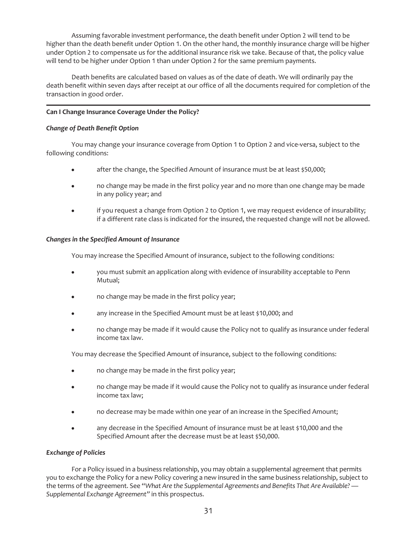Assuming favorable investment performance, the death benefit under Option 2 will tend to be higher than the death benefit under Option 1. On the other hand, the monthly insurance charge will be higher under Option 2 to compensate us for the additional insurance risk we take. Because of that, the policy value will tend to be higher under Option 1 than under Option 2 for the same premium payments.

Death benefits are calculated based on values as of the date of death. We will ordinarily pay the death benefit within seven days after receipt at our office of all the documents required for completion of the transaction in good order.

# <span id="page-31-0"></span>**Can I Change Insurance Coverage Under the Policy?**

# *Change of Death Benefit Option*

You may change your insurance coverage from Option 1 to Option 2 and vice-versa, subject to the following conditions:

- after the change, the Specified Amount of insurance must be at least \$50,000;
- no change may be made in the first policy year and no more than one change may be made in any policy year; and
- if you request a change from Option 2 to Option 1, we may request evidence of insurability; if a different rate class is indicated for the insured, the requested change will not be allowed.

# *Changes in the Specified Amount of Insurance*

You may increase the Specified Amount of insurance, subject to the following conditions:

- you must submit an application along with evidence of insurability acceptable to Penn Mutual;
- no change may be made in the first policy year;
- any increase in the Specified Amount must be at least \$10,000; and
- no change may be made if it would cause the Policy not to qualify as insurance under federal income tax law.

You may decrease the Specified Amount of insurance, subject to the following conditions:

- no change may be made in the first policy year;
- no change may be made if it would cause the Policy not to qualify as insurance under federal income tax law;
- no decrease may be made within one year of an increase in the Specified Amount;
- any decrease in the Specified Amount of insurance must be at least \$10,000 and the Specified Amount after the decrease must be at least \$50,000.

# *Exchange of Policies*

For a Policy issued in a business relationship, you may obtain a supplemental agreement that permits you to exchange the Policy for a new Policy covering a new insured in the same business relationship, subject to the terms of the agreement. See "*What Are the Supplemental Agreements and Benefits That Are Available? — Supplemental Exchange Agreement"* in this prospectus.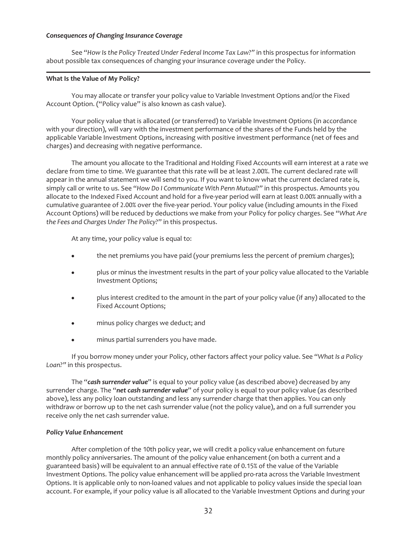#### *Consequences of Changing Insurance Coverage*

See "*How Is the Policy Treated Under Federal Income Tax Law?"* in this prospectus for information about possible tax consequences of changing your insurance coverage under the Policy.

#### <span id="page-32-0"></span>**What Is the Value of My Policy?**

You may allocate or transfer your policy value to Variable Investment Options and/or the Fixed Account Option. ("Policy value" is also known as cash value).

Your policy value that is allocated (or transferred) to Variable Investment Options (in accordance with your direction), will vary with the investment performance of the shares of the Funds held by the applicable Variable Investment Options, increasing with positive investment performance (net of fees and charges) and decreasing with negative performance.

The amount you allocate to the Traditional and Holding Fixed Accounts will earn interest at a rate we declare from time to time. We guarantee that this rate will be at least 2.00%. The current declared rate will appear in the annual statement we will send to you. If you want to know what the current declared rate is, simply call or write to us. See "*How Do I Communicate With Penn Mutual?"* in this prospectus. Amounts you allocate to the Indexed Fixed Account and hold for a five-year period will earn at least 0.00% annually with a cumulative guarantee of 2.00% over the five-year period. Your policy value (including amounts in the Fixed Account Options) will be reduced by deductions we make from your Policy for policy charges. See "*What Are the Fees and Charges Under The Policy?*" in this prospectus.

At any time, your policy value is equal to:

- the net premiums you have paid (your premiums less the percent of premium charges);
- plus or minus the investment results in the part of your policy value allocated to the Variable Investment Options;
- plus interest credited to the amount in the part of your policy value (if any) allocated to the Fixed Account Options;
- minus policy charges we deduct; and
- minus partial surrenders you have made.

If you borrow money under your Policy, other factors affect your policy value. See "*What Is a Policy Loan?"* in this prospectus.

The "*cash surrender value*" is equal to your policy value (as described above) decreased by any surrender charge. The "*net cash surrender value*" of your policy is equal to your policy value (as described above), less any policy loan outstanding and less any surrender charge that then applies. You can only withdraw or borrow up to the net cash surrender value (not the policy value), and on a full surrender you receive only the net cash surrender value.

#### *Policy Value Enhancement*

After completion of the 10th policy year, we will credit a policy value enhancement on future monthly policy anniversaries. The amount of the policy value enhancement (on both a current and a guaranteed basis) will be equivalent to an annual effective rate of 0.15% of the value of the Variable Investment Options. The policy value enhancement will be applied pro-rata across the Variable Investment Options. It is applicable only to non-loaned values and not applicable to policy values inside the special loan account. For example, if your policy value is all allocated to the Variable Investment Options and during your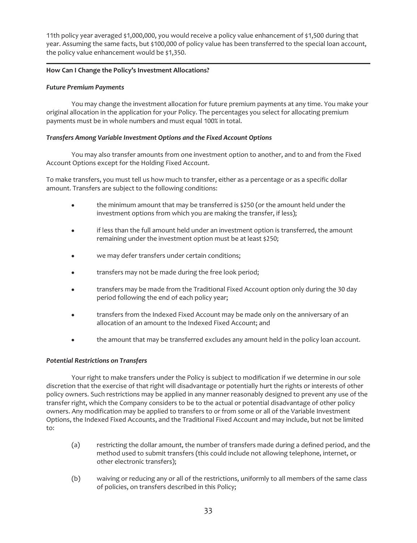11th policy year averaged \$1,000,000, you would receive a policy value enhancement of \$1,500 during that year. Assuming the same facts, but \$100,000 of policy value has been transferred to the special loan account, the policy value enhancement would be \$1,350.

# <span id="page-33-0"></span>**How Can I Change the Policy's Investment Allocations?**

# *Future Premium Payments*

You may change the investment allocation for future premium payments at any time. You make your original allocation in the application for your Policy. The percentages you select for allocating premium payments must be in whole numbers and must equal 100% in total.

# *Transfers Among Variable Investment Options and the Fixed Account Options*

You may also transfer amounts from one investment option to another, and to and from the Fixed Account Options except for the Holding Fixed Account.

To make transfers, you must tell us how much to transfer, either as a percentage or as a specific dollar amount. Transfers are subject to the following conditions:

- $\bullet$  the minimum amount that may be transferred is \$250 (or the amount held under the investment options from which you are making the transfer, if less);
- if less than the full amount held under an investment option is transferred, the amount remaining under the investment option must be at least \$250;
- we may defer transfers under certain conditions;
- transfers may not be made during the free look period;
- transfers may be made from the Traditional Fixed Account option only during the 30 day period following the end of each policy year;
- transfers from the Indexed Fixed Account may be made only on the anniversary of an allocation of an amount to the Indexed Fixed Account; and
- the amount that may be transferred excludes any amount held in the policy loan account.

#### *Potential Restrictions on Transfers*

Your right to make transfers under the Policy is subject to modification if we determine in our sole discretion that the exercise of that right will disadvantage or potentially hurt the rights or interests of other policy owners. Such restrictions may be applied in any manner reasonably designed to prevent any use of the transfer right, which the Company considers to be to the actual or potential disadvantage of other policy owners. Any modification may be applied to transfers to or from some or all of the Variable Investment Options, the Indexed Fixed Accounts, and the Traditional Fixed Account and may include, but not be limited to:

- (a) restricting the dollar amount, the number of transfers made during a defined period, and the method used to submit transfers (this could include not allowing telephone, internet, or other electronic transfers);
- (b) waiving or reducing any or all of the restrictions, uniformly to all members of the same class of policies, on transfers described in this Policy;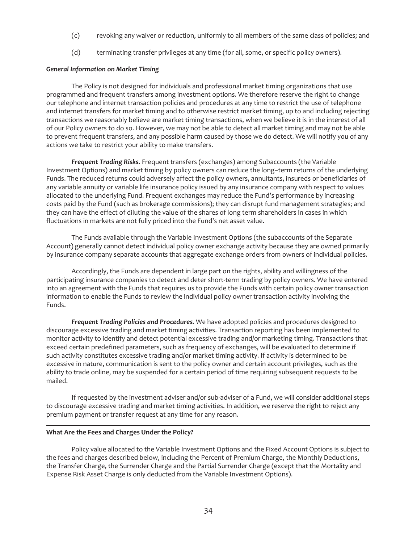- (c) revoking any waiver or reduction, uniformly to all members of the same class of policies; and
- (d) terminating transfer privileges at any time (for all, some, or specific policy owners).

#### *General Information on Market Timing*

The Policy is not designed for individuals and professional market timing organizations that use programmed and frequent transfers among investment options. We therefore reserve the right to change our telephone and internet transaction policies and procedures at any time to restrict the use of telephone and internet transfers for market timing and to otherwise restrict market timing, up to and including rejecting transactions we reasonably believe are market timing transactions, when we believe it is in the interest of all of our Policy owners to do so. However, we may not be able to detect all market timing and may not be able to prevent frequent transfers, and any possible harm caused by those we do detect. We will notify you of any actions we take to restrict your ability to make transfers.

*Frequent Trading Risks.* Frequent transfers (exchanges) among Subaccounts (the Variable Investment Options) and market timing by policy owners can reduce the long–term returns of the underlying Funds. The reduced returns could adversely affect the policy owners, annuitants, insureds or beneficiaries of any variable annuity or variable life insurance policy issued by any insurance company with respect to values allocated to the underlying Fund. Frequent exchanges may reduce the Fund's performance by increasing costs paid by the Fund (such as brokerage commissions); they can disrupt fund management strategies; and they can have the effect of diluting the value of the shares of long term shareholders in cases in which fluctuations in markets are not fully priced into the Fund's net asset value.

The Funds available through the Variable Investment Options (the subaccounts of the Separate Account) generally cannot detect individual policy owner exchange activity because they are owned primarily by insurance company separate accounts that aggregate exchange orders from owners of individual policies.

Accordingly, the Funds are dependent in large part on the rights, ability and willingness of the participating insurance companies to detect and deter short-term trading by policy owners. We have entered into an agreement with the Funds that requires us to provide the Funds with certain policy owner transaction information to enable the Funds to review the individual policy owner transaction activity involving the Funds.

*Frequent Trading Policies and Procedures.* We have adopted policies and procedures designed to discourage excessive trading and market timing activities. Transaction reporting has been implemented to monitor activity to identify and detect potential excessive trading and/or marketing timing. Transactions that exceed certain predefined parameters, such as frequency of exchanges, will be evaluated to determine if such activity constitutes excessive trading and/or market timing activity. If activity is determined to be excessive in nature, communication is sent to the policy owner and certain account privileges, such as the ability to trade online, may be suspended for a certain period of time requiring subsequent requests to be mailed.

If requested by the investment adviser and/or sub-adviser of a Fund, we will consider additional steps to discourage excessive trading and market timing activities. In addition, we reserve the right to reject any premium payment or transfer request at any time for any reason.

#### <span id="page-34-0"></span>**What Are the Fees and Charges Under the Policy?**

Policy value allocated to the Variable Investment Options and the Fixed Account Options is subject to the fees and charges described below, including the Percent of Premium Charge, the Monthly Deductions, the Transfer Charge, the Surrender Charge and the Partial Surrender Charge (except that the Mortality and Expense Risk Asset Charge is only deducted from the Variable Investment Options).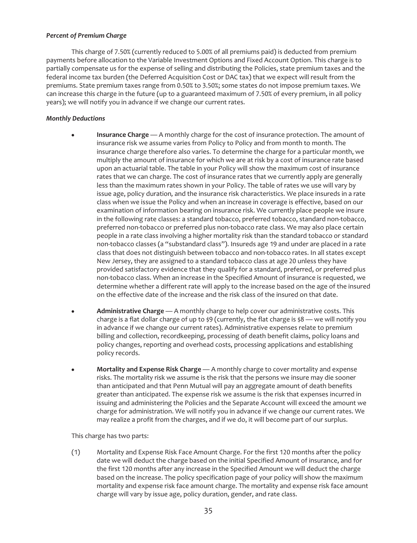# *Percent of Premium Charge*

This charge of 7.50% (currently reduced to 5.00% of all premiums paid) is deducted from premium payments before allocation to the Variable Investment Options and Fixed Account Option. This charge is to partially compensate us for the expense of selling and distributing the Policies, state premium taxes and the federal income tax burden (the Deferred Acquisition Cost or DAC tax) that we expect will result from the premiums. State premium taxes range from 0.50% to 3.50%; some states do not impose premium taxes. We can increase this charge in the future (up to a guaranteed maximum of 7.50% of every premium, in all policy years); we will notify you in advance if we change our current rates.

# *Monthly Deductions*

- **Insurance Charge** A monthly charge for the cost of insurance protection. The amount of insurance risk we assume varies from Policy to Policy and from month to month. The insurance charge therefore also varies. To determine the charge for a particular month, we multiply the amount of insurance for which we are at risk by a cost of insurance rate based upon an actuarial table. The table in your Policy will show the maximum cost of insurance rates that we can charge. The cost of insurance rates that we currently apply are generally less than the maximum rates shown in your Policy. The table of rates we use will vary by issue age, policy duration*,* and the insurance risk characteristics. We place insureds in a rate class when we issue the Policy and when an increase in coverage is effective, based on our examination of information bearing on insurance risk. We currently place people we insure in the following rate classes: a standard tobacco, preferred tobacco, standard non-tobacco, preferred non-tobacco or preferred plus non-tobacco rate class. We may also place certain people in a rate class involving a higher mortality risk than the standard tobacco or standard non-tobacco classes (a "substandard class"). Insureds age 19 and under are placed in a rate class that does not distinguish between tobacco and non-tobacco rates. In all states except New Jersey, they are assigned to a standard tobacco class at age 20 unless they have provided satisfactory evidence that they qualify for a standard, preferred, or preferred plus non-tobacco class. When an increase in the Specified Amount of insurance is requested, we determine whether a different rate will apply to the increase based on the age of the insured on the effective date of the increase and the risk class of the insured on that date.
- Administrative Charge A monthly charge to help cover our administrative costs. This charge is a flat dollar charge of up to  $\frac{1}{2}9$  (currently, the flat charge is  $\frac{1}{2}8$  — we will notify you in advance if we change our current rates). Administrative expenses relate to premium billing and collection, recordkeeping, processing of death benefit claims, policy loans and policy changes, reporting and overhead costs, processing applications and establishing policy records.
- **Mortality and Expense Risk Charge** A monthly charge to cover mortality and expense risks. The mortality risk we assume is the risk that the persons we insure may die sooner than anticipated and that Penn Mutual will pay an aggregate amount of death benefits greater than anticipated. The expense risk we assume is the risk that expenses incurred in issuing and administering the Policies and the Separate Account will exceed the amount we charge for administration. We will notify you in advance if we change our current rates. We may realize a profit from the charges, and if we do, it will become part of our surplus.

This charge has two parts:

(1) Mortality and Expense Risk Face Amount Charge. For the first 120 months after the policy date we will deduct the charge based on the initial Specified Amount of insurance, and for the first 120 months after any increase in the Specified Amount we will deduct the charge based on the increase. The policy specification page of your policy will show the maximum mortality and expense risk face amount charge. The mortality and expense risk face amount charge will vary by issue age, policy duration, gender, and rate class.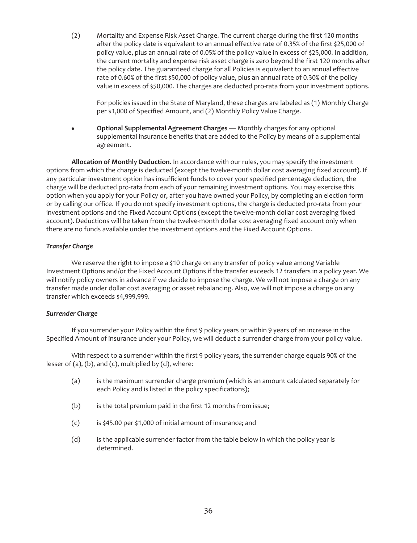(2) Mortality and Expense Risk Asset Charge. The current charge during the first 120 months after the policy date is equivalent to an annual effective rate of 0.35% of the first \$25,000 of policy value, plus an annual rate of 0.05% of the policy value in excess of \$25,000. In addition, the current mortality and expense risk asset charge is zero beyond the first 120 months after the policy date. The guaranteed charge for all Policies is equivalent to an annual effective rate of 0.60% of the first \$50,000 of policy value, plus an annual rate of 0.30% of the policy value in excess of \$50,000. The charges are deducted pro-rata from your investment options.

For policies issued in the State of Maryland, these charges are labeled as (1) Monthly Charge per \$1,000 of Specified Amount, and (2) Monthly Policy Value Charge.

**•** Optional Supplemental Agreement Charges — Monthly charges for any optional supplemental insurance benefits that are added to the Policy by means of a supplemental agreement.

**Allocation of Monthly Deduction**. In accordance with our rules, you may specify the investment options from which the charge is deducted (except the twelve-month dollar cost averaging fixed account). If any particular investment option has insufficient funds to cover your specified percentage deduction, the charge will be deducted pro-rata from each of your remaining investment options. You may exercise this option when you apply for your Policy or, after you have owned your Policy, by completing an election form or by calling our office. If you do not specify investment options, the charge is deducted pro-rata from your investment options and the Fixed Account Options (except the twelve-month dollar cost averaging fixed account). Deductions will be taken from the twelve-month dollar cost averaging fixed account only when there are no funds available under the investment options and the Fixed Account Options.

# *Transfer Charge*

We reserve the right to impose a \$10 charge on any transfer of policy value among Variable Investment Options and/or the Fixed Account Options if the transfer exceeds 12 transfers in a policy year. We will notify policy owners in advance if we decide to impose the charge. We will not impose a charge on any transfer made under dollar cost averaging or asset rebalancing. Also, we will not impose a charge on any transfer which exceeds \$4,999,999.

### *Surrender Charge*

If you surrender your Policy within the first 9 policy years or within 9 years of an increase in the Specified Amount of insurance under your Policy, we will deduct a surrender charge from your policy value.

With respect to a surrender within the first 9 policy years, the surrender charge equals 90% of the lesser of (a), (b), and (c), multiplied by (d), where:

- (a) is the maximum surrender charge premium (which is an amount calculated separately for each Policy and is listed in the policy specifications);
- (b) is the total premium paid in the first 12 months from issue;
- (c) is \$45.00 per \$1,000 of initial amount of insurance; and
- (d) is the applicable surrender factor from the table below in which the policy year is determined.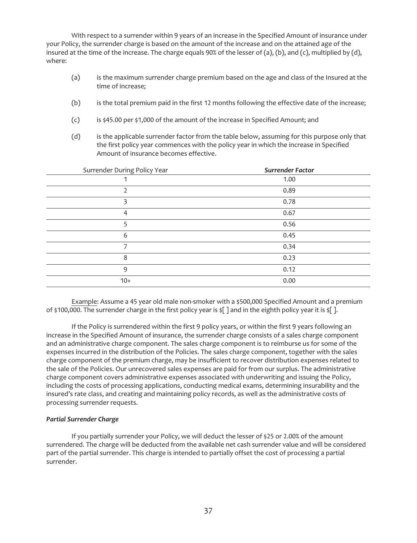With respect to a surrender within 9 years of an increase in the Specified Amount of insurance under your Policy, the surrender charge is based on the amount of the increase and on the attained age of the insured at the time of the increase. The charge equals 90% of the lesser of (a), (b), and (c), multiplied by (d), where:

- (a) is the maximum surrender charge premium based on the age and class of the Insured at the time of increase;
- (b) is the total premium paid in the first 12 months following the effective date of the increase;
- (c) is \$45.00 per \$1,000 of the amount of the increase in Specified Amount; and
- (d) is the applicable surrender factor from the table below, assuming for this purpose only that the first policy year commences with the policy year in which the increase in Specified Amount of insurance becomes effective.

| Surrender During Policy Year | <b>Surrender Factor</b> |
|------------------------------|-------------------------|
|                              | 1.00                    |
|                              | 0.89                    |
|                              | 0.78                    |
| 4                            | 0.67                    |
| 5                            | 0.56                    |
| 6                            | 0.45                    |
|                              | 0.34                    |
| 8                            | 0.23                    |
| 9                            | 0.12                    |
| $10+$                        | 0.00                    |

Example: Assume a 45 year old male non-smoker with a \$500,000 Specified Amount and a premium of \$100,000. The surrender charge in the first policy year is \$[ ] and in the eighth policy year it is \$[ ].

If the Policy is surrendered within the first 9 policy years, or within the first 9 years following an increase in the Specified Amount of insurance, the surrender charge consists of a sales charge component and an administrative charge component. The sales charge component is to reimburse us for some of the expenses incurred in the distribution of the Policies. The sales charge component, together with the sales charge component of the premium charge, may be insufficient to recover distribution expenses related to the sale of the Policies. Our unrecovered sales expenses are paid for from our surplus. The administrative charge component covers administrative expenses associated with underwriting and issuing the Policy, including the costs of processing applications, conducting medical exams, determining insurability and the insured's rate class, and creating and maintaining policy records, as well as the administrative costs of processing surrender requests.

### *Partial Surrender Charge*

If you partially surrender your Policy, we will deduct the lesser of \$25 or 2.00% of the amount surrendered. The charge will be deducted from the available net cash surrender value and will be considered part of the partial surrender. This charge is intended to partially offset the cost of processing a partial surrender.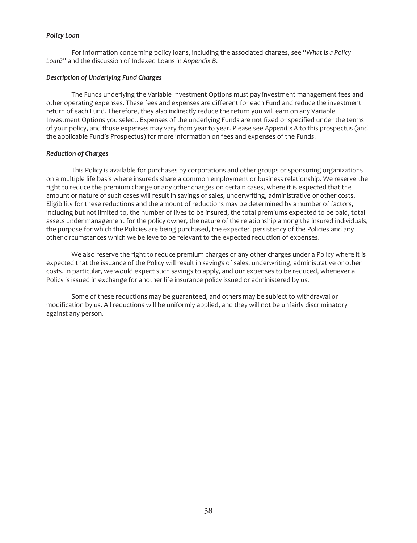### *Policy Loan*

For information concerning policy loans, including the associated charges, see "*What is a Policy Loan?"* and the discussion of Indexed Loans in *Appendix B*.

### *Description of Underlying Fund Charges*

The Funds underlying the Variable Investment Options must pay investment management fees and other operating expenses. These fees and expenses are different for each Fund and reduce the investment return of each Fund. Therefore, they also indirectly reduce the return you will earn on any Variable Investment Options you select. Expenses of the underlying Funds are not fixed or specified under the terms of your policy, and those expenses may vary from year to year. Please see *Appendix A* to this prospectus (and the applicable Fund's Prospectus) for more information on fees and expenses of the Funds.

### *Reduction of Charges*

This Policy is available for purchases by corporations and other groups or sponsoring organizations on a multiple life basis where insureds share a common employment or business relationship. We reserve the right to reduce the premium charge or any other charges on certain cases, where it is expected that the amount or nature of such cases will result in savings of sales, underwriting, administrative or other costs. Eligibility for these reductions and the amount of reductions may be determined by a number of factors, including but not limited to, the number of lives to be insured, the total premiums expected to be paid, total assets under management for the policy owner, the nature of the relationship among the insured individuals, the purpose for which the Policies are being purchased, the expected persistency of the Policies and any other circumstances which we believe to be relevant to the expected reduction of expenses.

We also reserve the right to reduce premium charges or any other charges under a Policy where it is expected that the issuance of the Policy will result in savings of sales, underwriting, administrative or other costs. In particular, we would expect such savings to apply, and our expenses to be reduced, whenever a Policy is issued in exchange for another life insurance policy issued or administered by us.

Some of these reductions may be guaranteed, and others may be subject to withdrawal or modification by us. All reductions will be uniformly applied, and they will not be unfairly discriminatory against any person.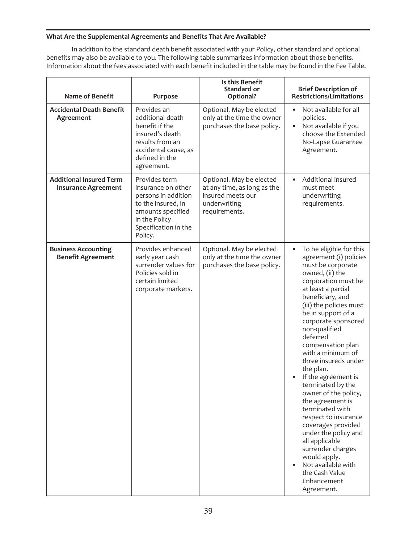# **What Are the Supplemental Agreements and Benefits That Are Available?**

In addition to the standard death benefit associated with your Policy, other standard and optional benefits may also be available to you. The following table summarizes information about those benefits. Information about the fees associated with each benefit included in the table may be found in the Fee Table.

| <b>Name of Benefit</b>                                       | Purpose                                                                                                                                                   | Is this Benefit<br>Standard or<br>Optional?                                                                   | <b>Brief Description of</b><br><b>Restrictions/Limitations</b>                                                                                                                                                                                                                                                                                                                                                                                                                                                                                                                                                                                                   |
|--------------------------------------------------------------|-----------------------------------------------------------------------------------------------------------------------------------------------------------|---------------------------------------------------------------------------------------------------------------|------------------------------------------------------------------------------------------------------------------------------------------------------------------------------------------------------------------------------------------------------------------------------------------------------------------------------------------------------------------------------------------------------------------------------------------------------------------------------------------------------------------------------------------------------------------------------------------------------------------------------------------------------------------|
| <b>Accidental Death Benefit</b><br>Agreement                 | Provides an<br>additional death<br>benefit if the<br>insured's death<br>results from an<br>accidental cause, as<br>defined in the<br>agreement.           | Optional. May be elected<br>only at the time the owner<br>purchases the base policy.                          | Not available for all<br>$\bullet$<br>policies.<br>Not available if you<br>$\bullet$<br>choose the Extended<br>No-Lapse Guarantee<br>Agreement.                                                                                                                                                                                                                                                                                                                                                                                                                                                                                                                  |
| <b>Additional Insured Term</b><br><b>Insurance Agreement</b> | Provides term<br>insurance on other<br>persons in addition<br>to the insured, in<br>amounts specified<br>in the Policy<br>Specification in the<br>Policy. | Optional. May be elected<br>at any time, as long as the<br>insured meets our<br>underwriting<br>requirements. | Additional insured<br>$\bullet$<br>must meet<br>underwriting<br>requirements.                                                                                                                                                                                                                                                                                                                                                                                                                                                                                                                                                                                    |
| <b>Business Accounting</b><br><b>Benefit Agreement</b>       | Provides enhanced<br>early year cash<br>surrender values for<br>Policies sold in<br>certain limited<br>corporate markets.                                 | Optional. May be elected<br>only at the time the owner<br>purchases the base policy.                          | To be eligible for this<br>٠<br>agreement (i) policies<br>must be corporate<br>owned, (ii) the<br>corporation must be<br>at least a partial<br>beneficiary, and<br>(iii) the policies must<br>be in support of a<br>corporate sponsored<br>non-qualified<br>deferred<br>compensation plan<br>with a minimum of<br>three insureds under<br>the plan.<br>If the agreement is<br>terminated by the<br>owner of the policy,<br>the agreement is<br>terminated with<br>respect to insurance<br>coverages provided<br>under the policy and<br>all applicable<br>surrender charges<br>would apply.<br>Not available with<br>the Cash Value<br>Enhancement<br>Agreement. |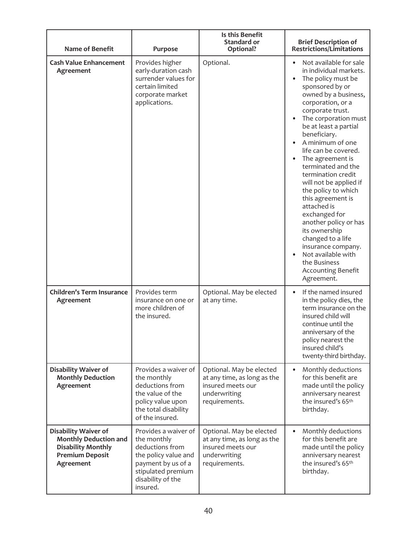| <b>Name of Benefit</b>                                                                                                          | Purpose                                                                                                                                                     | Is this Benefit<br>Standard or<br>Optional?                                                                   | <b>Brief Description of</b><br><b>Restrictions/Limitations</b>                                                                                                                                                                                                                                                                                                                                                                                                                                                                                                                                                      |
|---------------------------------------------------------------------------------------------------------------------------------|-------------------------------------------------------------------------------------------------------------------------------------------------------------|---------------------------------------------------------------------------------------------------------------|---------------------------------------------------------------------------------------------------------------------------------------------------------------------------------------------------------------------------------------------------------------------------------------------------------------------------------------------------------------------------------------------------------------------------------------------------------------------------------------------------------------------------------------------------------------------------------------------------------------------|
| <b>Cash Value Enhancement</b><br>Agreement                                                                                      | Provides higher<br>early-duration cash<br>surrender values for<br>certain limited<br>corporate market<br>applications.                                      | Optional.                                                                                                     | Not available for sale<br>in individual markets.<br>The policy must be<br>sponsored by or<br>owned by a business,<br>corporation, or a<br>corporate trust.<br>The corporation must<br>be at least a partial<br>beneficiary.<br>A minimum of one<br>life can be covered.<br>The agreement is<br>terminated and the<br>termination credit<br>will not be applied if<br>the policy to which<br>this agreement is<br>attached is<br>exchanged for<br>another policy or has<br>its ownership<br>changed to a life<br>insurance company.<br>Not available with<br>the Business<br><b>Accounting Benefit</b><br>Agreement. |
| <b>Children's Term Insurance</b><br>Agreement                                                                                   | Provides term<br>insurance on one or<br>more children of<br>the insured.                                                                                    | Optional. May be elected<br>at any time.                                                                      | If the named insured<br>$\bullet$<br>in the policy dies, the<br>term insurance on the<br>insured child will<br>continue until the<br>anniversary of the<br>policy nearest the<br>insured child's<br>twenty-third birthday.                                                                                                                                                                                                                                                                                                                                                                                          |
| <b>Disability Waiver of</b><br><b>Monthly Deduction</b><br>Agreement                                                            | Provides a waiver of<br>the monthly<br>deductions from<br>the value of the<br>policy value upon<br>the total disability<br>of the insured.                  | Optional. May be elected<br>at any time, as long as the<br>insured meets our<br>underwriting<br>requirements. | Monthly deductions<br>$\bullet$<br>for this benefit are<br>made until the policy<br>anniversary nearest<br>the insured's 65th<br>birthday.                                                                                                                                                                                                                                                                                                                                                                                                                                                                          |
| <b>Disability Waiver of</b><br><b>Monthly Deduction and</b><br><b>Disability Monthly</b><br><b>Premium Deposit</b><br>Agreement | Provides a waiver of<br>the monthly<br>deductions from<br>the policy value and<br>payment by us of a<br>stipulated premium<br>disability of the<br>insured. | Optional. May be elected<br>at any time, as long as the<br>insured meets our<br>underwriting<br>requirements. | Monthly deductions<br>for this benefit are<br>made until the policy<br>anniversary nearest<br>the insured's 65th<br>birthday.                                                                                                                                                                                                                                                                                                                                                                                                                                                                                       |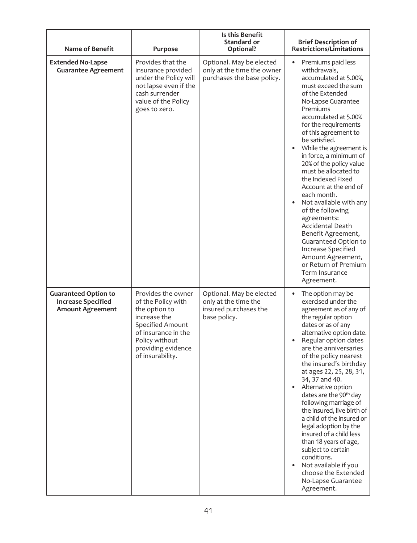| <b>Name of Benefit</b>                                                              | Purpose                                                                                                                                                                          | Is this Benefit<br>Standard or<br>Optional?                                               | <b>Brief Description of</b><br><b>Restrictions/Limitations</b>                                                                                                                                                                                                                                                                                                                                                                                                                                                                                                                                                                                                |
|-------------------------------------------------------------------------------------|----------------------------------------------------------------------------------------------------------------------------------------------------------------------------------|-------------------------------------------------------------------------------------------|---------------------------------------------------------------------------------------------------------------------------------------------------------------------------------------------------------------------------------------------------------------------------------------------------------------------------------------------------------------------------------------------------------------------------------------------------------------------------------------------------------------------------------------------------------------------------------------------------------------------------------------------------------------|
| <b>Extended No-Lapse</b><br><b>Guarantee Agreement</b>                              | Provides that the<br>insurance provided<br>under the Policy will<br>not lapse even if the<br>cash surrender<br>value of the Policy<br>goes to zero.                              | Optional. May be elected<br>only at the time the owner<br>purchases the base policy.      | Premiums paid less<br>$\bullet$<br>withdrawals,<br>accumulated at 5.00%,<br>must exceed the sum<br>of the Extended<br>No-Lapse Guarantee<br>Premiums<br>accumulated at 5.00%<br>for the requirements<br>of this agreement to<br>be satisfied.<br>While the agreement is<br>in force, a minimum of<br>20% of the policy value<br>must be allocated to<br>the Indexed Fixed<br>Account at the end of<br>each month.<br>Not available with any<br>of the following<br>agreements:<br><b>Accidental Death</b><br>Benefit Agreement,<br>Guaranteed Option to<br>Increase Specified<br>Amount Agreement,<br>or Return of Premium<br>Term Insurance<br>Agreement.    |
| <b>Guaranteed Option to</b><br><b>Increase Specified</b><br><b>Amount Agreement</b> | Provides the owner<br>of the Policy with<br>the option to<br>increase the<br>Specified Amount<br>of insurance in the<br>Policy without<br>providing evidence<br>of insurability. | Optional. May be elected<br>only at the time the<br>insured purchases the<br>base policy. | The option may be<br>$\bullet$<br>exercised under the<br>agreement as of any of<br>the regular option<br>dates or as of any<br>alternative option date.<br>Regular option dates<br>are the anniversaries<br>of the policy nearest<br>the insured's birthday<br>at ages 22, 25, 28, 31,<br>34, 37 and 40.<br>Alternative option<br>dates are the 90 <sup>th</sup> day<br>following marriage of<br>the insured, live birth of<br>a child of the insured or<br>legal adoption by the<br>insured of a child less<br>than 18 years of age,<br>subject to certain<br>conditions.<br>Not available if you<br>choose the Extended<br>No-Lapse Guarantee<br>Agreement. |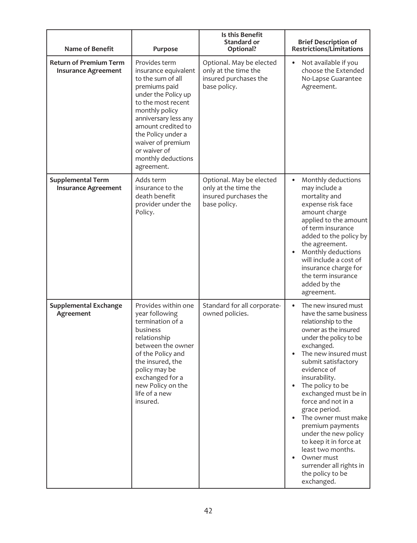| <b>Name of Benefit</b>                                      | Purpose                                                                                                                                                                                                                                                                                 | Is this Benefit<br>Standard or<br>Optional?                                               | <b>Brief Description of</b><br><b>Restrictions/Limitations</b>                                                                                                                                                                                                                                                                                                                                                                                                                                       |
|-------------------------------------------------------------|-----------------------------------------------------------------------------------------------------------------------------------------------------------------------------------------------------------------------------------------------------------------------------------------|-------------------------------------------------------------------------------------------|------------------------------------------------------------------------------------------------------------------------------------------------------------------------------------------------------------------------------------------------------------------------------------------------------------------------------------------------------------------------------------------------------------------------------------------------------------------------------------------------------|
| <b>Return of Premium Term</b><br><b>Insurance Agreement</b> | Provides term<br>insurance equivalent<br>to the sum of all<br>premiums paid<br>under the Policy up<br>to the most recent<br>monthly policy<br>anniversary less any<br>amount credited to<br>the Policy under a<br>waiver of premium<br>or waiver of<br>monthly deductions<br>agreement. | Optional. May be elected<br>only at the time the<br>insured purchases the<br>base policy. | Not available if you<br>choose the Extended<br>No-Lapse Guarantee<br>Agreement.                                                                                                                                                                                                                                                                                                                                                                                                                      |
| <b>Supplemental Term</b><br><b>Insurance Agreement</b>      | Adds term<br>insurance to the<br>death benefit<br>provider under the<br>Policy.                                                                                                                                                                                                         | Optional. May be elected<br>only at the time the<br>insured purchases the<br>base policy. | Monthly deductions<br>$\bullet$<br>may include a<br>mortality and<br>expense risk face<br>amount charge<br>applied to the amount<br>of term insurance<br>added to the policy by<br>the agreement.<br>Monthly deductions<br>will include a cost of<br>insurance charge for<br>the term insurance<br>added by the<br>agreement.                                                                                                                                                                        |
| <b>Supplemental Exchange</b><br>Agreement                   | Provides within one<br>year following<br>termination of a<br>business<br>relationship<br>between the owner<br>of the Policy and<br>the insured, the<br>policy may be<br>exchanged for a<br>new Policy on the<br>life of a new<br>insured.                                               | Standard for all corporate-<br>owned policies.                                            | The new insured must<br>have the same business<br>relationship to the<br>owner as the insured<br>under the policy to be<br>exchanged.<br>The new insured must<br>submit satisfactory<br>evidence of<br>insurability.<br>The policy to be<br>exchanged must be in<br>force and not in a<br>grace period.<br>The owner must make<br>premium payments<br>under the new policy<br>to keep it in force at<br>least two months.<br>Owner must<br>surrender all rights in<br>the policy to be<br>exchanged. |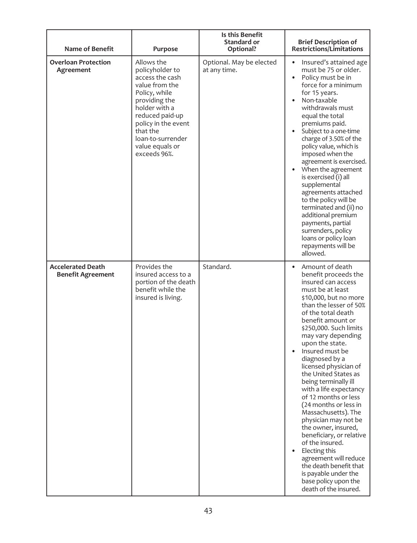| <b>Name of Benefit</b>                               | Purpose                                                                                                                                                                                                                             | Is this Benefit<br>Standard or<br>Optional? | <b>Brief Description of</b><br><b>Restrictions/Limitations</b>                                                                                                                                                                                                                                                                                                                                                                                                                                                                                                                                                                                                                                                             |
|------------------------------------------------------|-------------------------------------------------------------------------------------------------------------------------------------------------------------------------------------------------------------------------------------|---------------------------------------------|----------------------------------------------------------------------------------------------------------------------------------------------------------------------------------------------------------------------------------------------------------------------------------------------------------------------------------------------------------------------------------------------------------------------------------------------------------------------------------------------------------------------------------------------------------------------------------------------------------------------------------------------------------------------------------------------------------------------------|
| <b>Overloan Protection</b><br>Agreement              | Allows the<br>policyholder to<br>access the cash<br>value from the<br>Policy, while<br>providing the<br>holder with a<br>reduced paid-up<br>policy in the event<br>that the<br>loan-to-surrender<br>value equals or<br>exceeds 96%. | Optional. May be elected<br>at any time.    | Insured's attained age<br>must be 75 or older.<br>Policy must be in<br>$\bullet$<br>force for a minimum<br>for 15 years.<br>Non-taxable<br>$\bullet$<br>withdrawals must<br>equal the total<br>premiums paid.<br>Subject to a one-time<br>$\bullet$<br>charge of 3.50% of the<br>policy value, which is<br>imposed when the<br>agreement is exercised.<br>When the agreement<br>$\bullet$<br>is exercised (i) all<br>supplemental<br>agreements attached<br>to the policy will be<br>terminated and (ii) no<br>additional premium<br>payments, partial<br>surrenders, policy<br>loans or policy loan<br>repayments will be<br>allowed.                                                                                     |
| <b>Accelerated Death</b><br><b>Benefit Agreement</b> | Provides the<br>insured access to a<br>portion of the death<br>benefit while the<br>insured is living.                                                                                                                              | Standard.                                   | Amount of death<br>benefit proceeds the<br>insured can access<br>must be at least<br>\$10,000, but no more<br>than the lesser of 50%<br>of the total death<br>benefit amount or<br>\$250,000. Such limits<br>may vary depending<br>upon the state.<br>Insured must be<br>diagnosed by a<br>licensed physician of<br>the United States as<br>being terminally ill<br>with a life expectancy<br>of 12 months or less<br>(24 months or less in<br>Massachusetts). The<br>physician may not be<br>the owner, insured,<br>beneficiary, or relative<br>of the insured.<br>Electing this<br>$\bullet$<br>agreement will reduce<br>the death benefit that<br>is payable under the<br>base policy upon the<br>death of the insured. |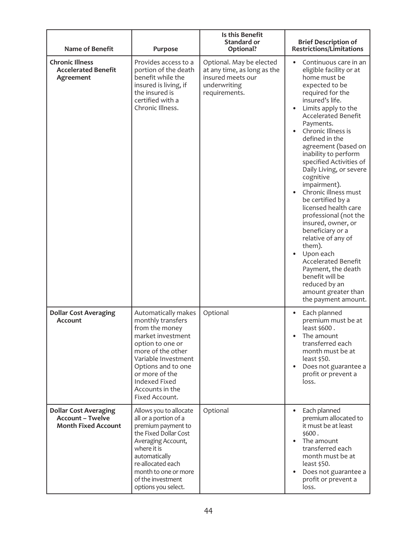| Name of Benefit                                                                       | Purpose                                                                                                                                                                                                                                       | Is this Benefit<br><b>Standard or</b><br>Optional?                                                            | <b>Brief Description of</b><br><b>Restrictions/Limitations</b>                                                                                                                                                                                                                                                                                                                                                                                                                                                                                                                                                                                                                                   |
|---------------------------------------------------------------------------------------|-----------------------------------------------------------------------------------------------------------------------------------------------------------------------------------------------------------------------------------------------|---------------------------------------------------------------------------------------------------------------|--------------------------------------------------------------------------------------------------------------------------------------------------------------------------------------------------------------------------------------------------------------------------------------------------------------------------------------------------------------------------------------------------------------------------------------------------------------------------------------------------------------------------------------------------------------------------------------------------------------------------------------------------------------------------------------------------|
| <b>Chronic Illness</b><br><b>Accelerated Benefit</b><br>Agreement                     | Provides access to a<br>portion of the death<br>benefit while the<br>insured is living, if<br>the insured is<br>certified with a<br>Chronic Illness.                                                                                          | Optional. May be elected<br>at any time, as long as the<br>insured meets our<br>underwriting<br>requirements. | Continuous care in an<br>eligible facility or at<br>home must be<br>expected to be<br>required for the<br>insured's life.<br>Limits apply to the<br><b>Accelerated Benefit</b><br>Payments.<br>Chronic Illness is<br>defined in the<br>agreement (based on<br>inability to perform<br>specified Activities of<br>Daily Living, or severe<br>cognitive<br>impairment).<br>Chronic illness must<br>be certified by a<br>licensed health care<br>professional (not the<br>insured, owner, or<br>beneficiary or a<br>relative of any of<br>them).<br>Upon each<br><b>Accelerated Benefit</b><br>Payment, the death<br>benefit will be<br>reduced by an<br>amount greater than<br>the payment amount. |
| <b>Dollar Cost Averaging</b><br>Account                                               | Automatically makes<br>monthly transfers<br>from the money<br>market investment<br>option to one or<br>more of the other<br>Variable Investment<br>Options and to one<br>or more of the<br>Indexed Fixed<br>Accounts in the<br>Fixed Account. | Optional                                                                                                      | Each planned<br>$\bullet$<br>premium must be at<br>least \$600.<br>The amount<br>transferred each<br>month must be at<br>least \$50.<br>Does not guarantee a<br>profit or prevent a<br>loss.                                                                                                                                                                                                                                                                                                                                                                                                                                                                                                     |
| <b>Dollar Cost Averaging</b><br><b>Account - Twelve</b><br><b>Month Fixed Account</b> | Allows you to allocate<br>all or a portion of a<br>premium payment to<br>the Fixed Dollar Cost<br>Averaging Account,<br>where it is<br>automatically<br>re-allocated each<br>month to one or more<br>of the investment<br>options you select. | Optional                                                                                                      | Each planned<br>$\bullet$<br>premium allocated to<br>it must be at least<br>\$600.<br>The amount<br>transferred each<br>month must be at<br>least \$50.<br>Does not guarantee a<br>profit or prevent a<br>loss.                                                                                                                                                                                                                                                                                                                                                                                                                                                                                  |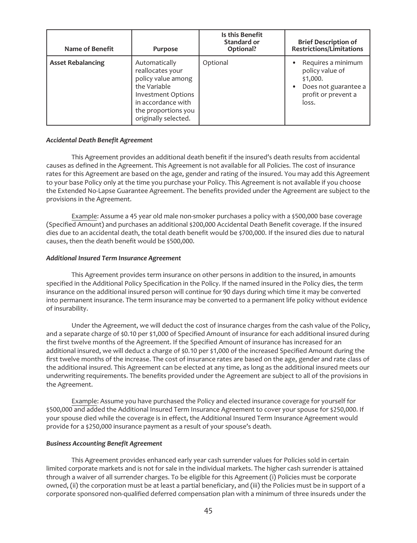| Name of Benefit          | Purpose                                                                                                                                                                   | Is this Benefit<br><b>Standard or</b><br>Optional? | <b>Brief Description of</b><br><b>Restrictions/Limitations</b>                                            |
|--------------------------|---------------------------------------------------------------------------------------------------------------------------------------------------------------------------|----------------------------------------------------|-----------------------------------------------------------------------------------------------------------|
| <b>Asset Rebalancing</b> | Automatically<br>reallocates your<br>policy value among<br>the Variable<br><b>Investment Options</b><br>in accordance with<br>the proportions you<br>originally selected. | Optional                                           | Requires a minimum<br>policy value of<br>\$1,000.<br>Does not guarantee a<br>profit or prevent a<br>loss. |

#### *Accidental Death Benefit Agreement*

This Agreement provides an additional death benefit if the insured's death results from accidental causes as defined in the Agreement. This Agreement is not available for all Policies. The cost of insurance rates for this Agreement are based on the age, gender and rating of the insured. You may add this Agreement to your base Policy only at the time you purchase your Policy. This Agreement is not available if you choose the Extended No-Lapse Guarantee Agreement. The benefits provided under the Agreement are subject to the provisions in the Agreement.

Example: Assume a 45 year old male non-smoker purchases a policy with a \$500,000 base coverage (Specified Amount) and purchases an additional \$200,000 Accidental Death Benefit coverage. If the insured dies due to an accidental death, the total death benefit would be \$700,000. If the insured dies due to natural causes, then the death benefit would be \$500,000.

#### *Additional Insured Term Insurance Agreement*

This Agreement provides term insurance on other persons in addition to the insured, in amounts specified in the Additional Policy Specification in the Policy. If the named insured in the Policy dies, the term insurance on the additional insured person will continue for 90 days during which time it may be converted into permanent insurance. The term insurance may be converted to a permanent life policy without evidence of insurability.

Under the Agreement, we will deduct the cost of insurance charges from the cash value of the Policy, and a separate charge of \$0.10 per \$1,000 of Specified Amount of insurance for each additional insured during the first twelve months of the Agreement. If the Specified Amount of insurance has increased for an additional insured, we will deduct a charge of \$0.10 per \$1,000 of the increased Specified Amount during the first twelve months of the increase. The cost of insurance rates are based on the age, gender and rate class of the additional insured. This Agreement can be elected at any time, as long as the additional insured meets our underwriting requirements. The benefits provided under the Agreement are subject to all of the provisions in the Agreement.

Example: Assume you have purchased the Policy and elected insurance coverage for yourself for \$500,000 and added the Additional Insured Term Insurance Agreement to cover your spouse for \$250,000. If your spouse died while the coverage is in effect, the Additional Insured Term Insurance Agreement would provide for a \$250,000 insurance payment as a result of your spouse's death.

### *Business Accounting Benefit Agreement*

This Agreement provides enhanced early year cash surrender values for Policies sold in certain limited corporate markets and is not for sale in the individual markets. The higher cash surrender is attained through a waiver of all surrender charges. To be eligible for this Agreement (i) Policies must be corporate owned, (ii) the corporation must be at least a partial beneficiary, and (iii) the Policies must be in support of a corporate sponsored non-qualified deferred compensation plan with a minimum of three insureds under the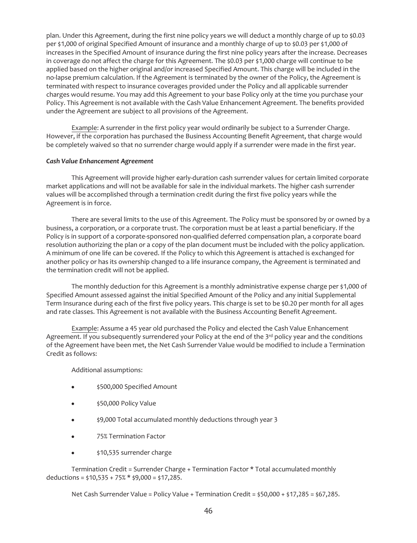plan. Under this Agreement, during the first nine policy years we will deduct a monthly charge of up to \$0.03 per \$1,000 of original Specified Amount of insurance and a monthly charge of up to \$0.03 per \$1,000 of increases in the Specified Amount of insurance during the first nine policy years after the increase. Decreases in coverage do not affect the charge for this Agreement. The \$0.03 per \$1,000 charge will continue to be applied based on the higher original and/or increased Specified Amount. This charge will be included in the no-lapse premium calculation. If the Agreement is terminated by the owner of the Policy, the Agreement is terminated with respect to insurance coverages provided under the Policy and all applicable surrender charges would resume. You may add this Agreement to your base Policy only at the time you purchase your Policy. This Agreement is not available with the Cash Value Enhancement Agreement. The benefits provided under the Agreement are subject to all provisions of the Agreement.

Example: A surrender in the first policy year would ordinarily be subject to a Surrender Charge. However, if the corporation has purchased the Business Accounting Benefit Agreement, that charge would be completely waived so that no surrender charge would apply if a surrender were made in the first year.

### *Cash Value Enhancement Agreement*

This Agreement will provide higher early-duration cash surrender values for certain limited corporate market applications and will not be available for sale in the individual markets. The higher cash surrender values will be accomplished through a termination credit during the first five policy years while the Agreement is in force.

There are several limits to the use of this Agreement. The Policy must be sponsored by or owned by a business, a corporation, or a corporate trust. The corporation must be at least a partial beneficiary. If the Policy is in support of a corporate-sponsored non-qualified deferred compensation plan, a corporate board resolution authorizing the plan or a copy of the plan document must be included with the policy application. A minimum of one life can be covered. If the Policy to which this Agreement is attached is exchanged for another policy or has its ownership changed to a life insurance company, the Agreement is terminated and the termination credit will not be applied.

The monthly deduction for this Agreement is a monthly administrative expense charge per \$1,000 of Specified Amount assessed against the initial Specified Amount of the Policy and any initial Supplemental Term Insurance during each of the first five policy years. This charge is set to be \$0.20 per month for all ages and rate classes. This Agreement is not available with the Business Accounting Benefit Agreement.

Example: Assume a 45 year old purchased the Policy and elected the Cash Value Enhancement Agreement. If you subsequently surrendered your Policy at the end of the 3<sup>rd</sup> policy year and the conditions of the Agreement have been met, the Net Cash Surrender Value would be modified to include a Termination Credit as follows:

Additional assumptions:

- \$500,000 Specified Amount
- \$50,000 Policy Value
- \$9,000 Total accumulated monthly deductions through year 3
- 75% Termination Factor
- \$10,535 surrender charge

Termination Credit = Surrender Charge + Termination Factor \* Total accumulated monthly deductions =  $$10,535 + 75% * $9,000 = $17,285$ .

Net Cash Surrender Value = Policy Value + Termination Credit = \$50,000 + \$17,285 = \$67,285.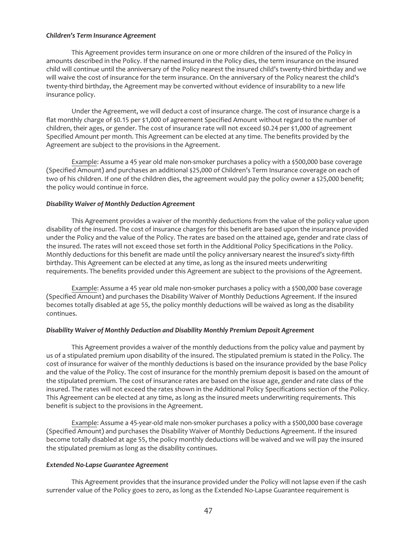#### *Children's Term Insurance Agreement*

This Agreement provides term insurance on one or more children of the insured of the Policy in amounts described in the Policy. If the named insured in the Policy dies, the term insurance on the insured child will continue until the anniversary of the Policy nearest the insured child's twenty-third birthday and we will waive the cost of insurance for the term insurance. On the anniversary of the Policy nearest the child's twenty-third birthday, the Agreement may be converted without evidence of insurability to a new life insurance policy.

Under the Agreement, we will deduct a cost of insurance charge. The cost of insurance charge is a flat monthly charge of \$0.15 per \$1,000 of agreement Specified Amount without regard to the number of children, their ages, or gender. The cost of insurance rate will not exceed \$0.24 per \$1,000 of agreement Specified Amount per month. This Agreement can be elected at any time. The benefits provided by the Agreement are subject to the provisions in the Agreement.

Example: Assume a 45 year old male non-smoker purchases a policy with a \$500,000 base coverage (Specified Amount) and purchases an additional \$25,000 of Children's Term Insurance coverage on each of two of his children. If one of the children dies, the agreement would pay the policy owner a \$25,000 benefit; the policy would continue in force.

### *Disability Waiver of Monthly Deduction Agreement*

This Agreement provides a waiver of the monthly deductions from the value of the policy value upon disability of the insured. The cost of insurance charges for this benefit are based upon the insurance provided under the Policy and the value of the Policy. The rates are based on the attained age, gender and rate class of the insured. The rates will not exceed those set forth in the Additional Policy Specifications in the Policy. Monthly deductions for this benefit are made until the policy anniversary nearest the insured's sixty-fifth birthday. This Agreement can be elected at any time, as long as the insured meets underwriting requirements. The benefits provided under this Agreement are subject to the provisions of the Agreement.

Example: Assume a 45 year old male non-smoker purchases a policy with a \$500,000 base coverage (Specified Amount) and purchases the Disability Waiver of Monthly Deductions Agreement. If the insured becomes totally disabled at age 55, the policy monthly deductions will be waived as long as the disability continues.

### *Disability Waiver of Monthly Deduction and Disability Monthly Premium Deposit Agreement*

This Agreement provides a waiver of the monthly deductions from the policy value and payment by us of a stipulated premium upon disability of the insured. The stipulated premium is stated in the Policy. The cost of insurance for waiver of the monthly deductions is based on the insurance provided by the base Policy and the value of the Policy. The cost of insurance for the monthly premium deposit is based on the amount of the stipulated premium. The cost of insurance rates are based on the issue age, gender and rate class of the insured. The rates will not exceed the rates shown in the Additional Policy Specifications section of the Policy. This Agreement can be elected at any time, as long as the insured meets underwriting requirements. This benefit is subject to the provisions in the Agreement.

Example: Assume a 45-year-old male non-smoker purchases a policy with a \$500,000 base coverage (Specified Amount) and purchases the Disability Waiver of Monthly Deductions Agreement. If the insured become totally disabled at age 55, the policy monthly deductions will be waived and we will pay the insured the stipulated premium as long as the disability continues.

#### *Extended No-Lapse Guarantee Agreement*

This Agreement provides that the insurance provided under the Policy will not lapse even if the cash surrender value of the Policy goes to zero, as long as the Extended No-Lapse Guarantee requirement is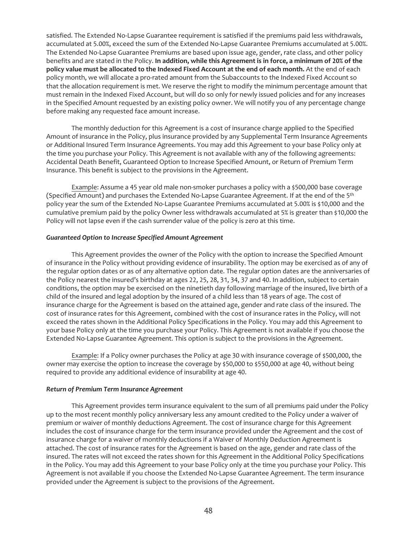satisfied. The Extended No-Lapse Guarantee requirement is satisfied if the premiums paid less withdrawals, accumulated at 5.00%, exceed the sum of the Extended No-Lapse Guarantee Premiums accumulated at 5.00%. The Extended No-Lapse Guarantee Premiums are based upon issue age, gender, rate class, and other policy benefits and are stated in the Policy. **In addition, while this Agreement is in force, a minimum of 20% of the policy value must be allocated to the Indexed Fixed Account at the end of each month.** At the end of each policy month, we will allocate a pro-rated amount from the Subaccounts to the Indexed Fixed Account so that the allocation requirement is met. We reserve the right to modify the minimum percentage amount that must remain in the Indexed Fixed Account, but will do so only for newly issued policies and for any increases in the Specified Amount requested by an existing policy owner. We will notify you of any percentage change before making any requested face amount increase.

The monthly deduction for this Agreement is a cost of insurance charge applied to the Specified Amount of insurance in the Policy, plus insurance provided by any Supplemental Term Insurance Agreements or Additional Insured Term Insurance Agreements. You may add this Agreement to your base Policy only at the time you purchase your Policy. This Agreement is not available with any of the following agreements: Accidental Death Benefit, Guaranteed Option to Increase Specified Amount, or Return of Premium Term Insurance. This benefit is subject to the provisions in the Agreement.

Example: Assume a 45 year old male non-smoker purchases a policy with a \$500,000 base coverage (Specified Amount) and purchases the Extended No-Lapse Guarantee Agreement. If at the end of the 5<sup>th</sup> policy year the sum of the Extended No-Lapse Guarantee Premiums accumulated at 5.00% is \$10,000 and the cumulative premium paid by the policy Owner less withdrawals accumulated at 5% is greater than \$10,000 the Policy will not lapse even if the cash surrender value of the policy is zero at this time.

### *Guaranteed Option to Increase Specified Amount Agreement*

This Agreement provides the owner of the Policy with the option to increase the Specified Amount of insurance in the Policy without providing evidence of insurability. The option may be exercised as of any of the regular option dates or as of any alternative option date. The regular option dates are the anniversaries of the Policy nearest the insured's birthday at ages 22, 25, 28, 31, 34, 37 and 40. In addition, subject to certain conditions, the option may be exercised on the ninetieth day following marriage of the insured, live birth of a child of the insured and legal adoption by the insured of a child less than 18 years of age. The cost of insurance charge for the Agreement is based on the attained age, gender and rate class of the insured. The cost of insurance rates for this Agreement, combined with the cost of insurance rates in the Policy, will not exceed the rates shown in the Additional Policy Specifications in the Policy. You may add this Agreement to your base Policy only at the time you purchase your Policy. This Agreement is not available if you choose the Extended No-Lapse Guarantee Agreement. This option is subject to the provisions in the Agreement.

Example: If a Policy owner purchases the Policy at age 30 with insurance coverage of \$500,000, the owner may exercise the option to increase the coverage by \$50,000 to \$550,000 at age 40, without being required to provide any additional evidence of insurability at age 40.

#### *Return of Premium Term Insurance Agreement*

This Agreement provides term insurance equivalent to the sum of all premiums paid under the Policy up to the most recent monthly policy anniversary less any amount credited to the Policy under a waiver of premium or waiver of monthly deductions Agreement. The cost of insurance charge for this Agreement includes the cost of insurance charge for the term insurance provided under the Agreement and the cost of insurance charge for a waiver of monthly deductions if a Waiver of Monthly Deduction Agreement is attached. The cost of insurance rates for the Agreement is based on the age, gender and rate class of the insured. The rates will not exceed the rates shown for this Agreement in the Additional Policy Specifications in the Policy. You may add this Agreement to your base Policy only at the time you purchase your Policy. This Agreement is not available if you choose the Extended No-Lapse Guarantee Agreement. The term insurance provided under the Agreement is subject to the provisions of the Agreement.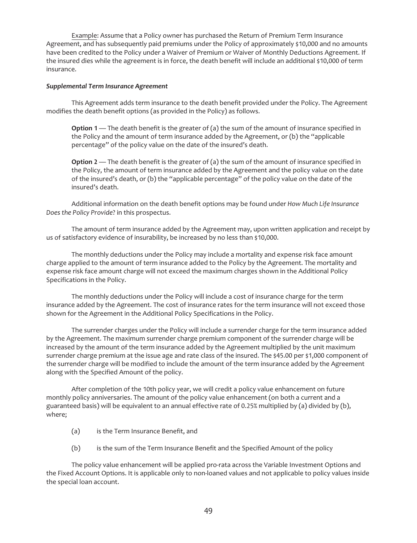Example: Assume that a Policy owner has purchased the Return of Premium Term Insurance Agreement, and has subsequently paid premiums under the Policy of approximately \$10,000 and no amounts have been credited to the Policy under a Waiver of Premium or Waiver of Monthly Deductions Agreement. If the insured dies while the agreement is in force, the death benefit will include an additional \$10,000 of term insurance.

### *Supplemental Term Insurance Agreement*

This Agreement adds term insurance to the death benefit provided under the Policy. The Agreement modifies the death benefit options (as provided in the Policy) as follows.

**Option 1** — The death benefit is the greater of (a) the sum of the amount of insurance specified in the Policy and the amount of term insurance added by the Agreement, or (b) the "applicable percentage" of the policy value on the date of the insured's death.

**Option 2** — The death benefit is the greater of (a) the sum of the amount of insurance specified in the Policy, the amount of term insurance added by the Agreement and the policy value on the date of the insured's death, or (b) the "applicable percentage" of the policy value on the date of the insured's death.

Additional information on the death benefit options may be found under *How Much Life Insurance Does the Policy Provide*? in this prospectus.

The amount of term insurance added by the Agreement may, upon written application and receipt by us of satisfactory evidence of insurability, be increased by no less than \$10,000.

The monthly deductions under the Policy may include a mortality and expense risk face amount charge applied to the amount of term insurance added to the Policy by the Agreement. The mortality and expense risk face amount charge will not exceed the maximum charges shown in the Additional Policy Specifications in the Policy.

The monthly deductions under the Policy will include a cost of insurance charge for the term insurance added by the Agreement. The cost of insurance rates for the term insurance will not exceed those shown for the Agreement in the Additional Policy Specifications in the Policy.

The surrender charges under the Policy will include a surrender charge for the term insurance added by the Agreement. The maximum surrender charge premium component of the surrender charge will be increased by the amount of the term insurance added by the Agreement multiplied by the unit maximum surrender charge premium at the issue age and rate class of the insured. The \$45.00 per \$1,000 component of the surrender charge will be modified to include the amount of the term insurance added by the Agreement along with the Specified Amount of the policy.

After completion of the 10th policy year, we will credit a policy value enhancement on future monthly policy anniversaries. The amount of the policy value enhancement (on both a current and a guaranteed basis) will be equivalent to an annual effective rate of 0.25% multiplied by (a) divided by (b), where;

- (a) is the Term Insurance Benefit, and
- (b) is the sum of the Term Insurance Benefit and the Specified Amount of the policy

The policy value enhancement will be applied pro-rata across the Variable Investment Options and the Fixed Account Options. It is applicable only to non-loaned values and not applicable to policy values inside the special loan account.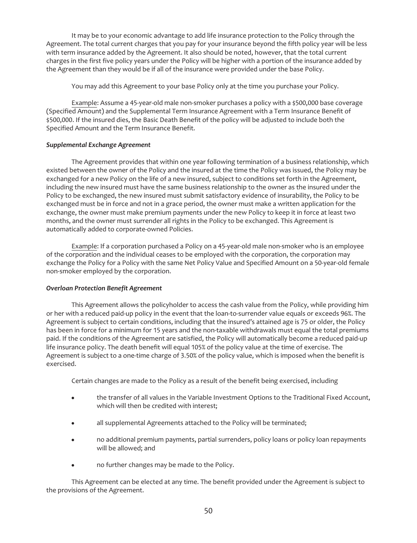It may be to your economic advantage to add life insurance protection to the Policy through the Agreement. The total current charges that you pay for your insurance beyond the fifth policy year will be less with term insurance added by the Agreement. It also should be noted, however, that the total current charges in the first five policy years under the Policy will be higher with a portion of the insurance added by the Agreement than they would be if all of the insurance were provided under the base Policy.

You may add this Agreement to your base Policy only at the time you purchase your Policy.

Example: Assume a 45-year-old male non-smoker purchases a policy with a \$500,000 base coverage (Specified Amount) and the Supplemental Term Insurance Agreement with a Term Insurance Benefit of \$500,000. If the insured dies, the Basic Death Benefit of the policy will be adjusted to include both the Specified Amount and the Term Insurance Benefit.

# *Supplemental Exchange Agreement*

The Agreement provides that within one year following termination of a business relationship, which existed between the owner of the Policy and the insured at the time the Policy was issued, the Policy may be exchanged for a new Policy on the life of a new insured, subject to conditions set forth in the Agreement, including the new insured must have the same business relationship to the owner as the insured under the Policy to be exchanged, the new insured must submit satisfactory evidence of insurability, the Policy to be exchanged must be in force and not in a grace period, the owner must make a written application for the exchange, the owner must make premium payments under the new Policy to keep it in force at least two months, and the owner must surrender all rights in the Policy to be exchanged. This Agreement is automatically added to corporate-owned Policies.

Example: If a corporation purchased a Policy on a 45-year-old male non-smoker who is an employee of the corporation and the individual ceases to be employed with the corporation, the corporation may exchange the Policy for a Policy with the same Net Policy Value and Specified Amount on a 50-year-old female non-smoker employed by the corporation.

# *Overloan Protection Benefit Agreement*

This Agreement allows the policyholder to access the cash value from the Policy, while providing him or her with a reduced paid-up policy in the event that the loan-to-surrender value equals or exceeds 96%. The Agreement is subject to certain conditions, including that the insured's attained age is 75 or older, the Policy has been in force for a minimum for 15 years and the non-taxable withdrawals must equal the total premiums paid. If the conditions of the Agreement are satisfied, the Policy will automatically become a reduced paid-up life insurance policy. The death benefit will equal 105% of the policy value at the time of exercise. The Agreement is subject to a one-time charge of 3.50% of the policy value, which is imposed when the benefit is exercised.

Certain changes are made to the Policy as a result of the benefit being exercised, including

- the transfer of all values in the Variable Investment Options to the Traditional Fixed Account, which will then be credited with interest;
- all supplemental Agreements attached to the Policy will be terminated;
- no additional premium payments, partial surrenders, policy loans or policy loan repayments will be allowed; and
- no further changes may be made to the Policy.

This Agreement can be elected at any time. The benefit provided under the Agreement is subject to the provisions of the Agreement.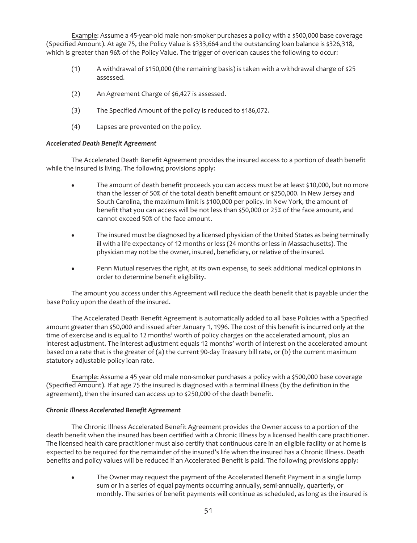Example: Assume a 45-year-old male non-smoker purchases a policy with a \$500,000 base coverage (Specified Amount). At age 75, the Policy Value is \$333,664 and the outstanding loan balance is \$326,318, which is greater than 96% of the Policy Value. The trigger of overloan causes the following to occur:

- (1) A withdrawal of \$150,000 (the remaining basis) is taken with a withdrawal charge of \$25 assessed.
- (2) An Agreement Charge of \$6,427 is assessed.
- (3) The Specified Amount of the policy is reduced to \$186,072.
- (4) Lapses are prevented on the policy.

#### *Accelerated Death Benefit Agreement*

The Accelerated Death Benefit Agreement provides the insured access to a portion of death benefit while the insured is living. The following provisions apply:

- The amount of death benefit proceeds you can access must be at least \$10,000, but no more than the lesser of 50% of the total death benefit amount or \$250,000. In New Jersey and South Carolina, the maximum limit is \$100,000 per policy. In New York, the amount of benefit that you can access will be not less than \$50,000 or 25% of the face amount, and cannot exceed 50% of the face amount.
- The insured must be diagnosed by a licensed physician of the United States as being terminally ill with a life expectancy of 12 months or less (24 months or less in Massachusetts). The physician may not be the owner, insured, beneficiary, or relative of the insured.
- Penn Mutual reserves the right, at its own expense, to seek additional medical opinions in order to determine benefit eligibility.

The amount you access under this Agreement will reduce the death benefit that is payable under the base Policy upon the death of the insured.

The Accelerated Death Benefit Agreement is automatically added to all base Policies with a Specified amount greater than \$50,000 and issued after January 1, 1996. The cost of this benefit is incurred only at the time of exercise and is equal to 12 months' worth of policy charges on the accelerated amount, plus an interest adjustment. The interest adjustment equals 12 months' worth of interest on the accelerated amount based on a rate that is the greater of (a) the current 90-day Treasury bill rate, or (b) the current maximum statutory adjustable policy loan rate.

Example: Assume a 45 year old male non-smoker purchases a policy with a \$500,000 base coverage (Specified Amount). If at age 75 the insured is diagnosed with a terminal illness (by the definition in the agreement), then the insured can access up to \$250,000 of the death benefit.

#### *Chronic Illness Accelerated Benefit Agreement*

The Chronic Illness Accelerated Benefit Agreement provides the Owner access to a portion of the death benefit when the insured has been certified with a Chronic Illness by a licensed health care practitioner. The licensed health care practitioner must also certify that continuous care in an eligible facility or at home is expected to be required for the remainder of the insured's life when the insured has a Chronic Illness. Death benefits and policy values will be reduced if an Accelerated Benefit is paid. The following provisions apply:

The Owner may request the payment of the Accelerated Benefit Payment in a single lump sum or in a series of equal payments occurring annually, semi-annually, quarterly, or monthly. The series of benefit payments will continue as scheduled, as long as the insured is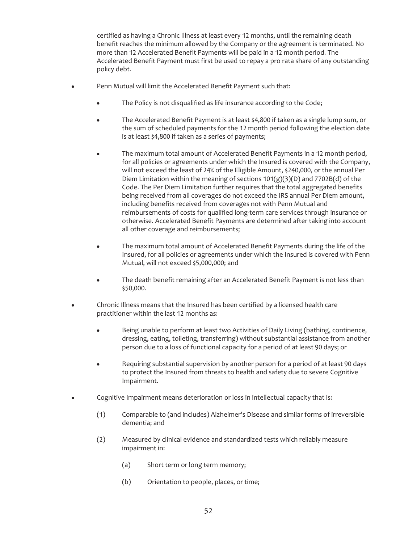certified as having a Chronic Illness at least every 12 months, until the remaining death benefit reaches the minimum allowed by the Company or the agreement is terminated. No more than 12 Accelerated Benefit Payments will be paid in a 12 month period. The Accelerated Benefit Payment must first be used to repay a pro rata share of any outstanding policy debt.

- Penn Mutual will limit the Accelerated Benefit Payment such that:
	- The Policy is not disqualified as life insurance according to the Code;
	- The Accelerated Benefit Payment is at least \$4,800 if taken as a single lump sum, or the sum of scheduled payments for the 12 month period following the election date is at least \$4,800 if taken as a series of payments;
	- The maximum total amount of Accelerated Benefit Payments in a 12 month period, for all policies or agreements under which the Insured is covered with the Company, will not exceed the least of 24% of the Eligible Amount, \$240,000, or the annual Per Diem Limitation within the meaning of sections  $101(g)(3)(D)$  and  $7702B(d)$  of the Code. The Per Diem Limitation further requires that the total aggregated benefits being received from all coverages do not exceed the IRS annual Per Diem amount, including benefits received from coverages not with Penn Mutual and reimbursements of costs for qualified long-term care services through insurance or otherwise. Accelerated Benefit Payments are determined after taking into account all other coverage and reimbursements;
	- The maximum total amount of Accelerated Benefit Payments during the life of the Insured, for all policies or agreements under which the Insured is covered with Penn Mutual, will not exceed \$5,000,000; and
	- The death benefit remaining after an Accelerated Benefit Payment is not less than \$50,000.
- Chronic Illness means that the Insured has been certified by a licensed health care practitioner within the last 12 months as:
	- Being unable to perform at least two Activities of Daily Living (bathing, continence, dressing, eating, toileting, transferring) without substantial assistance from another person due to a loss of functional capacity for a period of at least 90 days; or
	- Requiring substantial supervision by another person for a period of at least 90 days to protect the Insured from threats to health and safety due to severe Cognitive Impairment.
- Cognitive Impairment means deterioration or loss in intellectual capacity that is:
	- (1) Comparable to (and includes) Alzheimer's Disease and similar forms of irreversible dementia; and
	- (2) Measured by clinical evidence and standardized tests which reliably measure impairment in:
		- (a) Short term or long term memory;
		- (b) Orientation to people, places, or time;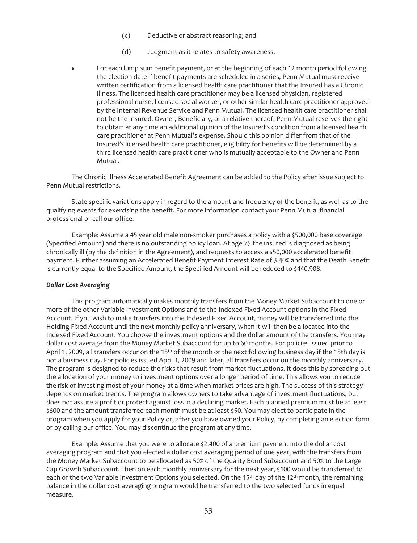- (c) Deductive or abstract reasoning; and
- (d) Judgment as it relates to safety awareness.
- For each lump sum benefit payment, or at the beginning of each 12 month period following the election date if benefit payments are scheduled in a series, Penn Mutual must receive written certification from a licensed health care practitioner that the Insured has a Chronic Illness. The licensed health care practitioner may be a licensed physician, registered professional nurse, licensed social worker, or other similar health care practitioner approved by the Internal Revenue Service and Penn Mutual. The licensed health care practitioner shall not be the Insured, Owner, Beneficiary, or a relative thereof. Penn Mutual reserves the right to obtain at any time an additional opinion of the Insured's condition from a licensed health care practitioner at Penn Mutual's expense. Should this opinion differ from that of the Insured's licensed health care practitioner, eligibility for benefits will be determined by a third licensed health care practitioner who is mutually acceptable to the Owner and Penn Mutual.

The Chronic Illness Accelerated Benefit Agreement can be added to the Policy after issue subject to Penn Mutual restrictions.

State specific variations apply in regard to the amount and frequency of the benefit, as well as to the qualifying events for exercising the benefit. For more information contact your Penn Mutual financial professional or call our office.

Example: Assume a 45 year old male non-smoker purchases a policy with a \$500,000 base coverage (Specified Amount) and there is no outstanding policy loan. At age 75 the insured is diagnosed as being chronically ill (by the definition in the Agreement), and requests to access a \$50,000 accelerated benefit payment. Further assuming an Accelerated Benefit Payment Interest Rate of 3.40% and that the Death Benefit is currently equal to the Specified Amount, the Specified Amount will be reduced to \$440,908.

## *Dollar Cost Averaging*

This program automatically makes monthly transfers from the Money Market Subaccount to one or more of the other Variable Investment Options and to the Indexed Fixed Account options in the Fixed Account. If you wish to make transfers into the Indexed Fixed Account, money will be transferred into the Holding Fixed Account until the next monthly policy anniversary, when it will then be allocated into the Indexed Fixed Account. You choose the investment options and the dollar amount of the transfers. You may dollar cost average from the Money Market Subaccount for up to 60 months. For policies issued prior to April 1, 2009, all transfers occur on the 15<sup>th</sup> of the month or the next following business day if the 15th day is not a business day. For policies issued April 1, 2009 and later, all transfers occur on the monthly anniversary. The program is designed to reduce the risks that result from market fluctuations. It does this by spreading out the allocation of your money to investment options over a longer period of time. This allows you to reduce the risk of investing most of your money at a time when market prices are high. The success of this strategy depends on market trends. The program allows owners to take advantage of investment fluctuations, but does not assure a profit or protect against loss in a declining market. Each planned premium must be at least \$600 and the amount transferred each month must be at least \$50. You may elect to participate in the program when you apply for your Policy or, after you have owned your Policy, by completing an election form or by calling our office. You may discontinue the program at any time.

Example: Assume that you were to allocate \$2,400 of a premium payment into the dollar cost averaging program and that you elected a dollar cost averaging period of one year, with the transfers from the Money Market Subaccount to be allocated as 50% of the Quality Bond Subaccount and 50% to the Large Cap Growth Subaccount. Then on each monthly anniversary for the next year, \$100 would be transferred to each of the two Variable Investment Options you selected. On the 15<sup>th</sup> day of the 12<sup>th</sup> month, the remaining balance in the dollar cost averaging program would be transferred to the two selected funds in equal measure.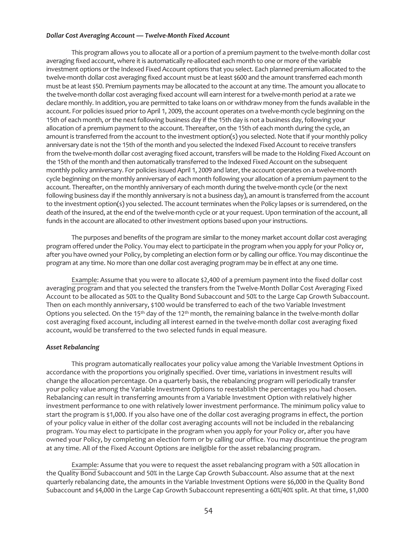### *Dollar Cost Averaging Account — Twelve-Month Fixed Account*

This program allows you to allocate all or a portion of a premium payment to the twelve-month dollar cost averaging fixed account, where it is automatically re-allocated each month to one or more of the variable investment options or the Indexed Fixed Account options that you select. Each planned premium allocated to the twelve-month dollar cost averaging fixed account must be at least \$600 and the amount transferred each month must be at least \$50. Premium payments may be allocated to the account at any time. The amount you allocate to the twelve-month dollar cost averaging fixed account will earn interest for a twelve-month period at a rate we declare monthly. In addition, you are permitted to take loans on or withdraw money from the funds available in the account. For policies issued prior to April 1, 2009, the account operates on a twelve-month cycle beginning on the 15th of each month, or the next following business day if the 15th day is not a business day, following your allocation of a premium payment to the account. Thereafter, on the 15th of each month during the cycle, an amount is transferred from the account to the investment option(s) you selected. Note that if your monthly policy anniversary date is not the 15th of the month and you selected the Indexed Fixed Account to receive transfers from the twelve-month dollar cost averaging fixed account, transfers will be made to the Holding Fixed Account on the 15th of the month and then automatically transferred to the Indexed Fixed Account on the subsequent monthly policy anniversary. For policies issued April 1, 2009 and later, the account operates on a twelve-month cycle beginning on the monthly anniversary of each month following your allocation of a premium payment to the account. Thereafter, on the monthly anniversary of each month during the twelve-month cycle (or the next following business day if the monthly anniversary is not a business day), an amount is transferred from the account to the investment option(s) you selected. The account terminates when the Policy lapses or is surrendered, on the death of the insured, at the end of the twelve-month cycle or at your request. Upon termination of the account, all funds in the account are allocated to other investment options based upon your instructions.

The purposes and benefits of the program are similar to the money market account dollar cost averaging program offered under the Policy. You may elect to participate in the program when you apply for your Policy or, after you have owned your Policy, by completing an election form or by calling our office. You may discontinue the program at any time. No more than one dollar cost averaging program may be in effect at any one time.

Example: Assume that you were to allocate \$2,400 of a premium payment into the fixed dollar cost averaging program and that you selected the transfers from the Twelve-Month Dollar Cost Averaging Fixed Account to be allocated as 50% to the Quality Bond Subaccount and 50% to the Large Cap Growth Subaccount. Then on each monthly anniversary, \$100 would be transferred to each of the two Variable Investment Options you selected. On the 15<sup>th</sup> day of the 12<sup>th</sup> month, the remaining balance in the twelve-month dollar cost averaging fixed account, including all interest earned in the twelve-month dollar cost averaging fixed account, would be transferred to the two selected funds in equal measure.

### *Asset Rebalancing*

This program automatically reallocates your policy value among the Variable Investment Options in accordance with the proportions you originally specified. Over time, variations in investment results will change the allocation percentage. On a quarterly basis, the rebalancing program will periodically transfer your policy value among the Variable Investment Options to reestablish the percentages you had chosen. Rebalancing can result in transferring amounts from a Variable Investment Option with relatively higher investment performance to one with relatively lower investment performance. The minimum policy value to start the program is \$1,000. If you also have one of the dollar cost averaging programs in effect, the portion of your policy value in either of the dollar cost averaging accounts will not be included in the rebalancing program. You may elect to participate in the program when you apply for your Policy or, after you have owned your Policy, by completing an election form or by calling our office. You may discontinue the program at any time. All of the Fixed Account Options are ineligible for the asset rebalancing program.

Example: Assume that you were to request the asset rebalancing program with a 50% allocation in the Quality Bond Subaccount and 50% in the Large Cap Growth Subaccount. Also assume that at the next quarterly rebalancing date, the amounts in the Variable Investment Options were \$6,000 in the Quality Bond Subaccount and \$4,000 in the Large Cap Growth Subaccount representing a 60%/40% split. At that time, \$1,000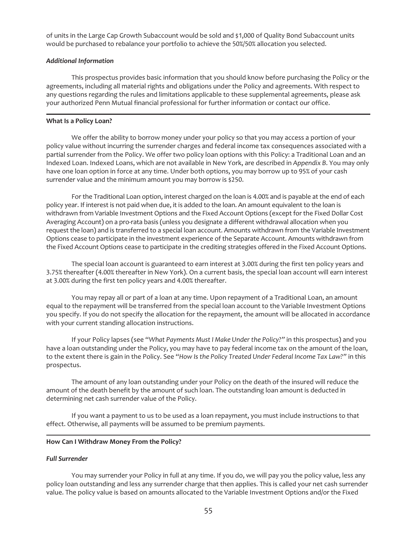of units in the Large Cap Growth Subaccount would be sold and \$1,000 of Quality Bond Subaccount units would be purchased to rebalance your portfolio to achieve the 50%/50% allocation you selected.

# *Additional Information*

This prospectus provides basic information that you should know before purchasing the Policy or the agreements, including all material rights and obligations under the Policy and agreements. With respect to any questions regarding the rules and limitations applicable to these supplemental agreements, please ask your authorized Penn Mutual financial professional for further information or contact our office.

# **What Is a Policy Loan?**

We offer the ability to borrow money under your policy so that you may access a portion of your policy value without incurring the surrender charges and federal income tax consequences associated with a partial surrender from the Policy. We offer two policy loan options with this Policy: a Traditional Loan and an Indexed Loan. Indexed Loans, which are not available in New York, are described in *Appendix B*. You may only have one loan option in force at any time. Under both options, you may borrow up to 95% of your cash surrender value and the minimum amount you may borrow is \$250.

For the Traditional Loan option, interest charged on the loan is 4.00% and is payable at the end of each policy year. If interest is not paid when due, it is added to the loan. An amount equivalent to the loan is withdrawn from Variable Investment Options and the Fixed Account Options (except for the Fixed Dollar Cost Averaging Account) on a pro-rata basis (unless you designate a different withdrawal allocation when you request the loan) and is transferred to a special loan account. Amounts withdrawn from the Variable Investment Options cease to participate in the investment experience of the Separate Account. Amounts withdrawn from the Fixed Account Options cease to participate in the crediting strategies offered in the Fixed Account Options.

The special loan account is guaranteed to earn interest at 3.00% during the first ten policy years and 3.75% thereafter (4.00% thereafter in New York). On a current basis, the special loan account will earn interest at 3.00% during the first ten policy years and 4.00% thereafter.

You may repay all or part of a loan at any time. Upon repayment of a Traditional Loan, an amount equal to the repayment will be transferred from the special loan account to the Variable Investment Options you specify. If you do not specify the allocation for the repayment, the amount will be allocated in accordance with your current standing allocation instructions.

If your Policy lapses (see "*What Payments Must I Make Under the Policy?"* in this prospectus) and you have a loan outstanding under the Policy, you may have to pay federal income tax on the amount of the loan, to the extent there is gain in the Policy. See "*How Is the Policy Treated Under Federal Income Tax Law?"* in this prospectus.

The amount of any loan outstanding under your Policy on the death of the insured will reduce the amount of the death benefit by the amount of such loan. The outstanding loan amount is deducted in determining net cash surrender value of the Policy.

If you want a payment to us to be used as a loan repayment, you must include instructions to that effect. Otherwise, all payments will be assumed to be premium payments.

### **How Can I Withdraw Money From the Policy?**

# *Full Surrender*

You may surrender your Policy in full at any time. If you do, we will pay you the policy value, less any policy loan outstanding and less any surrender charge that then applies. This is called your net cash surrender value. The policy value is based on amounts allocated to the Variable Investment Options and/or the Fixed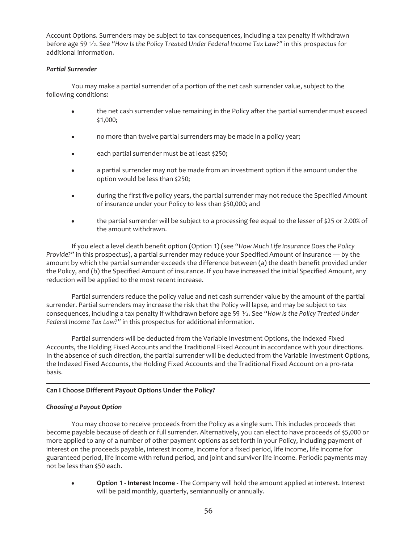Account Options. Surrenders may be subject to tax consequences, including a tax penalty if withdrawn before age 59 1⁄2. See "*How Is the Policy Treated Under Federal Income Tax Law?"* in this prospectus for additional information.

# *Partial Surrender*

You may make a partial surrender of a portion of the net cash surrender value, subject to the following conditions:

- the net cash surrender value remaining in the Policy after the partial surrender must exceed \$1,000;
- no more than twelve partial surrenders may be made in a policy year;
- each partial surrender must be at least \$250;
- a partial surrender may not be made from an investment option if the amount under the option would be less than \$250;
- during the first five policy years, the partial surrender may not reduce the Specified Amount of insurance under your Policy to less than \$50,000; and
- the partial surrender will be subject to a processing fee equal to the lesser of \$25 or 2.00% of the amount withdrawn.

If you elect a level death benefit option (Option 1) (see "*How Much Life Insurance Does the Policy Provide?"* in this prospectus), a partial surrender may reduce your Specified Amount of insurance — by the amount by which the partial surrender exceeds the difference between (a) the death benefit provided under the Policy, and (b) the Specified Amount of insurance. If you have increased the initial Specified Amount, any reduction will be applied to the most recent increase.

Partial surrenders reduce the policy value and net cash surrender value by the amount of the partial surrender. Partial surrenders may increase the risk that the Policy will lapse, and may be subject to tax consequences, including a tax penalty if withdrawn before age 59  $\frac{1}{2}$ . See "How Is the Policy Treated Under *Federal Income Tax Law?"* in this prospectus for additional information.

Partial surrenders will be deducted from the Variable Investment Options, the Indexed Fixed Accounts, the Holding Fixed Accounts and the Traditional Fixed Account in accordance with your directions. In the absence of such direction, the partial surrender will be deducted from the Variable Investment Options, the Indexed Fixed Accounts, the Holding Fixed Accounts and the Traditional Fixed Account on a pro-rata basis.

# **Can I Choose Different Payout Options Under the Policy?**

### *Choosing a Payout Option*

You may choose to receive proceeds from the Policy as a single sum. This includes proceeds that become payable because of death or full surrender. Alternatively, you can elect to have proceeds of \$5,000 or more applied to any of a number of other payment options as set forth in your Policy, including payment of interest on the proceeds payable, interest income, income for a fixed period, life income, life income for guaranteed period, life income with refund period, and joint and survivor life income. Periodic payments may not be less than \$50 each.

**Option 1 - Interest Income -** The Company will hold the amount applied at interest. Interest will be paid monthly, quarterly, semiannually or annually.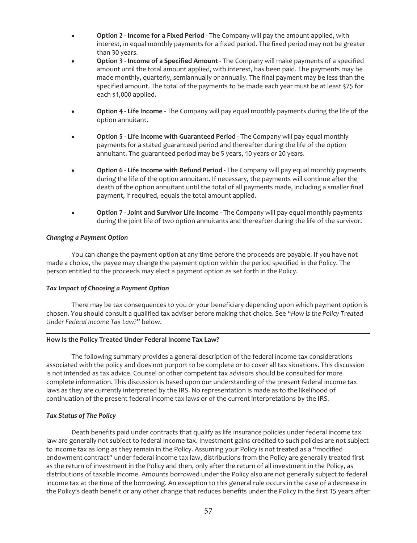- **Option 2 Income for a Fixed Period** The Company will pay the amount applied, with interest, in equal monthly payments for a fixed period. The fixed period may not be greater than 30 years.
- **Option 3 Income of a Specified Amount -** The Company will make payments of a specified amount until the total amount applied, with interest, has been paid. The payments may be made monthly, quarterly, semiannually or annually. The final payment may be less than the specified amount. The total of the payments to be made each year must be at least \$75 for each \$1,000 applied.
- **Option 4 Life Income -** The Company will pay equal monthly payments during the life of the option annuitant.
- Option 5 Life Income with Guaranteed Period The Company will pay equal monthly payments for a stated guaranteed period and thereafter during the life of the option annuitant. The guaranteed period may be 5 years, 10 years or 20 years.
- **Option 6 Life Income with Refund Period -** The Company will pay equal monthly payments during the life of the option annuitant. If necessary, the payments will continue after the death of the option annuitant until the total of all payments made, including a smaller final payment, if required, equals the total amount applied.
- **Option 7 Joint and Survivor Life Income -** The Company will pay equal monthly payments during the joint life of two option annuitants and thereafter during the life of the survivor.

# *Changing a Payment Option*

You can change the payment option at any time before the proceeds are payable. If you have not made a choice, the payee may change the payment option within the period specified in the Policy. The person entitled to the proceeds may elect a payment option as set forth in the Policy.

## *Tax Impact of Choosing a Payment Option*

There may be tax consequences to you or your beneficiary depending upon which payment option is chosen. You should consult a qualified tax adviser before making that choice. See "*How is the Policy Treated Under Federal Income Tax Law?*" below.

### **How Is the Policy Treated Under Federal Income Tax Law?**

The following summary provides a general description of the federal income tax considerations associated with the policy and does not purport to be complete or to cover all tax situations. This discussion is not intended as tax advice. Counsel or other competent tax advisors should be consulted for more complete information. This discussion is based upon our understanding of the present federal income tax laws as they are currently interpreted by the IRS. No representation is made as to the likelihood of continuation of the present federal income tax laws or of the current interpretations by the IRS.

# *Tax Status of The Policy*

Death benefits paid under contracts that qualify as life insurance policies under federal income tax law are generally not subject to federal income tax. Investment gains credited to such policies are not subject to income tax as long as they remain in the Policy. Assuming your Policy is *not* treated as a "modified endowment contract" under federal income tax law, distributions from the Policy are generally treated first as the return of investment in the Policy and then, only after the return of all investment in the Policy, as distributions of taxable income. Amounts borrowed under the Policy also are not generally subject to federal income tax at the time of the borrowing. An exception to this general rule occurs in the case of a decrease in the Policy's death benefit or any other change that reduces benefits under the Policy in the first 15 years after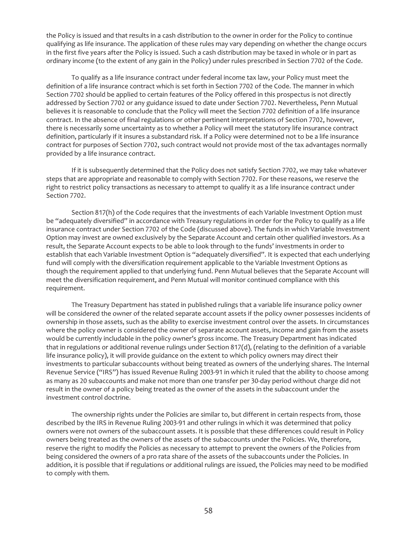the Policy is issued and that results in a cash distribution to the owner in order for the Policy to continue qualifying as life insurance. The application of these rules may vary depending on whether the change occurs in the first five years after the Policy is issued. Such a cash distribution may be taxed in whole or in part as ordinary income (to the extent of any gain in the Policy) under rules prescribed in Section 7702 of the Code.

To qualify as a life insurance contract under federal income tax law, your Policy must meet the definition of a life insurance contract which is set forth in Section 7702 of the Code. The manner in which Section 7702 should be applied to certain features of the Policy offered in this prospectus is not directly addressed by Section 7702 or any guidance issued to date under Section 7702. Nevertheless, Penn Mutual believes it is reasonable to conclude that the Policy will meet the Section 7702 definition of a life insurance contract. In the absence of final regulations or other pertinent interpretations of Section 7702, however, there is necessarily some uncertainty as to whether a Policy will meet the statutory life insurance contract definition, particularly if it insures a substandard risk. If a Policy were determined not to be a life insurance contract for purposes of Section 7702, such contract would not provide most of the tax advantages normally provided by a life insurance contract.

If it is subsequently determined that the Policy does not satisfy Section 7702, we may take whatever steps that are appropriate and reasonable to comply with Section 7702. For these reasons, we reserve the right to restrict policy transactions as necessary to attempt to qualify it as a life insurance contract under Section 7702.

Section 817(h) of the Code requires that the investments of each Variable Investment Option must be "adequately diversified" in accordance with Treasury regulations in order for the Policy to qualify as a life insurance contract under Section 7702 of the Code (discussed above). The funds in which Variable Investment Option may invest are owned exclusively by the Separate Account and certain other qualified investors. As a result, the Separate Account expects to be able to look through to the funds' investments in order to establish that each Variable Investment Option is "adequately diversified". It is expected that each underlying fund will comply with the diversification requirement applicable to the Variable Investment Options as though the requirement applied to that underlying fund. Penn Mutual believes that the Separate Account will meet the diversification requirement, and Penn Mutual will monitor continued compliance with this requirement.

The Treasury Department has stated in published rulings that a variable life insurance policy owner will be considered the owner of the related separate account assets if the policy owner possesses incidents of ownership in those assets, such as the ability to exercise investment control over the assets. In circumstances where the policy owner is considered the owner of separate account assets, income and gain from the assets would be currently includable in the policy owner's gross income. The Treasury Department has indicated that in regulations or additional revenue rulings under Section 817(d), (relating to the definition of a variable life insurance policy), it will provide guidance on the extent to which policy owners may direct their investments to particular subaccounts without being treated as owners of the underlying shares. The Internal Revenue Service ("IRS") has issued Revenue Ruling 2003-91 in which it ruled that the ability to choose among as many as 20 subaccounts and make not more than one transfer per 30-day period without charge did not result in the owner of a policy being treated as the owner of the assets in the subaccount under the investment control doctrine.

The ownership rights under the Policies are similar to, but different in certain respects from, those described by the IRS in Revenue Ruling 2003-91 and other rulings in which it was determined that policy owners were not owners of the subaccount assets. It is possible that these differences could result in Policy owners being treated as the owners of the assets of the subaccounts under the Policies. We, therefore, reserve the right to modify the Policies as necessary to attempt to prevent the owners of the Policies from being considered the owners of a pro rata share of the assets of the subaccounts under the Policies. In addition, it is possible that if regulations or additional rulings are issued, the Policies may need to be modified to comply with them.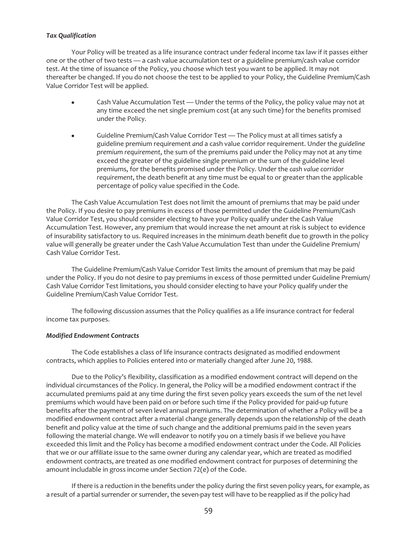## *Tax Qualification*

Your Policy will be treated as a life insurance contract under federal income tax law if it passes either one or the other of two tests — a cash value accumulation test or a guideline premium/cash value corridor test. At the time of issuance of the Policy, you choose which test you want to be applied. It may not thereafter be changed. If you do not choose the test to be applied to your Policy, the Guideline Premium/Cash Value Corridor Test will be applied.

- Cash Value Accumulation Test Under the terms of the Policy, the policy value may not at any time exceed the net single premium cost (at any such time) for the benefits promised under the Policy.
- Guideline Premium/Cash Value Corridor Test The Policy must at all times satisfy a guideline premium requirement *and* a cash value corridor requirement. Under the *guideline premium requirement*, the sum of the premiums paid under the Policy may not at any time exceed the greater of the guideline single premium or the sum of the guideline level premiums, for the benefits promised under the Policy. Under the *cash value corridor requirement*, the death benefit at any time must be equal to or greater than the applicable percentage of policy value specified in the Code.

The Cash Value Accumulation Test does not limit the amount of premiums that may be paid under the Policy. If you desire to pay premiums in excess of those permitted under the Guideline Premium/Cash Value Corridor Test, you should consider electing to have your Policy qualify under the Cash Value Accumulation Test. However, any premium that would increase the net amount at risk is subject to evidence of insurability satisfactory to us. Required increases in the minimum death benefit due to growth in the policy value will generally be greater under the Cash Value Accumulation Test than under the Guideline Premium/ Cash Value Corridor Test.

The Guideline Premium/Cash Value Corridor Test limits the amount of premium that may be paid under the Policy. If you do not desire to pay premiums in excess of those permitted under Guideline Premium/ Cash Value Corridor Test limitations, you should consider electing to have your Policy qualify under the Guideline Premium/Cash Value Corridor Test.

The following discussion assumes that the Policy qualifies as a life insurance contract for federal income tax purposes.

### *Modified Endowment Contracts*

The Code establishes a class of life insurance contracts designated as modified endowment contracts, which applies to Policies entered into or materially changed after June 20, 1988.

Due to the Policy's flexibility, classification as a modified endowment contract will depend on the individual circumstances of the Policy. In general, the Policy will be a modified endowment contract if the accumulated premiums paid at any time during the first seven policy years exceeds the sum of the net level premiums which would have been paid on or before such time if the Policy provided for paid-up future benefits after the payment of seven level annual premiums. The determination of whether a Policy will be a modified endowment contract after a material change generally depends upon the relationship of the death benefit and policy value at the time of such change and the additional premiums paid in the seven years following the material change. We will endeavor to notify you on a timely basis if we believe you have exceeded this limit and the Policy has become a modified endowment contract under the Code. All Policies that we or our affiliate issue to the same owner during any calendar year, which are treated as modified endowment contracts, are treated as one modified endowment contract for purposes of determining the amount includable in gross income under Section 72(e) of the Code.

If there is a reduction in the benefits under the policy during the first seven policy years, for example, as a result of a partial surrender or surrender, the seven-pay test will have to be reapplied as if the policy had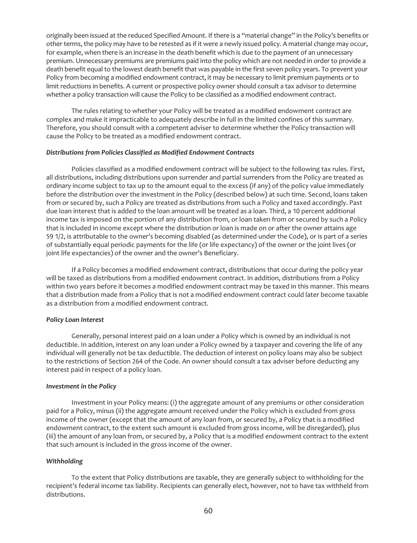originally been issued at the reduced Specified Amount. If there is a "material change" in the Policy's benefits or other terms, the policy may have to be retested as if it were a newly issued policy. A material change may occur, for example, when there is an increase in the death benefit which is due to the payment of an unnecessary premium. Unnecessary premiums are premiums paid into the policy which are not needed in order to provide a death benefit equal to the lowest death benefit that was payable in the first seven policy years. To prevent your Policy from becoming a modified endowment contract, it may be necessary to limit premium payments or to limit reductions in benefits. A current or prospective policy owner should consult a tax advisor to determine whether a policy transaction will cause the Policy to be classified as a modified endowment contract.

The rules relating to whether your Policy will be treated as a modified endowment contract are complex and make it impracticable to adequately describe in full in the limited confines of this summary. Therefore, you should consult with a competent adviser to determine whether the Policy transaction will cause the Policy to be treated as a modified endowment contract.

#### *Distributions from Policies Classified as Modified Endowment Contracts*

Policies classified as a modified endowment contract will be subject to the following tax rules. First, all distributions, including distributions upon surrender and partial surrenders from the Policy are treated as ordinary income subject to tax up to the amount equal to the excess (if any) of the policy value immediately before the distribution over the investment in the Policy (described below) at such time. Second, loans taken from or secured by, such a Policy are treated as distributions from such a Policy and taxed accordingly. Past due loan interest that is added to the loan amount will be treated as a loan. Third, a 10 percent additional income tax is imposed on the portion of any distribution from, or loan taken from or secured by such a Policy that is included in income except where the distribution or loan is made on or after the owner attains age 59 1/2, is attributable to the owner's becoming disabled (as determined under the Code), or is part of a series of substantially equal periodic payments for the life (or life expectancy) of the owner or the joint lives (or joint life expectancies) of the owner and the owner's Beneficiary.

If a Policy becomes a modified endowment contract, distributions that occur during the policy year will be taxed as distributions from a modified endowment contract. In addition, distributions from a Policy within two years before it becomes a modified endowment contract may be taxed in this manner. This means that a distribution made from a Policy that is not a modified endowment contract could later become taxable as a distribution from a modified endowment contract.

### *Policy Loan Interest*

Generally, personal interest paid on a loan under a Policy which is owned by an individual is not deductible. In addition, interest on any loan under a Policy owned by a taxpayer and covering the life of any individual will generally not be tax deductible. The deduction of interest on policy loans may also be subject to the restrictions of Section 264 of the Code. An owner should consult a tax adviser before deducting any interest paid in respect of a policy loan.

### *Investment in the Policy*

Investment in your Policy means: (i) the aggregate amount of any premiums or other consideration paid for a Policy, minus (ii) the aggregate amount received under the Policy which is excluded from gross income of the owner (except that the amount of any loan from, or secured by, a Policy that is a modified endowment contract, to the extent such amount is excluded from gross income, will be disregarded), plus (iii) the amount of any loan from, or secured by, a Policy that is a modified endowment contract to the extent that such amount is included in the gross income of the owner.

### *Withholding*

To the extent that Policy distributions are taxable, they are generally subject to withholding for the recipient*'*s federal income tax liability. Recipients can generally elect, however, not to have tax withheld from distributions.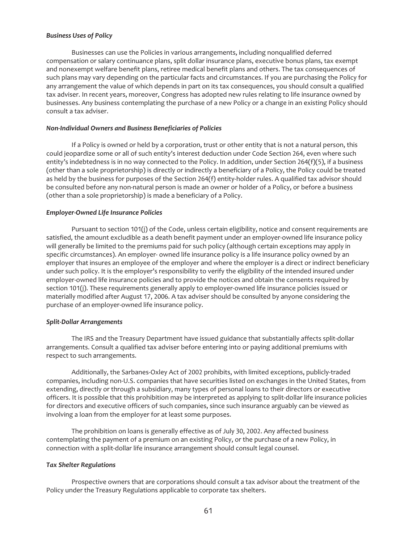### *Business Uses of Policy*

Businesses can use the Policies in various arrangements, including nonqualified deferred compensation or salary continuance plans, split dollar insurance plans, executive bonus plans, tax exempt and nonexempt welfare benefit plans, retiree medical benefit plans and others. The tax consequences of such plans may vary depending on the particular facts and circumstances. If you are purchasing the Policy for any arrangement the value of which depends in part on its tax consequences, you should consult a qualified tax adviser. In recent years, moreover, Congress has adopted new rules relating to life insurance owned by businesses. Any business contemplating the purchase of a new Policy or a change in an existing Policy should consult a tax adviser.

#### *Non-Individual Owners and Business Beneficiaries of Policies*

If a Policy is owned or held by a corporation, trust or other entity that is not a natural person, this could jeopardize some or all of such entity's interest deduction under Code Section 264, even where such entity's indebtedness is in no way connected to the Policy. In addition, under Section 264(f)(5), if a business (other than a sole proprietorship) is directly or indirectly a beneficiary of a Policy, the Policy could be treated as held by the business for purposes of the Section 264(f) entity-holder rules. A qualified tax advisor should be consulted before any non-natural person is made an owner or holder of a Policy, or before a business (other than a sole proprietorship) is made a beneficiary of a Policy.

#### *Employer-Owned Life Insurance Policies*

Pursuant to section 101(j) of the Code, unless certain eligibility, notice and consent requirements are satisfied, the amount excludible as a death benefit payment under an employer-owned life insurance policy will generally be limited to the premiums paid for such policy (although certain exceptions may apply in specific circumstances). An employer- owned life insurance policy is a life insurance policy owned by an employer that insures an employee of the employer and where the employer is a direct or indirect beneficiary under such policy. It is the employer's responsibility to verify the eligibility of the intended insured under employer-owned life insurance policies and to provide the notices and obtain the consents required by section 101(j). These requirements generally apply to employer-owned life insurance policies issued or materially modified after August 17, 2006. A tax adviser should be consulted by anyone considering the purchase of an employer-owned life insurance policy.

#### *Split-Dollar Arrangements*

The IRS and the Treasury Department have issued guidance that substantially affects split-dollar arrangements. Consult a qualified tax adviser before entering into or paying additional premiums with respect to such arrangements.

Additionally, the Sarbanes-Oxley Act of 2002 prohibits, with limited exceptions, publicly-traded companies, including non-U.S. companies that have securities listed on exchanges in the United States, from extending, directly or through a subsidiary, many types of personal loans to their directors or executive officers. It is possible that this prohibition may be interpreted as applying to split-dollar life insurance policies for directors and executive officers of such companies, since such insurance arguably can be viewed as involving a loan from the employer for at least some purposes.

The prohibition on loans is generally effective as of July 30, 2002. Any affected business contemplating the payment of a premium on an existing Policy, or the purchase of a new Policy, in connection with a split-dollar life insurance arrangement should consult legal counsel.

#### *Tax Shelter Regulations*

Prospective owners that are corporations should consult a tax advisor about the treatment of the Policy under the Treasury Regulations applicable to corporate tax shelters.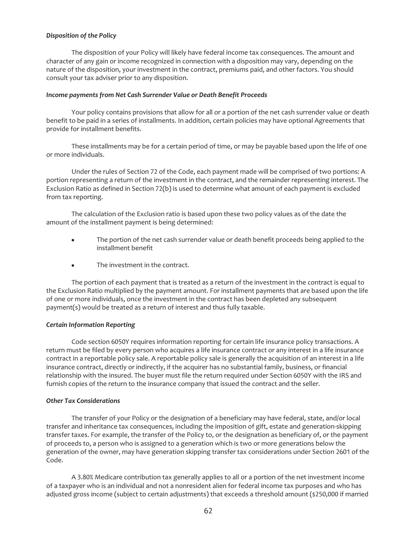## *Disposition of the Policy*

The disposition of your Policy will likely have federal income tax consequences. The amount and character of any gain or income recognized in connection with a disposition may vary, depending on the nature of the disposition, your investment in the contract, premiums paid, and other factors. You should consult your tax adviser prior to any disposition.

### *Income payments from Net Cash Surrender Value or Death Benefit Proceeds*

Your policy contains provisions that allow for all or a portion of the net cash surrender value or death benefit to be paid in a series of installments. In addition, certain policies may have optional Agreements that provide for installment benefits.

These installments may be for a certain period of time, or may be payable based upon the life of one or more individuals.

Under the rules of Section 72 of the Code, each payment made will be comprised of two portions: A portion representing a return of the investment in the contract, and the remainder representing interest. The Exclusion Ratio as defined in Section 72(b) is used to determine what amount of each payment is excluded from tax reporting.

The calculation of the Exclusion ratio is based upon these two policy values as of the date the amount of the installment payment is being determined:

- The portion of the net cash surrender value or death benefit proceeds being applied to the installment benefit
- The investment in the contract.

The portion of each payment that is treated as a return of the investment in the contract is equal to the Exclusion Ratio multiplied by the payment amount. For installment payments that are based upon the life of one or more individuals, once the investment in the contract has been depleted any subsequent payment(s) would be treated as a return of interest and thus fully taxable.

### *Certain Information Reporting*

Code section 6050Y requires information reporting for certain life insurance policy transactions. A return must be filed by every person who acquires a life insurance contract or any interest in a life insurance contract in a reportable policy sale. A reportable policy sale is generally the acquisition of an interest in a life insurance contract, directly or indirectly, if the acquirer has no substantial family, business, or financial relationship with the insured. The buyer must file the return required under Section 6050Y with the IRS and furnish copies of the return to the insurance company that issued the contract and the seller.

### *Other Tax Considerations*

The transfer of your Policy or the designation of a beneficiary may have federal, state, and/or local transfer and inheritance tax consequences, including the imposition of gift, estate and generation-skipping transfer taxes. For example, the transfer of the Policy to, or the designation as beneficiary of, or the payment of proceeds to, a person who is assigned to a generation which is two or more generations below the generation of the owner, may have generation skipping transfer tax considerations under Section 2601 of the Code.

A 3.80% Medicare contribution tax generally applies to all or a portion of the net investment income of a taxpayer who is an individual and not a nonresident alien for federal income tax purposes and who has adjusted gross income (subject to certain adjustments) that exceeds a threshold amount (\$250,000 if married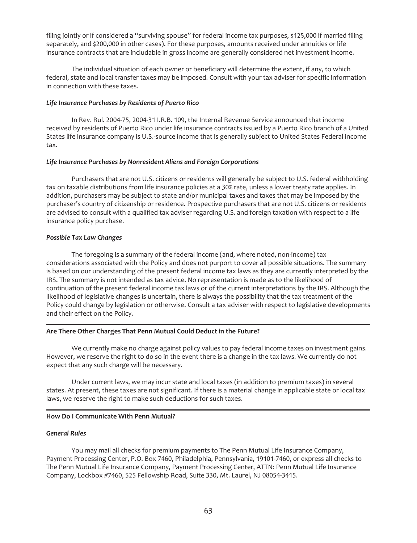filing jointly or if considered a "surviving spouse" for federal income tax purposes, \$125,000 if married filing separately, and \$200,000 in other cases). For these purposes, amounts received under annuities or life insurance contracts that are includable in gross income are generally considered net investment income.

The individual situation of each owner or beneficiary will determine the extent, if any, to which federal, state and local transfer taxes may be imposed. Consult with your tax adviser for specific information in connection with these taxes.

## *Life Insurance Purchases by Residents of Puerto Rico*

In Rev. Rul. 2004-75, 2004-31 I.R.B. 109, the Internal Revenue Service announced that income received by residents of Puerto Rico under life insurance contracts issued by a Puerto Rico branch of a United States life insurance company is U.S.-source income that is generally subject to United States Federal income tax.

# *Life Insurance Purchases by Nonresident Aliens and Foreign Corporations*

Purchasers that are not U.S. citizens or residents will generally be subject to U.S. federal withholding tax on taxable distributions from life insurance policies at a 30% rate, unless a lower treaty rate applies. In addition, purchasers may be subject to state and/or municipal taxes and taxes that may be imposed by the purchaser's country of citizenship or residence. Prospective purchasers that are not U.S. citizens or residents are advised to consult with a qualified tax adviser regarding U.S. and foreign taxation with respect to a life insurance policy purchase.

# *Possible Tax Law Changes*

The foregoing is a summary of the federal income (and, where noted, non-income) tax considerations associated with the Policy and does not purport to cover all possible situations. The summary is based on our understanding of the present federal income tax laws as they are currently interpreted by the IRS. The summary is not intended as tax advice. No representation is made as to the likelihood of continuation of the present federal income tax laws or of the current interpretations by the IRS. Although the likelihood of legislative changes is uncertain, there is always the possibility that the tax treatment of the Policy could change by legislation or otherwise. Consult a tax adviser with respect to legislative developments and their effect on the Policy.

# **Are There Other Charges That Penn Mutual Could Deduct in the Future?**

We currently make no charge against policy values to pay federal income taxes on investment gains. However, we reserve the right to do so in the event there is a change in the tax laws. We currently do not expect that any such charge will be necessary.

Under current laws, we may incur state and local taxes (in addition to premium taxes) in several states. At present, these taxes are not significant. If there is a material change in applicable state or local tax laws, we reserve the right to make such deductions for such taxes.

# **How Do I Communicate With Penn Mutual?**

### *General Rules*

You may mail all checks for premium payments to The Penn Mutual Life Insurance Company, Payment Processing Center, P.O. Box 7460, Philadelphia, Pennsylvania, 19101-7460, or express all checks to The Penn Mutual Life Insurance Company, Payment Processing Center, ATTN: Penn Mutual Life Insurance Company, Lockbox #7460, 525 Fellowship Road, Suite 330, Mt. Laurel, NJ 08054-3415.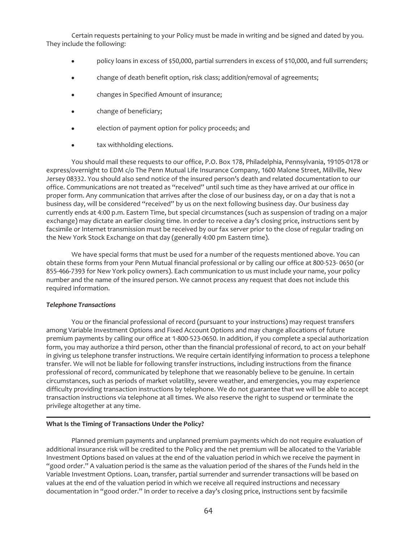Certain requests pertaining to your Policy must be made in writing and be signed and dated by you. They include the following:

- policy loans in excess of \$50,000, partial surrenders in excess of \$10,000, and full surrenders;
- change of death benefit option, risk class; addition/removal of agreements;
- changes in Specified Amount of insurance;
- change of beneficiary;
- election of payment option for policy proceeds; and
- tax withholding elections.

You should mail these requests to our office, P.O. Box 178, Philadelphia, Pennsylvania, 19105-0178 or express/overnight to EDM c/o The Penn Mutual Life Insurance Company, 1600 Malone Street, Millville, New Jersey 08332. You should also send notice of the insured person's death and related documentation to our office. Communications are not treated as "received" until such time as they have arrived at our office in proper form. Any communication that arrives after the close of our business day, or on a day that is not a business day, will be considered "received" by us on the next following business day. Our business day currently ends at 4:00 p.m. Eastern Time, but special circumstances (such as suspension of trading on a major exchange) may dictate an earlier closing time. In order to receive a day's closing price, instructions sent by facsimile or Internet transmission must be received by our fax server prior to the close of regular trading on the New York Stock Exchange on that day (generally 4:00 pm Eastern time).

We have special forms that must be used for a number of the requests mentioned above. You can obtain these forms from your Penn Mutual financial professional or by calling our office at 800-523- 0650 (or 855-466-7393 for New York policy owners). Each communication to us must include your name, your policy number and the name of the insured person. We cannot process any request that does not include this required information.

### *Telephone Transactions*

You or the financial professional of record (pursuant to your instructions) may request transfers among Variable Investment Options and Fixed Account Options and may change allocations of future premium payments by calling our office at 1-800-523-0650. In addition, if you complete a special authorization form, you may authorize a third person, other than the financial professional of record, to act on your behalf in giving us telephone transfer instructions. We require certain identifying information to process a telephone transfer. We will not be liable for following transfer instructions, including instructions from the finance professional of record, communicated by telephone that we reasonably believe to be genuine. In certain circumstances, such as periods of market volatility, severe weather, and emergencies, you may experience difficulty providing transaction instructions by telephone. We do not guarantee that we will be able to accept transaction instructions via telephone at all times. We also reserve the right to suspend or terminate the privilege altogether at any time.

### **What Is the Timing of Transactions Under the Policy?**

Planned premium payments and unplanned premium payments which do not require evaluation of additional insurance risk will be credited to the Policy and the net premium will be allocated to the Variable Investment Options based on values at the end of the valuation period in which we receive the payment in "good order." A valuation period is the same as the valuation period of the shares of the Funds held in the Variable Investment Options. Loan, transfer, partial surrender and surrender transactions will be based on values at the end of the valuation period in which we receive all required instructions and necessary documentation in "good order." In order to receive a day's closing price, instructions sent by facsimile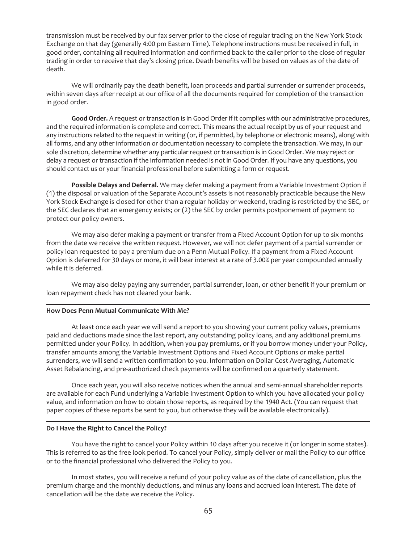transmission must be received by our fax server prior to the close of regular trading on the New York Stock Exchange on that day (generally 4:00 pm Eastern Time). Telephone instructions must be received in full, in good order, containing all required information and confirmed back to the caller prior to the close of regular trading in order to receive that day's closing price. Death benefits will be based on values as of the date of death.

We will ordinarily pay the death benefit, loan proceeds and partial surrender or surrender proceeds, within seven days after receipt at our office of all the documents required for completion of the transaction in good order.

**Good Order.** A request or transaction is in Good Order if it complies with our administrative procedures, and the required information is complete and correct. This means the actual receipt by us of your request and any instructions related to the request in writing (or, if permitted, by telephone or electronic means), along with all forms, and any other information or documentation necessary to complete the transaction. We may, in our sole discretion, determine whether any particular request or transaction is in Good Order. We may reject or delay a request or transaction if the information needed is not in Good Order. If you have any questions, you should contact us or your financial professional before submitting a form or request.

**Possible Delays and Deferral.** We may defer making a payment from a Variable Investment Option if (1) the disposal or valuation of the Separate Account's assets is not reasonably practicable because the New York Stock Exchange is closed for other than a regular holiday or weekend, trading is restricted by the SEC, or the SEC declares that an emergency exists; or (2) the SEC by order permits postponement of payment to protect our policy owners.

We may also defer making a payment or transfer from a Fixed Account Option for up to six months from the date we receive the written request. However, we will not defer payment of a partial surrender or policy loan requested to pay a premium due on a Penn Mutual Policy. If a payment from a Fixed Account Option is deferred for 30 days or more, it will bear interest at a rate of 3.00% per year compounded annually while it is deferred.

We may also delay paying any surrender, partial surrender, loan, or other benefit if your premium or loan repayment check has not cleared your bank.

### **How Does Penn Mutual Communicate With Me?**

At least once each year we will send a report to you showing your current policy values, premiums paid and deductions made since the last report, any outstanding policy loans, and any additional premiums permitted under your Policy. In addition, when you pay premiums, or if you borrow money under your Policy, transfer amounts among the Variable Investment Options and Fixed Account Options or make partial surrenders, we will send a written confirmation to you. Information on Dollar Cost Averaging, Automatic Asset Rebalancing, and pre-authorized check payments will be confirmed on a quarterly statement.

Once each year, you will also receive notices when the annual and semi-annual shareholder reports are available for each Fund underlying a Variable Investment Option to which you have allocated your policy value, and information on how to obtain those reports, as required by the 1940 Act. (You can request that paper copies of these reports be sent to you, but otherwise they will be available electronically).

## **Do I Have the Right to Cancel the Policy?**

You have the right to cancel your Policy within 10 days after you receive it (or longer in some states). This is referred to as the free look period. To cancel your Policy, simply deliver or mail the Policy to our office or to the financial professional who delivered the Policy to you.

In most states, you will receive a refund of your policy value as of the date of cancellation, plus the premium charge and the monthly deductions, and minus any loans and accrued loan interest. The date of cancellation will be the date we receive the Policy.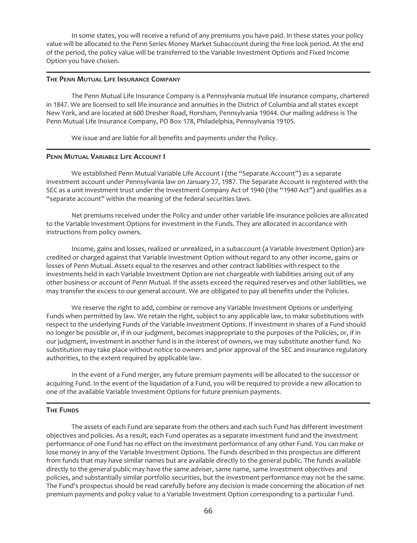In some states, you will receive a refund of any premiums you have paid. In these states your policy value will be allocated to the Penn Series Money Market Subaccount during the free look period. At the end of the period, the policy value will be transferred to the Variable Investment Options and Fixed Income Option you have chosen.

#### **THE PENN MUTUAL LIFE INSURANCE COMPANY**

The Penn Mutual Life Insurance Company is a Pennsylvania mutual life insurance company, chartered in 1847. We are licensed to sell life insurance and annuities in the District of Columbia and all states except New York, and are located at 600 Dresher Road, Horsham, Pennsylvania 19044. Our mailing address is The Penn Mutual Life Insurance Company, PO Box 178, Philadelphia, Pennsylvania 19105.

We issue and are liable for all benefits and payments under the Policy.

### **PENN MUTUAL VARIABLE LIFE ACCOUNT I**

We established Penn Mutual Variable Life Account I (the "Separate Account") as a separate investment account under Pennsylvania law on January 27, 1987. The Separate Account is registered with the SEC as a unit investment trust under the Investment Company Act of 1940 (the "1940 Act") and qualifies as a "separate account" within the meaning of the federal securities laws.

Net premiums received under the Policy and under other variable life insurance policies are allocated to the Variable Investment Options for investment in the Funds. They are allocated in accordance with instructions from policy owners.

Income, gains and losses, realized or unrealized, in a subaccount (a Variable Investment Option) are credited or charged against that Variable Investment Option without regard to any other income, gains or losses of Penn Mutual. Assets equal to the reserves and other contract liabilities with respect to the investments held in each Variable Investment Option are not chargeable with liabilities arising out of any other business or account of Penn Mutual. If the assets exceed the required reserves and other liabilities, we may transfer the excess to our general account. We are obligated to pay all benefits under the Policies.

We reserve the right to add, combine or remove any Variable Investment Options or underlying Funds when permitted by law. We retain the right, subject to any applicable law, to make substitutions with respect to the underlying Funds of the Variable Investment Options. If investment in shares of a Fund should no longer be possible or, if in our judgment, becomes inappropriate to the purposes of the Policies, or, if in our judgment, investment in another fund is in the interest of owners, we may substitute another fund. No substitution may take place without notice to owners and prior approval of the SEC and insurance regulatory authorities, to the extent required by applicable law.

In the event of a Fund merger, any future premium payments will be allocated to the successor or acquiring Fund. In the event of the liquidation of a Fund, you will be required to provide a new allocation to one of the available Variable Investment Options for future premium payments.

### **THE FUNDS**

The assets of each Fund are separate from the others and each such Fund has different investment objectives and policies. As a result, each Fund operates as a separate investment fund and the investment performance of one Fund has no effect on the investment performance of any other Fund. You can make or lose money in any of the Variable Investment Options. The Funds described in this prospectus are different from funds that may have similar names but are available directly to the general public. The funds available directly to the general public may have the same adviser, same name, same investment objectives and policies, and substantially similar portfolio securities, but the investment performance may not be the same. The Fund's prospectus should be read carefully before any decision is made concerning the allocation of net premium payments and policy value to a Variable Investment Option corresponding to a particular Fund.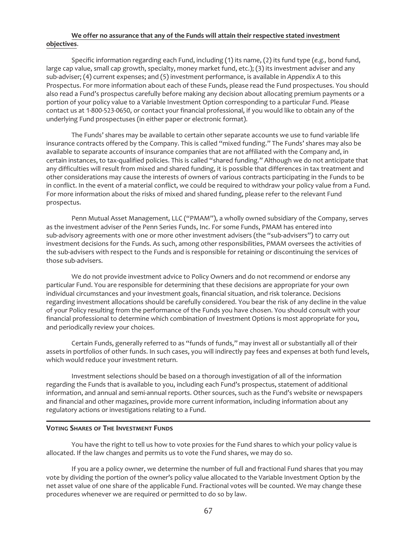# **We offer no assurance that any of the Funds will attain their respective stated** i**nvestment objectives**.

Specific information regarding each Fund, including (1) its name, (2) its fund type (*e.g.,* bond fund, large cap value, small cap growth, specialty, money market fund, etc.); (3) its investment adviser and any sub-adviser; (4) current expenses; and (5) investment performance, is available in *Appendix A* to this Prospectus. For more information about each of these Funds, please read the Fund prospectuses. You should also read a Fund's prospectus carefully before making any decision about allocating premium payments or a portion of your policy value to a Variable Investment Option corresponding to a particular Fund. Please contact us at 1-800-523-0650, or contact your financial professional, if you would like to obtain any of the underlying Fund prospectuses (in either paper or electronic format).

The Funds' shares may be available to certain other separate accounts we use to fund variable life insurance contracts offered by the Company. This is called "mixed funding." The Funds' shares may also be available to separate accounts of insurance companies that are not affiliated with the Company and, in certain instances, to tax-qualified policies. This is called "shared funding." Although we do not anticipate that any difficulties will result from mixed and shared funding, it is possible that differences in tax treatment and other considerations may cause the interests of owners of various contracts participating in the Funds to be in conflict. In the event of a material conflict, we could be required to withdraw your policy value from a Fund. For more information about the risks of mixed and shared funding, please refer to the relevant Fund prospectus.

Penn Mutual Asset Management, LLC ("PMAM"), a wholly owned subsidiary of the Company, serves as the investment adviser of the Penn Series Funds, Inc. For some Funds, PMAM has entered into sub-advisory agreements with one or more other investment advisers (the "sub-advisers") to carry out investment decisions for the Funds. As such, among other responsibilities, PMAM oversees the activities of the sub-advisers with respect to the Funds and is responsible for retaining or discontinuing the services of those sub-advisers.

We do not provide investment advice to Policy Owners and do not recommend or endorse any particular Fund. You are responsible for determining that these decisions are appropriate for your own individual circumstances and your investment goals, financial situation, and risk tolerance. Decisions regarding investment allocations should be carefully considered. You bear the risk of any decline in the value of your Policy resulting from the performance of the Funds you have chosen. You should consult with your financial professional to determine which combination of Investment Options is most appropriate for you, and periodically review your choices.

Certain Funds, generally referred to as "funds of funds," may invest all or substantially all of their assets in portfolios of other funds. In such cases, you will indirectly pay fees and expenses at both fund levels, which would reduce your investment return.

Investment selections should be based on a thorough investigation of all of the information regarding the Funds that is available to you, including each Fund's prospectus, statement of additional information, and annual and semi-annual reports. Other sources, such as the Fund's website or newspapers and financial and other magazines, provide more current information, including information about any regulatory actions or investigations relating to a Fund.

## **VOTING SHARES OF THE INVESTMENT FUNDS**

You have the right to tell us how to vote proxies for the Fund shares to which your policy value is allocated. If the law changes and permits us to vote the Fund shares, we may do so.

If you are a policy owner, we determine the number of full and fractional Fund shares that you may vote by dividing the portion of the owner's policy value allocated to the Variable Investment Option by the net asset value of one share of the applicable Fund. Fractional votes will be counted. We may change these procedures whenever we are required or permitted to do so by law.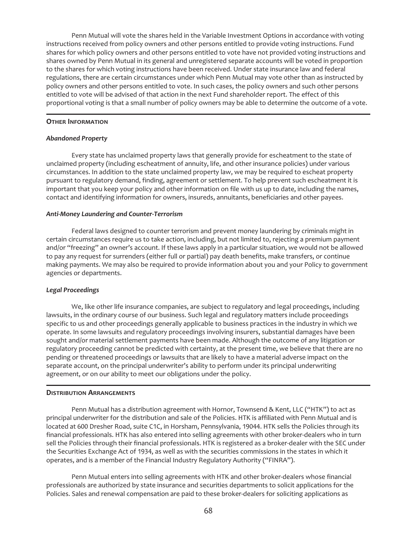Penn Mutual will vote the shares held in the Variable Investment Options in accordance with voting instructions received from policy owners and other persons entitled to provide voting instructions. Fund shares for which policy owners and other persons entitled to vote have not provided voting instructions and shares owned by Penn Mutual in its general and unregistered separate accounts will be voted in proportion to the shares for which voting instructions have been received. Under state insurance law and federal regulations, there are certain circumstances under which Penn Mutual may vote other than as instructed by policy owners and other persons entitled to vote. In such cases, the policy owners and such other persons entitled to vote will be advised of that action in the next Fund shareholder report. The effect of this proportional voting is that a small number of policy owners may be able to determine the outcome of a vote.

#### **OTHER INFORMATION**

#### *Abandoned Property*

Every state has unclaimed property laws that generally provide for escheatment to the state of unclaimed property (including escheatment of annuity, life, and other insurance policies) under various circumstances. In addition to the state unclaimed property law, we may be required to escheat property pursuant to regulatory demand, finding, agreement or settlement. To help prevent such escheatment it is important that you keep your policy and other information on file with us up to date, including the names, contact and identifying information for owners, insureds, annuitants, beneficiaries and other payees.

#### *Anti-Money Laundering and Counter-Terrorism*

Federal laws designed to counter terrorism and prevent money laundering by criminals might in certain circumstances require us to take action, including, but not limited to, rejecting a premium payment and/or "freezing" an owner's account. If these laws apply in a particular situation, we would not be allowed to pay any request for surrenders (either full or partial) pay death benefits, make transfers, or continue making payments. We may also be required to provide information about you and your Policy to government agencies or departments.

#### *Legal Proceedings*

We, like other life insurance companies, are subject to regulatory and legal proceedings, including lawsuits, in the ordinary course of our business. Such legal and regulatory matters include proceedings specific to us and other proceedings generally applicable to business practices in the industry in which we operate. In some lawsuits and regulatory proceedings involving insurers, substantial damages have been sought and/or material settlement payments have been made. Although the outcome of any litigation or regulatory proceeding cannot be predicted with certainty, at the present time, we believe that there are no pending or threatened proceedings or lawsuits that are likely to have a material adverse impact on the separate account, on the principal underwriter's ability to perform under its principal underwriting agreement, or on our ability to meet our obligations under the policy.

#### **DISTRIBUTION ARRANGEMENTS**

Penn Mutual has a distribution agreement with Hornor, Townsend & Kent, LLC ("HTK") to act as principal underwriter for the distribution and sale of the Policies. HTK is affiliated with Penn Mutual and is located at 600 Dresher Road, suite C1C, in Horsham, Pennsylvania, 19044. HTK sells the Policies through its financial professionals. HTK has also entered into selling agreements with other broker-dealers who in turn sell the Policies through their financial professionals. HTK is registered as a broker-dealer with the SEC under the Securities Exchange Act of 1934, as well as with the securities commissions in the states in which it operates, and is a member of the Financial Industry Regulatory Authority ("FINRA").

Penn Mutual enters into selling agreements with HTK and other broker-dealers whose financial professionals are authorized by state insurance and securities departments to solicit applications for the Policies. Sales and renewal compensation are paid to these broker-dealers for soliciting applications as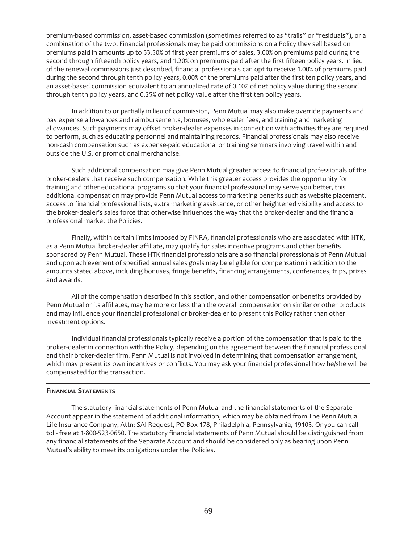premium-based commission, asset-based commission (sometimes referred to as "trails" or "residuals"), or a combination of the two. Financial professionals may be paid commissions on a Policy they sell based on premiums paid in amounts up to 53.50% of first year premiums of sales, 3.00% on premiums paid during the second through fifteenth policy years, and 1.20% on premiums paid after the first fifteen policy years. In lieu of the renewal commissions just described, financial professionals can opt to receive 1.00% of premiums paid during the second through tenth policy years, 0.00% of the premiums paid after the first ten policy years, and an asset-based commission equivalent to an annualized rate of 0.10% of net policy value during the second through tenth policy years, and 0.25% of net policy value after the first ten policy years.

In addition to or partially in lieu of commission, Penn Mutual may also make override payments and pay expense allowances and reimbursements, bonuses, wholesaler fees, and training and marketing allowances. Such payments may offset broker-dealer expenses in connection with activities they are required to perform, such as educating personnel and maintaining records. Financial professionals may also receive non-cash compensation such as expense-paid educational or training seminars involving travel within and outside the U.S. or promotional merchandise.

Such additional compensation may give Penn Mutual greater access to financial professionals of the broker-dealers that receive such compensation. While this greater access provides the opportunity for training and other educational programs so that your financial professional may serve you better, this additional compensation may provide Penn Mutual access to marketing benefits such as website placement, access to financial professional lists, extra marketing assistance, or other heightened visibility and access to the broker-dealer's sales force that otherwise influences the way that the broker-dealer and the financial professional market the Policies.

Finally, within certain limits imposed by FINRA, financial professionals who are associated with HTK, as a Penn Mutual broker-dealer affiliate, may qualify for sales incentive programs and other benefits sponsored by Penn Mutual. These HTK financial professionals are also financial professionals of Penn Mutual and upon achievement of specified annual sales goals may be eligible for compensation in addition to the amounts stated above, including bonuses, fringe benefits, financing arrangements, conferences, trips, prizes and awards.

All of the compensation described in this section, and other compensation or benefits provided by Penn Mutual or its affiliates, may be more or less than the overall compensation on similar or other products and may influence your financial professional or broker-dealer to present this Policy rather than other investment options.

Individual financial professionals typically receive a portion of the compensation that is paid to the broker-dealer in connection with the Policy, depending on the agreement between the financial professional and their broker-dealer firm. Penn Mutual is not involved in determining that compensation arrangement, which may present its own incentives or conflicts. You may ask your financial professional how he/she will be compensated for the transaction.

### **FINANCIAL STATEMENTS**

The statutory financial statements of Penn Mutual and the financial statements of the Separate Account appear in the statement of additional information, which may be obtained from The Penn Mutual Life Insurance Company, Attn: SAI Request, PO Box 178, Philadelphia, Pennsylvania, 19105. Or you can call toll- free at 1-800-523-0650. The statutory financial statements of Penn Mutual should be distinguished from any financial statements of the Separate Account and should be considered only as bearing upon Penn Mutual's ability to meet its obligations under the Policies.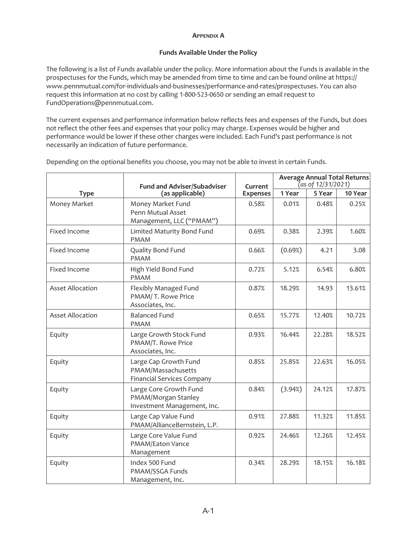### **APPENDIX A**

# **Funds Available Under the Policy**

The following is a list of Funds available under the policy. More information about the Funds is available in the prospectuses for the Funds, which may be amended from time to time and can be found online at https:// www.pennmutual.com/for-individuals-and-businesses/performance-and-rates/prospectuses. You can also request this information at no cost by calling 1-800-523-0650 or sending an email request to FundOperations@pennmutual.com.

The current expenses and performance information below reflects fees and expenses of the Funds, but does not reflect the other fees and expenses that your policy may charge. Expenses would be higher and performance would be lower if these other charges were included. Each Fund's past performance is not necessarily an indication of future performance.

| <b>Type</b>             | <b>Fund and Adviser/Subadviser</b>                                               | Current         | <b>Average Annual Total Returns</b><br>as of 12/31/2021) |        |         |
|-------------------------|----------------------------------------------------------------------------------|-----------------|----------------------------------------------------------|--------|---------|
|                         | (as applicable)                                                                  | <b>Expenses</b> | 1 Year                                                   | 5 Year | 10 Year |
| Money Market            | Money Market Fund<br>Penn Mutual Asset<br>Management, LLC ("PMAM")               | 0.58%           | 0.01%                                                    | 0.48%  | 0.25%   |
| Fixed Income            | Limited Maturity Bond Fund<br><b>PMAM</b>                                        | 0.69%           | 0.38%                                                    | 2.39%  | 1.60%   |
| Fixed Income            | Quality Bond Fund<br><b>PMAM</b>                                                 | 0.66%           | (0.69%)                                                  | 4.21   | 3.08    |
| Fixed Income            | High Yield Bond Fund<br><b>PMAM</b>                                              | 0.72%           | 5.12%                                                    | 6.54%  | 6.80%   |
| <b>Asset Allocation</b> | Flexibly Managed Fund<br>PMAM/T. Rowe Price<br>Associates, Inc.                  | 0.87%           | 18.29%                                                   | 14.93  | 13.61%  |
| <b>Asset Allocation</b> | <b>Balanced Fund</b><br><b>PMAM</b>                                              | 0.65%           | 15.77%                                                   | 12.40% | 10.72%  |
| Equity                  | Large Growth Stock Fund<br>PMAM/T. Rowe Price<br>Associates, Inc.                | 0.93%           | 16.44%                                                   | 22.28% | 18.52%  |
| Equity                  | Large Cap Growth Fund<br>PMAM/Massachusetts<br><b>Financial Services Company</b> | 0.85%           | 25.85%                                                   | 22.63% | 16.05%  |
| Equity                  | Large Core Growth Fund<br>PMAM/Morgan Stanley<br>Investment Management, Inc.     | 0.84%           | (3.94%)                                                  | 24.12% | 17.87%  |
| Equity                  | Large Cap Value Fund<br>PMAM/AllianceBernstein, L.P.                             | 0.91%           | 27.88%                                                   | 11.32% | 11.85%  |
| Equity                  | Large Core Value Fund<br><b>PMAM/Eaton Vance</b><br>Management                   | 0.92%           | 24.46%                                                   | 12.26% | 12.45%  |
| Equity                  | Index 500 Fund<br>PMAM/SSGA Funds<br>Management, Inc.                            | 0.34%           | 28.29%                                                   | 18.15% | 16.18%  |

Depending on the optional benefits you choose, you may not be able to invest in certain Funds.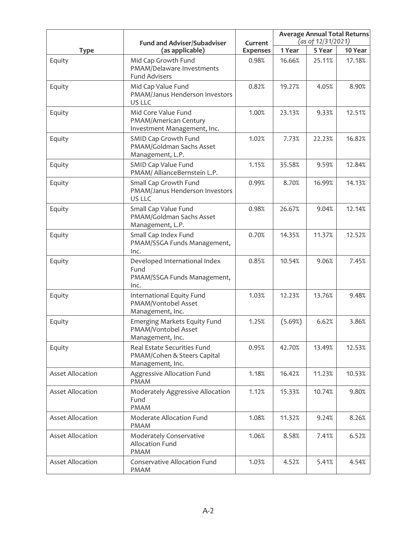|                         | <b>Fund and Adviser/Subadviser</b>                                             | Current         | <b>Average Annual Total Returns</b><br>(as of 12/31/2021) |        |         |
|-------------------------|--------------------------------------------------------------------------------|-----------------|-----------------------------------------------------------|--------|---------|
| <b>Type</b>             | (as applicable)                                                                | <b>Expenses</b> | 1 Year                                                    | 5 Year | 10 Year |
| Equity                  | Mid Cap Growth Fund<br>PMAM/Delaware Investments<br><b>Fund Advisers</b>       | 0.98%           | 16.66%                                                    | 25.11% | 17.18%  |
| Equity                  | Mid Cap Value Fund<br>PMAM/Janus Henderson Investors<br>US LLC                 | 0.82%           | 19.27%                                                    | 4.05%  | 8.90%   |
| Equity                  | Mid Core Value Fund<br>PMAM/American Century<br>Investment Management, Inc.    | 1.00%           | 23.13%                                                    | 9.33%  | 12.51%  |
| Equity                  | SMID Cap Growth Fund<br>PMAM/Goldman Sachs Asset<br>Management, L.P.           | 1.02%           | 7.73%                                                     | 22.23% | 16.82%  |
| Equity                  | SMID Cap Value Fund<br>PMAM/ AllianceBernstein L.P.                            | 1.15%           | 35.58%                                                    | 9.59%  | 12.84%  |
| Equity                  | Small Cap Growth Fund<br>PMAM/Janus Henderson Investors<br>US LLC              | 0.99%           | 8.70%                                                     | 16.99% | 14.13%  |
| Equity                  | Small Cap Value Fund<br>PMAM/Goldman Sachs Asset<br>Management, L.P.           | 0.98%           | 26.67%                                                    | 9.04%  | 12.14%  |
| Equity                  | Small Cap Index Fund<br>PMAM/SSGA Funds Management,<br>Inc.                    | 0.70%           | 14.35%                                                    | 11.37% | 12.52%  |
| Equity                  | Developed International Index<br>Fund<br>PMAM/SSGA Funds Management,<br>Inc.   | 0.85%           | 10.54%                                                    | 9.06%  | 7.45%   |
| Equity                  | International Equity Fund<br>PMAM/Vontobel Asset<br>Management, Inc.           | 1.03%           | 12.23%                                                    | 13.76% | 9.48%   |
| Equity                  | Emerging Markets Equity Fund<br>PMAM/Vontobel Asset<br>Management, Inc.        | 1.25%           | (5.69%)                                                   | 6.62%  | 3.86%   |
| Equity                  | Real Estate Securities Fund<br>PMAM/Cohen & Steers Capital<br>Management, Inc. | 0.95%           | 42.70%                                                    | 13.49% | 12.53%  |
| <b>Asset Allocation</b> | Aggressive Allocation Fund<br><b>PMAM</b>                                      | 1.18%           | 16.42%                                                    | 11.23% | 10.53%  |
| <b>Asset Allocation</b> | Moderately Aggressive Allocation<br>Fund<br><b>PMAM</b>                        | 1.12%           | 15.33%                                                    | 10.74% | 9.80%   |
| <b>Asset Allocation</b> | Moderate Allocation Fund<br><b>PMAM</b>                                        | 1.08%           | 11.32%                                                    | 9.24%  | 8.26%   |
| <b>Asset Allocation</b> | Moderately Conservative<br>Allocation Fund<br><b>PMAM</b>                      | 1.06%           | 8.58%                                                     | 7.41%  | 6.52%   |
| <b>Asset Allocation</b> | Conservative Allocation Fund<br><b>PMAM</b>                                    | 1.03%           | 4.52%                                                     | 5.41%  | 4.54%   |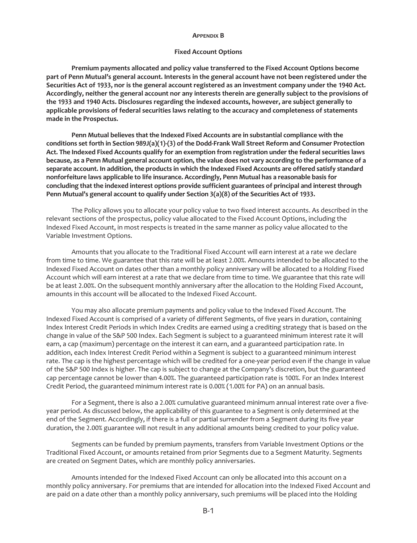#### **APPENDIX B**

### **Fixed Account Options**

**Premium payments allocated and policy value transferred to the Fixed Account Options become part of Penn Mutual's general account. Interests in the general account have not been registered under the Securities Act of 1933, nor is the general account registered as an investment company under the 1940 Act. Accordingly, neither the general account nor any interests therein are generally subject to the provisions of the 1933 and 1940 Acts. Disclosures regarding the indexed accounts, however, are subject generally to applicable provisions of federal securities laws relating to the accuracy and completeness of statements made in the Prospectus.**

**Penn Mutual believes that the Indexed Fixed Accounts are in substantial compliance with the conditions set forth in Section 989J(a)(1)-(3) of the Dodd-Frank Wall Street Reform and Consumer Protection Act. The Indexed Fixed Accounts qualify for an exemption from registration under the federal securities laws because, as a Penn Mutual general account option, the value does not vary according to the performance of a separate account. In addition, the products in which the Indexed Fixed Accounts are offered satisfy standard nonforfeiture laws applicable to life insurance. Accordingly, Penn Mutual has a reasonable basis for concluding that the indexed interest options provide sufficient guarantees of principal and interest through Penn Mutual's general account to qualify under Section 3(a)(8) of the Securities Act of 1933.**

The Policy allows you to allocate your policy value to two fixed interest accounts. As described in the relevant sections of the prospectus, policy value allocated to the Fixed Account Options, including the Indexed Fixed Account, in most respects is treated in the same manner as policy value allocated to the Variable Investment Options.

Amounts that you allocate to the Traditional Fixed Account will earn interest at a rate we declare from time to time. We guarantee that this rate will be at least 2.00%. Amounts intended to be allocated to the Indexed Fixed Account on dates other than a monthly policy anniversary will be allocated to a Holding Fixed Account which will earn interest at a rate that we declare from time to time. We guarantee that this rate will be at least 2.00%. On the subsequent monthly anniversary after the allocation to the Holding Fixed Account, amounts in this account will be allocated to the Indexed Fixed Account.

You may also allocate premium payments and policy value to the Indexed Fixed Account. The Indexed Fixed Account is comprised of a variety of different Segments, of five years in duration, containing Index Interest Credit Periods in which Index Credits are earned using a crediting strategy that is based on the change in value of the S&P 500 Index. Each Segment is subject to a guaranteed minimum interest rate it will earn, a cap (maximum) percentage on the interest it can earn, and a guaranteed participation rate. In addition, each Index Interest Credit Period within a Segment is subject to a guaranteed minimum interest rate. The cap is the highest percentage which will be credited for a one-year period even if the change in value of the S&P 500 Index is higher. The cap is subject to change at the Company's discretion, but the guaranteed cap percentage cannot be lower than 4.00%. The guaranteed participation rate is 100%. For an Index Interest Credit Period, the guaranteed minimum interest rate is 0.00% (1.00% for PA) on an annual basis.

For a Segment, there is also a 2.00% cumulative guaranteed minimum annual interest rate over a fiveyear period. As discussed below, the applicability of this guarantee to a Segment is only determined at the end of the Segment. Accordingly, if there is a full or partial surrender from a Segment during its five year duration, the 2.00% guarantee will not result in any additional amounts being credited to your policy value.

Segments can be funded by premium payments, transfers from Variable Investment Options or the Traditional Fixed Account, or amounts retained from prior Segments due to a Segment Maturity. Segments are created on Segment Dates, which are monthly policy anniversaries.

Amounts intended for the Indexed Fixed Account can only be allocated into this account on a monthly policy anniversary. For premiums that are intended for allocation into the Indexed Fixed Account and are paid on a date other than a monthly policy anniversary, such premiums will be placed into the Holding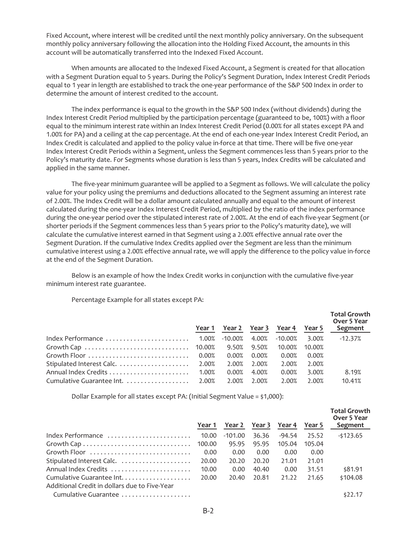Fixed Account, where interest will be credited until the next monthly policy anniversary. On the subsequent monthly policy anniversary following the allocation into the Holding Fixed Account, the amounts in this account will be automatically transferred into the Indexed Fixed Account.

When amounts are allocated to the Indexed Fixed Account, a Segment is created for that allocation with a Segment Duration equal to 5 years. During the Policy's Segment Duration, Index Interest Credit Periods equal to 1 year in length are established to track the one-year performance of the S&P 500 Index in order to determine the amount of interest credited to the account.

The index performance is equal to the growth in the S&P 500 Index (without dividends) during the Index Interest Credit Period multiplied by the participation percentage (guaranteed to be, 100%) with a floor equal to the minimum interest rate within an Index Interest Credit Period (0.00% for all states except PA and 1.00% for PA) and a ceiling at the cap percentage. At the end of each one-year Index Interest Credit Period, an Index Credit is calculated and applied to the policy value in-force at that time. There will be five one-year Index Interest Credit Periods within a Segment, unless the Segment commences less than 5 years prior to the Policy's maturity date. For Segments whose duration is less than 5 years, Index Credits will be calculated and applied in the same manner.

The five-year minimum guarantee will be applied to a Segment as follows. We will calculate the policy value for your policy using the premiums and deductions allocated to the Segment assuming an interest rate of 2.00%. The Index Credit will be a dollar amount calculated annually and equal to the amount of interest calculated during the one-year Index Interest Credit Period, multiplied by the ratio of the index performance during the one-year period over the stipulated interest rate of 2.00%. At the end of each five-year Segment (or shorter periods if the Segment commences less than 5 years prior to the Policy's maturity date), we will calculate the cumulative interest earned in that Segment using a 2.00% effective annual rate over the Segment Duration. If the cumulative Index Credits applied over the Segment are less than the minimum cumulative interest using a 2.00% effective annual rate, we will apply the difference to the policy value in-force at the end of the Segment Duration.

Below is an example of how the Index Credit works in conjunction with the cumulative five-year minimum interest rate guarantee.

Percentage Example for all states except PA:

|                                                                                                  | Year 1 | Year 2 Year 3 Year 4 |       |         | Year 5 | <b>Total Growth</b><br>Over 5 Year<br>Segment |
|--------------------------------------------------------------------------------------------------|--------|----------------------|-------|---------|--------|-----------------------------------------------|
| $\frac{1}{2}$ Index Performance $\ldots \ldots \ldots \ldots \ldots \ldots \ldots$ 1.00% -10.00% |        |                      | 4.00% | -10.00% | 3.00%  | $-12.37%$                                     |
|                                                                                                  |        |                      | 9.50% | 10.00%  | 10.00% |                                               |
| Growth Floor $\ldots \ldots \ldots \ldots \ldots \ldots \ldots \ldots$                           |        | 0.00%                | 0.00% | 0.00%   | 0.00%  |                                               |
|                                                                                                  |        | 2.00%                | 2.00% | 2.00%   | 2.00%  |                                               |
|                                                                                                  |        | 0.00%                | 4.00% | 0.00%   | 3.00%  | 8.19%                                         |
|                                                                                                  |        | 2.00%                | 2.00% | 2.00%   | 2.00%  | 10.41%                                        |

Dollar Example for all states except PA: (Initial Segment Value = \$1,000):

|                                               | Year 1 | Year 2    | Year 3 | Year 4   | Year 5 | <b>Total Growth</b><br>Over 5 Year<br>Segment |
|-----------------------------------------------|--------|-----------|--------|----------|--------|-----------------------------------------------|
| Index Performance                             | 10.00  | $-101.00$ | 36.36  | $-94.54$ | 25.52  | $-5123.65$                                    |
|                                               | 100.00 | 95.95     | 95.95  | 105.04   | 105.04 |                                               |
| Growth Floor                                  | 0.00   | 0.00      | 0.00   | 0.00     | 0.00   |                                               |
|                                               | 20.00  | 20.20     | 20.20  | 21.01    | 21.01  |                                               |
| Annual Index Credits                          | 10.00  | 0.00      | 40.40  | 0.00     | 31.51  | \$81.91                                       |
|                                               | 20.00  | 20.40     | 20.81  | 21.22    | 21.65  | \$104.08                                      |
| Additional Credit in dollars due to Five-Year |        |           |        |          |        |                                               |
| Cumulative Guarantee                          |        |           |        |          |        | \$22.17                                       |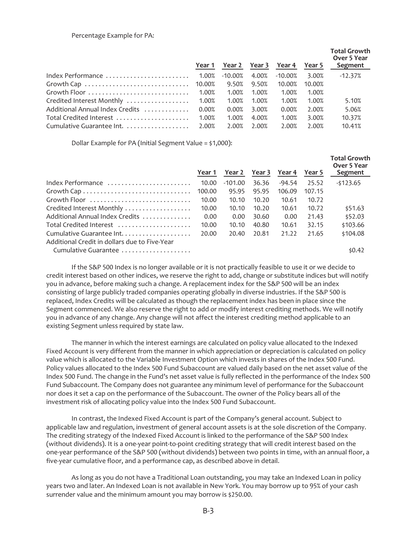### Percentage Example for PA:

|                                 | Year 1 | Year 2  | Year 3 | Year 4     | Year 5 | <b>Total Growth</b><br>Over 5 Year<br>Segment |
|---------------------------------|--------|---------|--------|------------|--------|-----------------------------------------------|
|                                 |        | -10.00% | 4.00%  | $-10.00\%$ | 3.00%  | $-12.37%$                                     |
|                                 |        | 9.50%   | 9.50%  | 10.00%     | 10.00% |                                               |
| Growth Floor                    | 1.00%  | 1.00%   | 1.00%  | 1.00%      | 1.00%  |                                               |
| Credited Interest Monthly       | 1.00%  | 1.00%   | 1.00%  | 1.00%      | 1.00%  | 5.10%                                         |
| Additional Annual Index Credits | 0.00%  | 0.00%   | 3.00%  | 0.00%      | 2.00%  | 5.06%                                         |
| Total Credited Interest         | 1.00%  | 1.00%   | 4.00%  | 1.00%      | 3.00%  | 10.37%                                        |
| Cumulative Guarantee Int.       | 2.00%  | 2.00%   | 2.00%  | 2.00%      | 2.00%  | 10.41%                                        |

Dollar Example for PA (Initial Segment Value = \$1,000):

|                                               | Year 1 | Year 2    | Year 3 | Year 4   | Year 5 | <b>Total Growth</b><br>Over 5 Year<br>Segment |
|-----------------------------------------------|--------|-----------|--------|----------|--------|-----------------------------------------------|
| Index Performance                             | 10.00  | $-101.00$ | 36.36  | $-94.54$ | 25.52  | $-5123.65$                                    |
|                                               |        |           |        |          |        |                                               |
|                                               | 100.00 | 95.95     | 95.95  | 106.09   | 107.15 |                                               |
| Growth Floor                                  | 10.00  | 10.10     | 10.20  | 10.61    | 10.72  |                                               |
| Credited Interest Monthly                     | 10.00  | 10.10     | 10.20  | 10.61    | 10.72  | \$51.63                                       |
| Additional Annual Index Credits               | 0.00   | 0.00      | 30.60  | 0.00     | 21.43  | \$52.03                                       |
| Total Credited Interest                       | 10.00  | 10.10     | 40.80  | 10.61    | 32.15  | \$103.66                                      |
|                                               | 20.00  | 20.40     | 20.81  | 21.22    | 21.65  | \$104.08                                      |
| Additional Credit in dollars due to Five-Year |        |           |        |          |        |                                               |
| Cumulative Guarantee                          |        |           |        |          |        | \$0.42                                        |

If the S&P 500 Index is no longer available or it is not practically feasible to use it or we decide to credit interest based on other indices, we reserve the right to add, change or substitute indices but will notify you in advance, before making such a change. A replacement index for the S&P 500 will be an index consisting of large publicly traded companies operating globally in diverse industries. If the S&P 500 is replaced, Index Credits will be calculated as though the replacement index has been in place since the Segment commenced. We also reserve the right to add or modify interest crediting methods. We will notify you in advance of any change. Any change will not affect the interest crediting method applicable to an existing Segment unless required by state law.

The manner in which the interest earnings are calculated on policy value allocated to the Indexed Fixed Account is very different from the manner in which appreciation or depreciation is calculated on policy value which is allocated to the Variable Investment Option which invests in shares of the Index 500 Fund. Policy values allocated to the Index 500 Fund Subaccount are valued daily based on the net asset value of the Index 500 Fund. The change in the Fund's net asset value is fully reflected in the performance of the Index 500 Fund Subaccount. The Company does not guarantee any minimum level of performance for the Subaccount nor does it set a cap on the performance of the Subaccount. The owner of the Policy bears all of the investment risk of allocating policy value into the Index 500 Fund Subaccount.

In contrast, the Indexed Fixed Account is part of the Company's general account. Subject to applicable law and regulation, investment of general account assets is at the sole discretion of the Company. The crediting strategy of the Indexed Fixed Account is linked to the performance of the S&P 500 Index (without dividends). It is a one-year point-to-point crediting strategy that will credit interest based on the one-year performance of the S&P 500 (without dividends) between two points in time, with an annual floor, a five-year cumulative floor, and a performance cap, as described above in detail.

As long as you do not have a Traditional Loan outstanding, you may take an Indexed Loan in policy years two and later. An Indexed Loan is not available in New York. You may borrow up to 95% of your cash surrender value and the minimum amount you may borrow is \$250.00.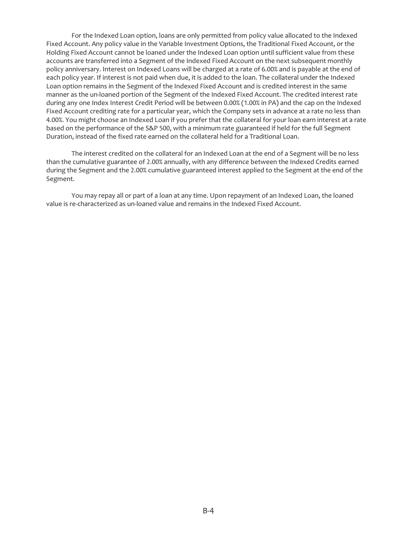For the Indexed Loan option, loans are only permitted from policy value allocated to the Indexed Fixed Account. Any policy value in the Variable Investment Options, the Traditional Fixed Account, or the Holding Fixed Account cannot be loaned under the Indexed Loan option until sufficient value from these accounts are transferred into a Segment of the Indexed Fixed Account on the next subsequent monthly policy anniversary. Interest on Indexed Loans will be charged at a rate of 6.00% and is payable at the end of each policy year. If interest is not paid when due, it is added to the loan. The collateral under the Indexed Loan option remains in the Segment of the Indexed Fixed Account and is credited interest in the same manner as the un-loaned portion of the Segment of the Indexed Fixed Account. The credited interest rate during any one Index Interest Credit Period will be between 0.00% (1.00% in PA) and the cap on the Indexed Fixed Account crediting rate for a particular year, which the Company sets in advance at a rate no less than 4.00%. You might choose an Indexed Loan if you prefer that the collateral for your loan earn interest at a rate based on the performance of the S&P 500, with a minimum rate guaranteed if held for the full Segment Duration, instead of the fixed rate earned on the collateral held for a Traditional Loan.

The interest credited on the collateral for an Indexed Loan at the end of a Segment will be no less than the cumulative guarantee of 2.00% annually, with any difference between the Indexed Credits earned during the Segment and the 2.00% cumulative guaranteed interest applied to the Segment at the end of the Segment.

You may repay all or part of a loan at any time. Upon repayment of an Indexed Loan, the loaned value is re-characterized as un-loaned value and remains in the Indexed Fixed Account.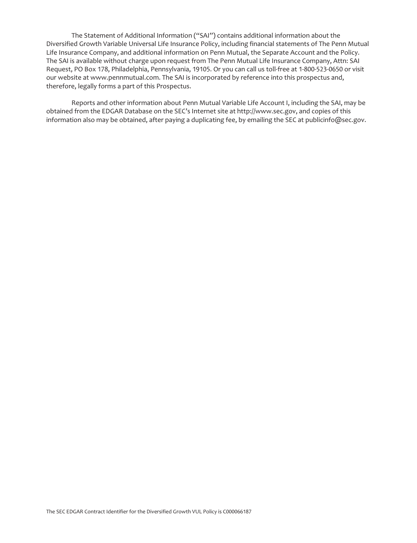The Statement of Additional Information ("SAI") contains additional information about the Diversified Growth Variable Universal Life Insurance Policy, including financial statements of The Penn Mutual Life Insurance Company, and additional information on Penn Mutual, the Separate Account and the Policy. The SAI is available without charge upon request from The Penn Mutual Life Insurance Company, Attn: SAI Request, PO Box 178, Philadelphia, Pennsylvania, 19105. Or you can call us toll-free at 1-800-523-0650 or visit our website at www.pennmutual.com. The SAI is incorporated by reference into this prospectus and, therefore, legally forms a part of this Prospectus.

Reports and other information about Penn Mutual Variable Life Account I, including the SAI, may be obtained from the EDGAR Database on the SEC's Internet site at http://www.sec.gov, and copies of this information also may be obtained, after paying a duplicating fee, by emailing the SEC at publicinfo@sec.gov.